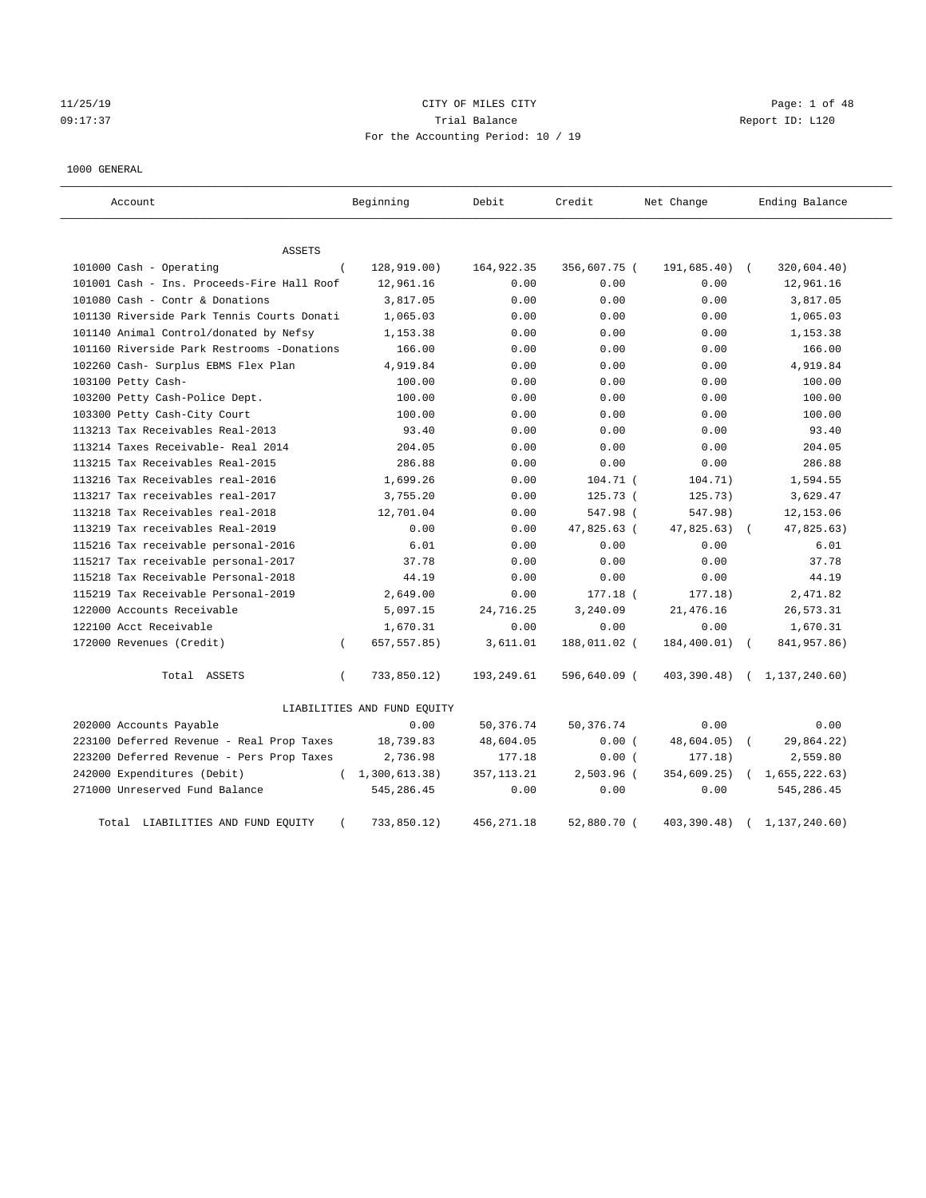## 11/25/19 CITY OF MILES CITY Page: 1 of 48 09:17:37 Trial Balance Report ID: L120 For the Accounting Period: 10 / 19

#### 1000 GENERAL

| Account                                    | Beginning                   | Debit       | Credit       | Net Change   | Ending Balance            |
|--------------------------------------------|-----------------------------|-------------|--------------|--------------|---------------------------|
| ASSETS                                     |                             |             |              |              |                           |
| 101000 Cash - Operating                    | 128,919.00)<br>$\left($     | 164, 922.35 | 356,607.75 ( | 191,685.40)  | 320,604.40)<br>$\sqrt{2}$ |
| 101001 Cash - Ins. Proceeds-Fire Hall Roof | 12,961.16                   | 0.00        | 0.00         | 0.00         | 12,961.16                 |
| 101080 Cash - Contr & Donations            | 3,817.05                    | 0.00        | 0.00         | 0.00         | 3,817.05                  |
| 101130 Riverside Park Tennis Courts Donati | 1,065.03                    | 0.00        | 0.00         | 0.00         | 1,065.03                  |
| 101140 Animal Control/donated by Nefsy     | 1,153.38                    | 0.00        | 0.00         | 0.00         | 1,153.38                  |
| 101160 Riverside Park Restrooms -Donations | 166.00                      | 0.00        | 0.00         | 0.00         | 166.00                    |
| 102260 Cash- Surplus EBMS Flex Plan        | 4,919.84                    | 0.00        | 0.00         | 0.00         | 4,919.84                  |
| 103100 Petty Cash-                         | 100.00                      | 0.00        | 0.00         | 0.00         | 100.00                    |
| 103200 Petty Cash-Police Dept.             | 100.00                      | 0.00        | 0.00         | 0.00         | 100.00                    |
| 103300 Petty Cash-City Court               | 100.00                      | 0.00        | 0.00         | 0.00         | 100.00                    |
| 113213 Tax Receivables Real-2013           | 93.40                       | 0.00        | 0.00         | 0.00         | 93.40                     |
| 113214 Taxes Receivable- Real 2014         | 204.05                      | 0.00        | 0.00         | 0.00         | 204.05                    |
| 113215 Tax Receivables Real-2015           | 286.88                      | 0.00        | 0.00         | 0.00         | 286.88                    |
| 113216 Tax Receivables real-2016           | 1,699.26                    | 0.00        | 104.71 (     | 104.71)      | 1,594.55                  |
| 113217 Tax receivables real-2017           | 3,755.20                    | 0.00        | 125.73 (     | 125.73)      | 3,629.47                  |
| 113218 Tax Receivables real-2018           | 12,701.04                   | 0.00        | 547.98 (     | 547.98)      | 12, 153.06                |
| 113219 Tax receivables Real-2019           | 0.00                        | 0.00        | 47,825.63 (  | 47,825.63)   | 47,825.63)                |
| 115216 Tax receivable personal-2016        | 6.01                        | 0.00        | 0.00         | 0.00         | 6.01                      |
| 115217 Tax receivable personal-2017        | 37.78                       | 0.00        | 0.00         | 0.00         | 37.78                     |
| 115218 Tax Receivable Personal-2018        | 44.19                       | 0.00        | 0.00         | 0.00         | 44.19                     |
| 115219 Tax Receivable Personal-2019        | 2,649.00                    | 0.00        | 177.18 (     | 177.18)      | 2,471.82                  |
| 122000 Accounts Receivable                 | 5,097.15                    | 24,716.25   | 3,240.09     | 21,476.16    | 26,573.31                 |
| 122100 Acct Receivable                     | 1,670.31                    | 0.00        | 0.00         | 0.00         | 1,670.31                  |
| 172000 Revenues (Credit)                   | 657, 557.85)<br>$\left($    | 3,611.01    | 188,011.02 ( | 184,400.01)  | 841, 957.86)              |
| Total ASSETS                               | $\left($<br>733,850.12)     | 193,249.61  | 596,640.09 ( | 403, 390.48) | (1, 137, 240.60)          |
|                                            | LIABILITIES AND FUND EQUITY |             |              |              |                           |
| 202000 Accounts Payable                    | 0.00                        | 50,376.74   | 50, 376. 74  | 0.00         | 0.00                      |
| 223100 Deferred Revenue - Real Prop Taxes  | 18,739.83                   | 48,604.05   | 0.00(        | 48,604.05)   | 29,864.22)                |
| 223200 Deferred Revenue - Pers Prop Taxes  | 2,736.98                    | 177.18      | 0.00(        | 177.18)      | 2,559.80                  |
| 242000 Expenditures (Debit)                | 1,300,613.38)<br>$\left($   | 357, 113.21 | 2,503.96 (   | 354,609.25)  | 1,655,222.63)             |
| 271000 Unreserved Fund Balance             | 545,286.45                  | 0.00        | 0.00         | 0.00         | 545,286.45                |
| Total LIABILITIES AND FUND EQUITY          | 733,850.12)                 | 456, 271.18 | 52,880.70 (  | 403,390.48)  | 1,137,240.60)             |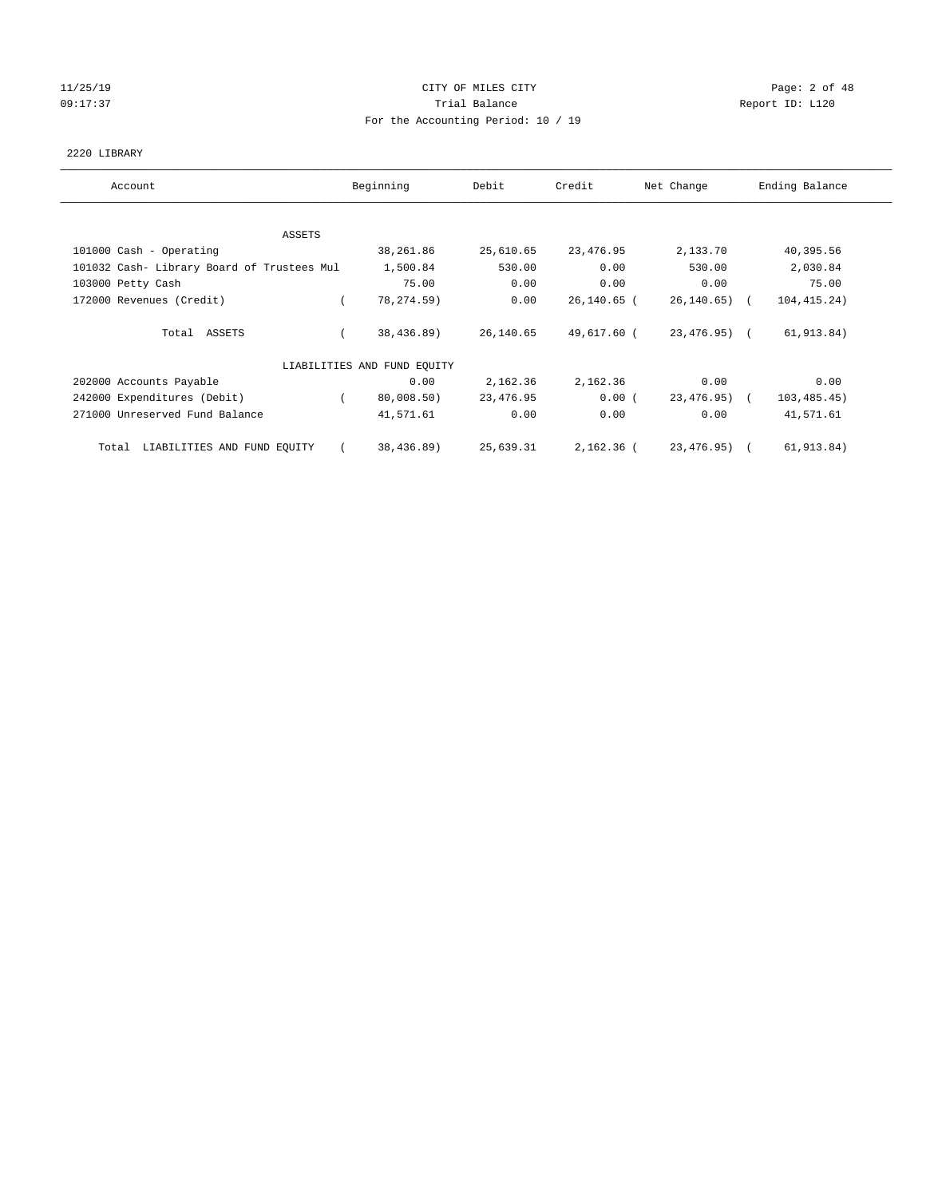# 11/25/19 **CITY OF MILES CITY CITY CITY Page: 2 of 48** 09:17:37 Quantity Contract Contract Contract Contract Contract Contract Contract Contract Contract Contract Contract Contract Contract Contract Contract Contract Contra For the Accounting Period: 10 / 19

#### 2220 LIBRARY

| Account                                    | Beginning                   | Debit     | Credit      | Net Change       | Ending Balance |
|--------------------------------------------|-----------------------------|-----------|-------------|------------------|----------------|
| ASSETS                                     |                             |           |             |                  |                |
| 101000 Cash - Operating                    | 38,261.86                   | 25,610.65 | 23,476.95   | 2,133.70         | 40,395.56      |
| 101032 Cash- Library Board of Trustees Mul | 1,500.84                    | 530.00    | 0.00        | 530.00           | 2,030.84       |
| 103000 Petty Cash                          | 75.00                       | 0.00      | 0.00        | 0.00             | 75.00          |
| 172000 Revenues (Credit)                   | 78, 274.59)                 | 0.00      | 26,140.65 ( | $26, 140.65$ ) ( | 104, 415.24)   |
| Total ASSETS                               | 38,436.89)                  | 26,140.65 | 49,617.60 ( | 23,476.95) (     | 61, 913.84)    |
|                                            | LIABILITIES AND FUND EQUITY |           |             |                  |                |
| 202000 Accounts Payable                    | 0.00                        | 2,162.36  | 2,162.36    | 0.00             | 0.00           |
| 242000 Expenditures (Debit)                | 80,008.50)                  | 23,476.95 | 0.00(       | 23,476.95) (     | 103, 485.45)   |
| 271000 Unreserved Fund Balance             | 41,571.61                   | 0.00      | 0.00        | 0.00             | 41,571.61      |
| LIABILITIES AND FUND EQUITY<br>Total       | 38,436.89)                  | 25,639.31 | 2,162.36 (  | 23,476.95) (     | 61,913.84)     |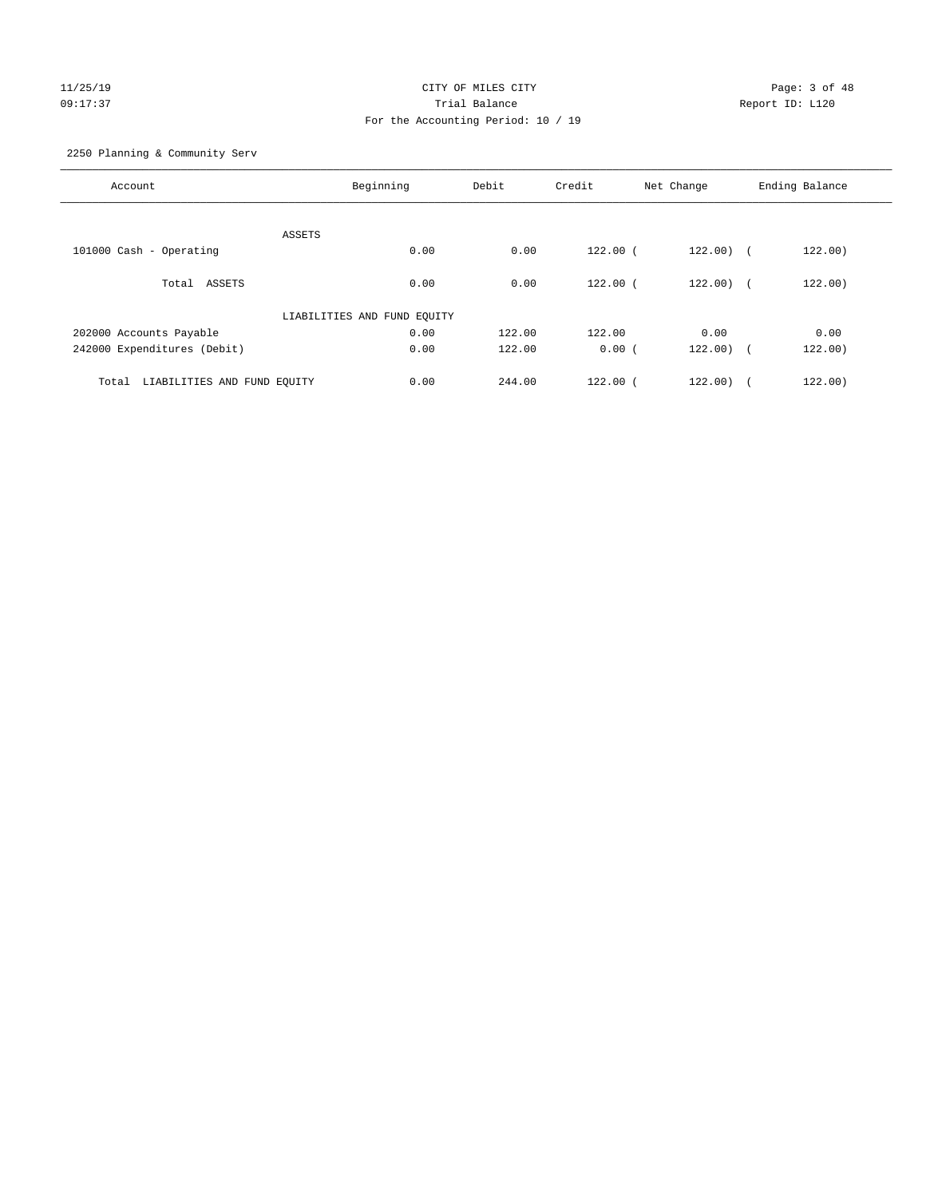# 11/25/19 Page: 3 of 48 09:17:37 Trial Balance Report ID: L120 For the Accounting Period: 10 / 19

2250 Planning & Community Serv

| Account                              | Beginning                   | Debit  | Credit       | Net Change   | Ending Balance |
|--------------------------------------|-----------------------------|--------|--------------|--------------|----------------|
|                                      |                             |        |              |              |                |
|                                      | ASSETS                      |        |              |              |                |
| 101000 Cash - Operating              | 0.00                        | 0.00   | $122.00$ (   | $122.00$ ) ( | 122.00)        |
| Total ASSETS                         | 0.00                        | 0.00   | $122.00$ (   | 122.00) (    | 122.00)        |
|                                      | LIABILITIES AND FUND EQUITY |        |              |              |                |
| 202000 Accounts Payable              | 0.00                        | 122.00 | 122.00       | 0.00         | 0.00           |
| 242000 Expenditures (Debit)          | 0.00                        | 122.00 | 0.00(        | $122.00$ (   | 122.00)        |
|                                      |                             |        |              |              |                |
| LIABILITIES AND FUND EQUITY<br>Total | 0.00                        | 244.00 | $122.00$ $($ | 122.00)      | 122.00)        |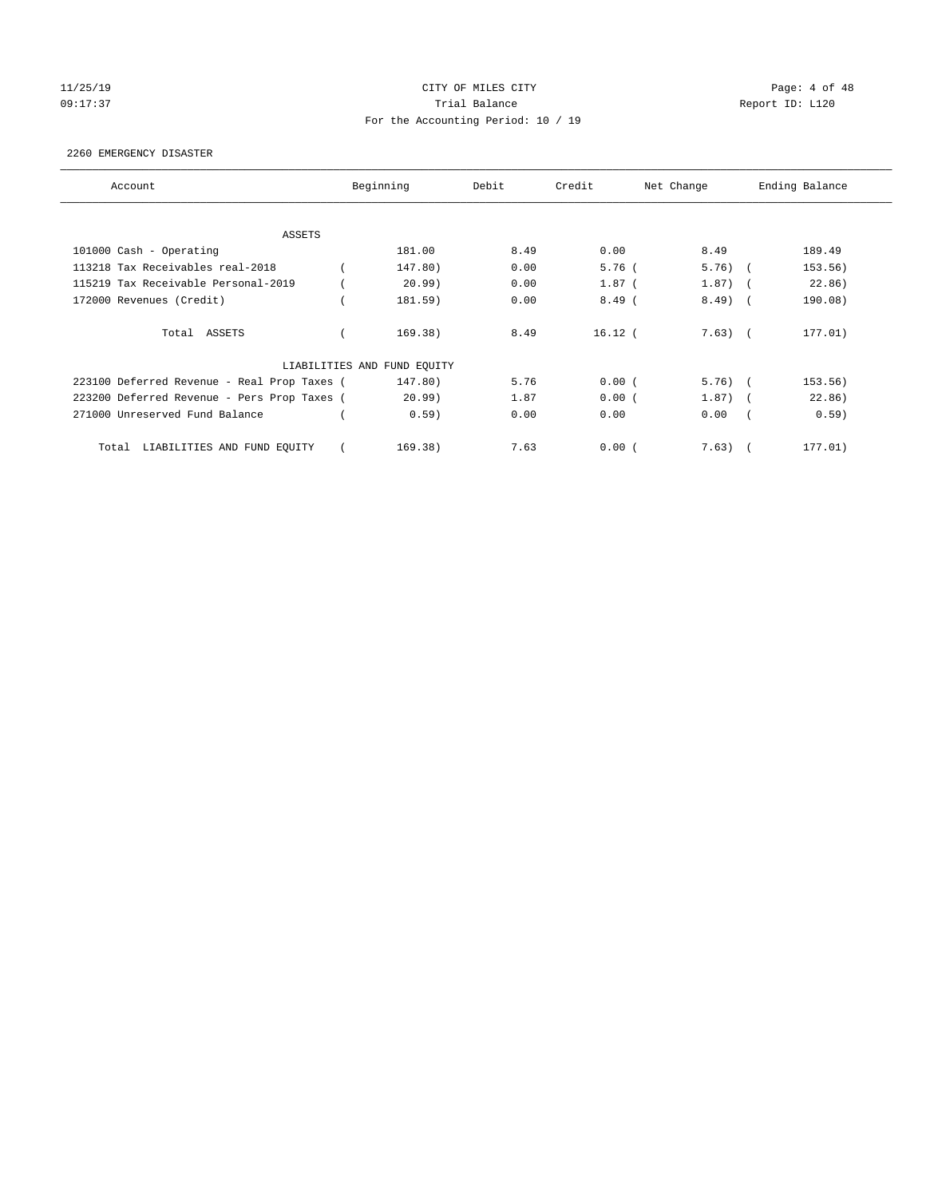# 11/25/19 **CITY OF MILES CITY CITY CITY Page: 4 of 48** 09:17:37 Quantity Contract Contract Contract Contract Contract Contract Contract Contract Contract Contract Contract Contract Contract Contract Contract Contract Contra For the Accounting Period: 10 / 19

#### 2260 EMERGENCY DISASTER

| Account                                     | Beginning                   | Debit | Credit    | Net Change |            | Ending Balance |
|---------------------------------------------|-----------------------------|-------|-----------|------------|------------|----------------|
| <b>ASSETS</b>                               |                             |       |           |            |            |                |
| 101000 Cash - Operating                     | 181.00                      | 8.49  | 0.00      | 8.49       |            | 189.49         |
| 113218 Tax Receivables real-2018            | 147.80)                     | 0.00  | $5.76$ (  | $5.76$ (   |            | 153.56)        |
| 115219 Tax Receivable Personal-2019         | 20.99)                      | 0.00  | $1.87$ (  | 1.87)      | $\sim$     | 22.86)         |
| 172000 Revenues (Credit)                    | 181.59)                     | 0.00  | $8.49$ (  | $8.49$ )   | $\sqrt{2}$ | 190.08)        |
| Total ASSETS                                | 169.38)                     | 8.49  | $16.12$ ( | $7.63)$ (  |            | 177.01)        |
|                                             | LIABILITIES AND FUND EQUITY |       |           |            |            |                |
| 223100 Deferred Revenue - Real Prop Taxes ( | 147.80)                     | 5.76  | 0.00(     | $5.76$ (   |            | 153.56)        |
| 223200 Deferred Revenue - Pers Prop Taxes ( | 20.99)                      | 1.87  | 0.00(     | $1.87)$ (  |            | 22.86)         |
| 271000 Unreserved Fund Balance              | 0.59)                       | 0.00  | 0.00      | 0.00       |            | 0.59)          |
| LIABILITIES AND FUND EQUITY<br>Total        | 169.38)                     | 7.63  | 0.00(     | 7.63)      |            | 177.01)        |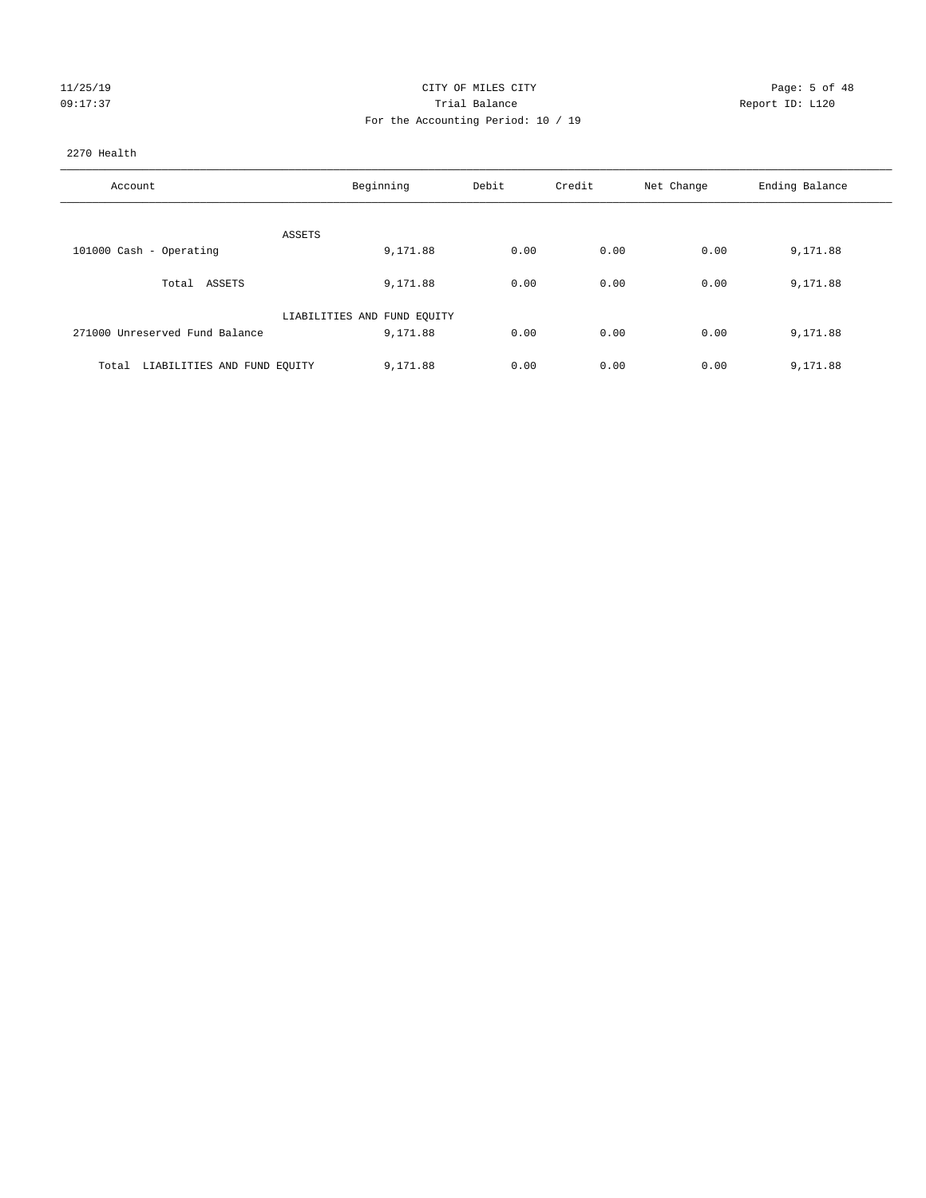| ، 25٪ |  |
|-------|--|
|       |  |

#### CITY OF MILES CITY CITY CITY Page: 5 of 48 Partial Balance and Communications of the Report ID: L120 For the Accounting Period: 10 / 19

#### 2270 Health

| Account                              | Beginning                   | Debit | Credit | Net Change | Ending Balance |
|--------------------------------------|-----------------------------|-------|--------|------------|----------------|
|                                      |                             |       |        |            |                |
|                                      | ASSETS                      |       |        |            |                |
| 101000 Cash - Operating              | 9,171.88                    | 0.00  | 0.00   | 0.00       | 9,171.88       |
| Total ASSETS                         | 9,171.88                    | 0.00  | 0.00   | 0.00       | 9,171.88       |
|                                      | LIABILITIES AND FUND EQUITY |       |        |            |                |
| 271000 Unreserved Fund Balance       | 9,171.88                    | 0.00  | 0.00   | 0.00       | 9,171.88       |
|                                      |                             |       |        |            |                |
| LIABILITIES AND FUND EQUITY<br>Total | 9,171.88                    | 0.00  | 0.00   | 0.00       | 9,171.88       |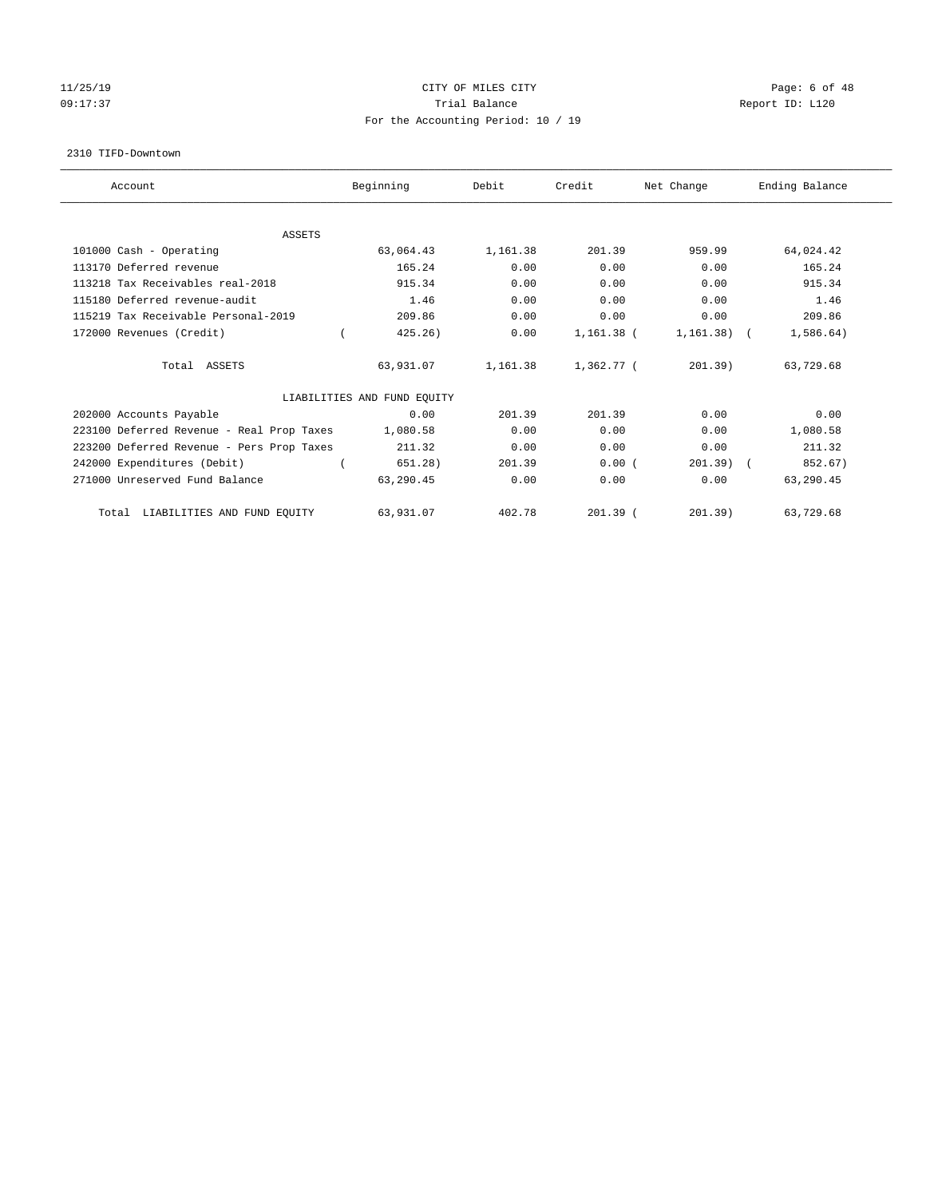# 11/25/19 **CITY OF MILES CITY CITY CITY Page: 6 of 48** 09:17:37 Quantity Contract Contract Contract Contract Contract Contract Contract Contract Contract Contract Contract Contract Contract Contract Contract Contract Contra For the Accounting Period: 10 / 19

#### 2310 TIFD-Downtown

| Account                                   | Beginning                   | Debit    | Credit       | Net Change   | Ending Balance |
|-------------------------------------------|-----------------------------|----------|--------------|--------------|----------------|
| <b>ASSETS</b>                             |                             |          |              |              |                |
| 101000 Cash - Operating                   | 63,064.43                   | 1,161.38 | 201.39       | 959.99       | 64,024.42      |
| 113170 Deferred revenue                   | 165.24                      | 0.00     | 0.00         | 0.00         | 165.24         |
| 113218 Tax Receivables real-2018          | 915.34                      | 0.00     | 0.00         | 0.00         | 915.34         |
| 115180 Deferred revenue-audit             | 1.46                        | 0.00     | 0.00         | 0.00         | 1.46           |
| 115219 Tax Receivable Personal-2019       | 209.86                      | 0.00     | 0.00         | 0.00         | 209.86         |
| 172000 Revenues (Credit)                  | 425.26)                     | 0.00     | $1,161.38$ ( | $1,161.38$ ( | 1,586.64)      |
| Total ASSETS                              | 63,931.07                   | 1,161.38 | 1,362.77 (   | 201.39       | 63,729.68      |
|                                           | LIABILITIES AND FUND EQUITY |          |              |              |                |
| 202000 Accounts Payable                   | 0.00                        | 201.39   | 201.39       | 0.00         | 0.00           |
| 223100 Deferred Revenue - Real Prop Taxes | 1,080.58                    | 0.00     | 0.00         | 0.00         | 1,080.58       |
| 223200 Deferred Revenue - Pers Prop Taxes | 211.32                      | 0.00     | 0.00         | 0.00         | 211.32         |
| 242000 Expenditures (Debit)               | 651.28)                     | 201.39   | 0.00(        | $201.39$ (   | 852.67)        |
| 271000 Unreserved Fund Balance            | 63,290.45                   | 0.00     | 0.00         | 0.00         | 63,290.45      |
| LIABILITIES AND FUND EQUITY<br>Total      | 63,931.07                   | 402.78   | $201.39$ (   | 201.39)      | 63,729.68      |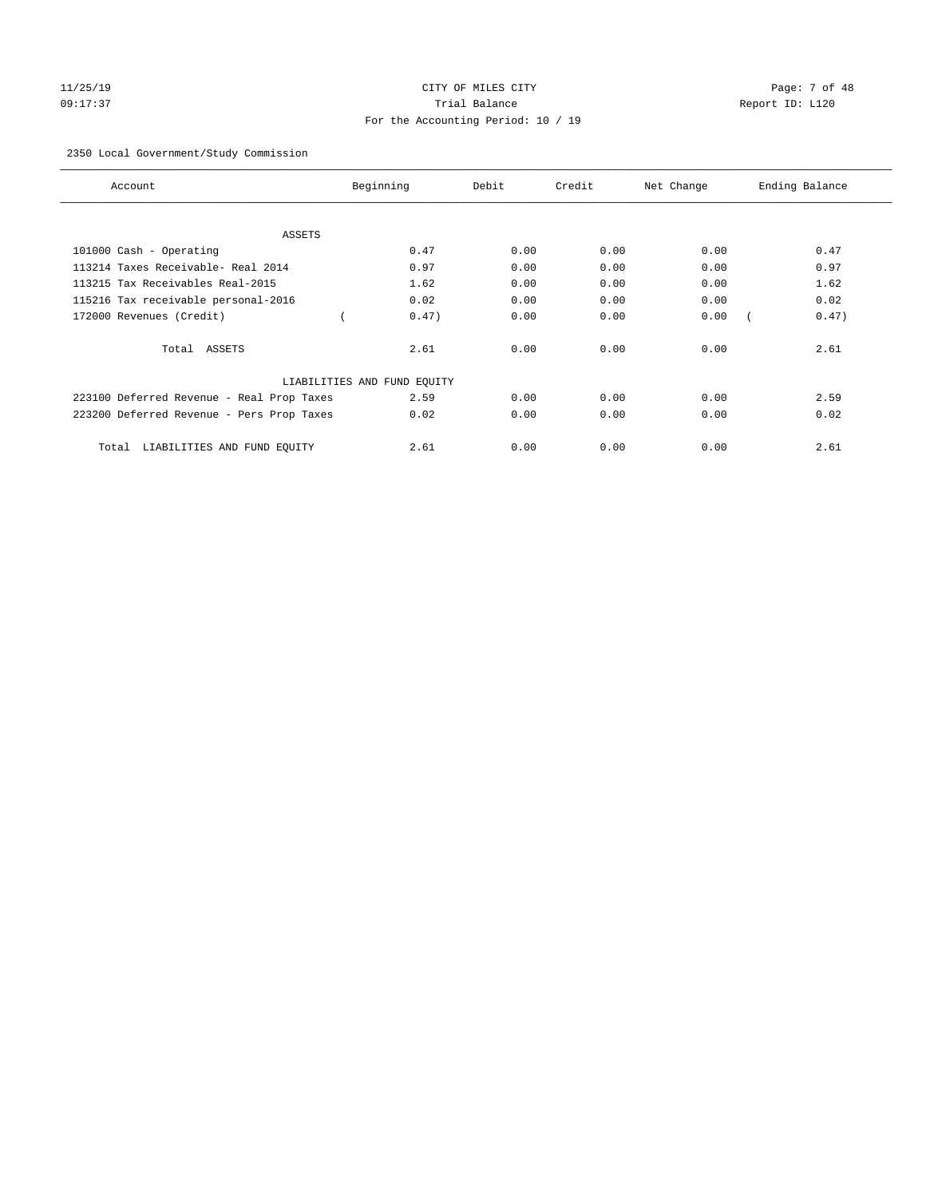# 11/25/19 Page: 7 of 48 09:17:37 Trial Balance Report ID: L120 For the Accounting Period: 10 / 19

#### 2350 Local Government/Study Commission

| Account                                   | Beginning                   | Debit | Credit | Net Change | Ending Balance |
|-------------------------------------------|-----------------------------|-------|--------|------------|----------------|
| ASSETS                                    |                             |       |        |            |                |
| 101000 Cash - Operating                   | 0.47                        | 0.00  | 0.00   | 0.00       | 0.47           |
| 113214 Taxes Receivable- Real 2014        | 0.97                        | 0.00  | 0.00   | 0.00       | 0.97           |
| 113215 Tax Receivables Real-2015          | 1.62                        | 0.00  | 0.00   | 0.00       | 1.62           |
| 115216 Tax receivable personal-2016       | 0.02                        | 0.00  | 0.00   | 0.00       | 0.02           |
| 172000 Revenues (Credit)                  | 0.47)                       | 0.00  | 0.00   | 0.00       | 0.47)          |
| Total ASSETS                              | 2.61                        | 0.00  | 0.00   | 0.00       | 2.61           |
|                                           | LIABILITIES AND FUND EQUITY |       |        |            |                |
| 223100 Deferred Revenue - Real Prop Taxes | 2.59                        | 0.00  | 0.00   | 0.00       | 2.59           |
| 223200 Deferred Revenue - Pers Prop Taxes | 0.02                        | 0.00  | 0.00   | 0.00       | 0.02           |
| LIABILITIES AND FUND EQUITY<br>Total      | 2.61                        | 0.00  | 0.00   | 0.00       | 2.61           |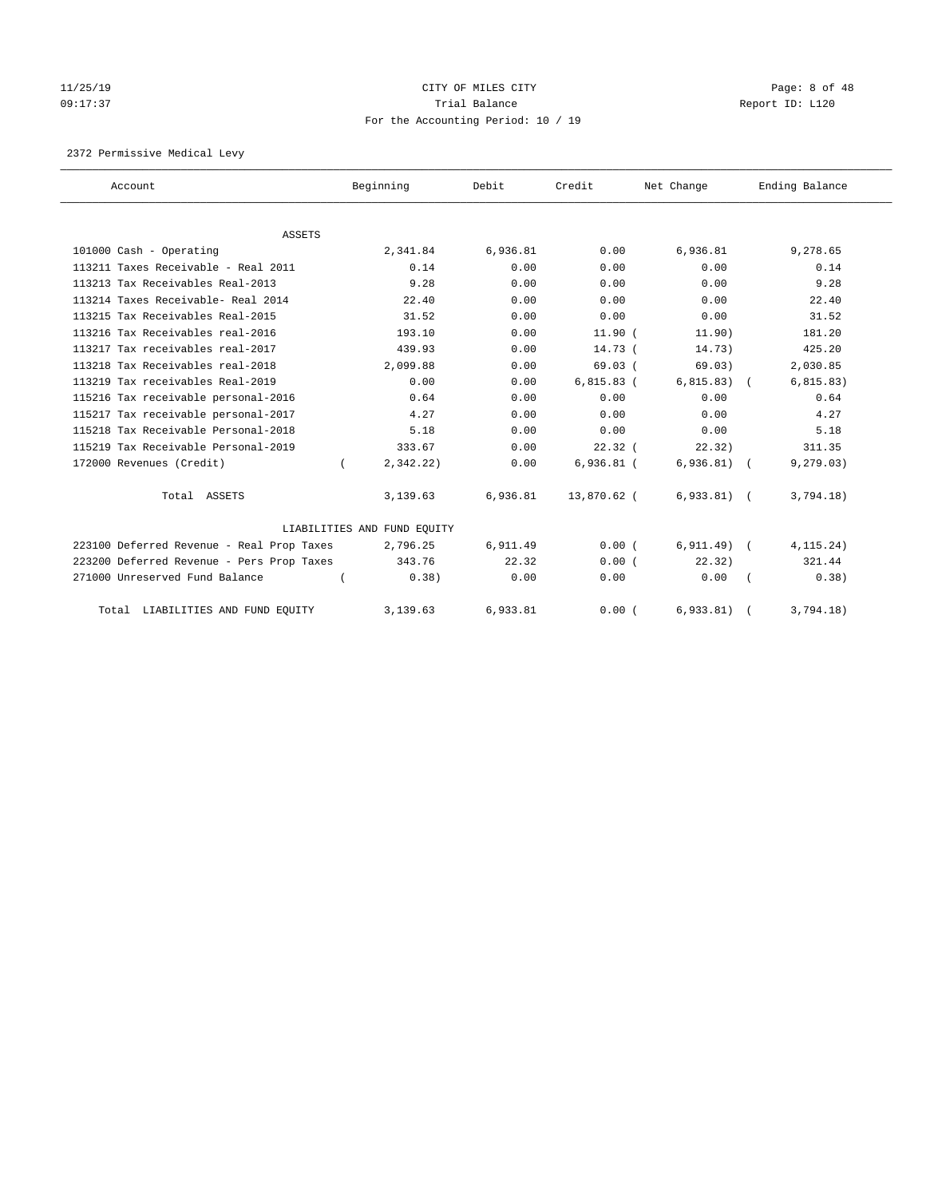# 11/25/19 **CITY OF MILES CITY CITY CITY Page: 8 of 48** 09:17:37 Quantity Contract Contract Contract Contract Contract Contract Contract Contract Contract Contract Contract Contract Contract Contract Contract Contract Contra For the Accounting Period: 10 / 19

2372 Permissive Medical Levy

| Account                                   | Beginning                   | Debit    | Credit       | Net Change    | Ending Balance |
|-------------------------------------------|-----------------------------|----------|--------------|---------------|----------------|
|                                           |                             |          |              |               |                |
| <b>ASSETS</b>                             |                             |          |              |               |                |
| 101000 Cash - Operating                   | 2,341.84                    | 6,936.81 | 0.00         | 6,936.81      | 9,278.65       |
| 113211 Taxes Receivable - Real 2011       | 0.14                        | 0.00     | 0.00         | 0.00          | 0.14           |
| 113213 Tax Receivables Real-2013          | 9.28                        | 0.00     | 0.00         | 0.00          | 9.28           |
| 113214 Taxes Receivable- Real 2014        | 22.40                       | 0.00     | 0.00         | 0.00          | 22.40          |
| 113215 Tax Receivables Real-2015          | 31.52                       | 0.00     | 0.00         | 0.00          | 31.52          |
| 113216 Tax Receivables real-2016          | 193.10                      | 0.00     | 11.90(       | 11.90)        | 181.20         |
| 113217 Tax receivables real-2017          | 439.93                      | 0.00     | 14.73 (      | 14.73)        | 425.20         |
| 113218 Tax Receivables real-2018          | 2,099.88                    | 0.00     | 69.03(       | 69.03)        | 2,030.85       |
| 113219 Tax receivables Real-2019          | 0.00                        | 0.00     | $6,815.83$ ( | 6, 815.83)    | 6, 815.83)     |
| 115216 Tax receivable personal-2016       | 0.64                        | 0.00     | 0.00         | 0.00          | 0.64           |
| 115217 Tax receivable personal-2017       | 4.27                        | 0.00     | 0.00         | 0.00          | 4.27           |
| 115218 Tax Receivable Personal-2018       | 5.18                        | 0.00     | 0.00         | 0.00          | 5.18           |
| 115219 Tax Receivable Personal-2019       | 333.67                      | 0.00     | $22.32$ (    | 22.32)        | 311.35         |
| 172000 Revenues (Credit)                  | 2,342.22)                   | 0.00     | $6,936.81$ ( | 6,936.81)     | 9, 279.03)     |
| Total ASSETS                              | 3,139.63                    | 6,936.81 | 13,870.62 (  | $6,933.81$ (  | 3,794.18)      |
|                                           | LIABILITIES AND FUND EQUITY |          |              |               |                |
| 223100 Deferred Revenue - Real Prop Taxes | 2,796.25                    | 6,911.49 | 0.00(        | $6, 911.49$ ( | 4, 115.24)     |
| 223200 Deferred Revenue - Pers Prop Taxes | 343.76                      | 22.32    | 0.00(        | 22.32)        | 321.44         |
| 271000 Unreserved Fund Balance            | 0.38)                       | 0.00     | 0.00         | 0.00          | 0.38)          |
| Total LIABILITIES AND FUND EQUITY         | 3,139.63                    | 6,933.81 | 0.00(        | 6,933.81)     | 3,794.18)      |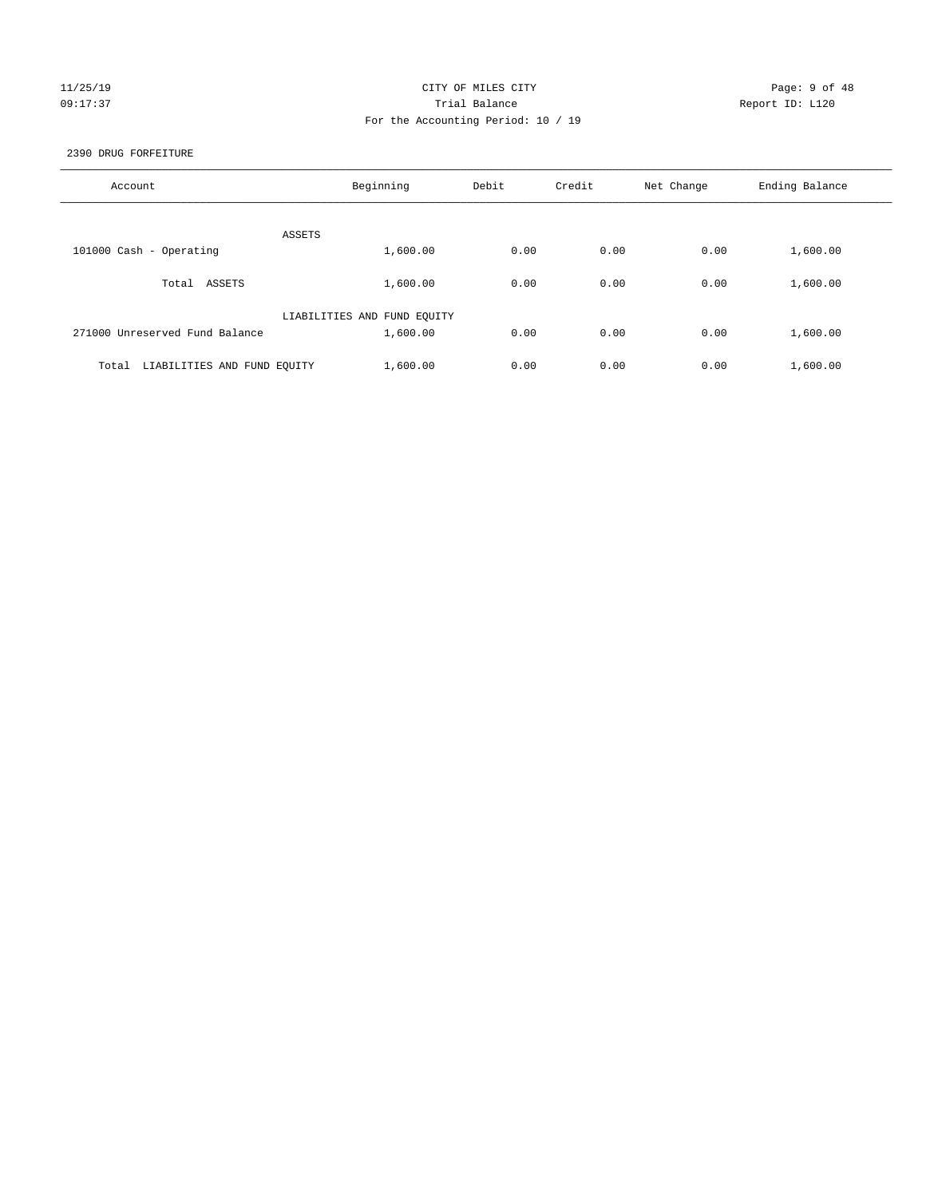## 11/25/19 **CITY OF MILES CITY CITY CITY Page: 9 of 48** 09:17:37 Trial Balance Report ID: L120 For the Accounting Period: 10 / 19

#### 2390 DRUG FORFEITURE

| Account                              | Beginning                   | Debit | Credit | Net Change | Ending Balance |
|--------------------------------------|-----------------------------|-------|--------|------------|----------------|
|                                      |                             |       |        |            |                |
|                                      | ASSETS                      |       |        |            |                |
| 101000 Cash - Operating              | 1,600.00                    | 0.00  | 0.00   | 0.00       | 1,600.00       |
| ASSETS<br>Total                      | 1,600.00                    | 0.00  | 0.00   | 0.00       | 1,600.00       |
|                                      | LIABILITIES AND FUND EQUITY |       |        |            |                |
| 271000 Unreserved Fund Balance       | 1,600.00                    | 0.00  | 0.00   | 0.00       | 1,600.00       |
|                                      |                             |       |        |            |                |
| LIABILITIES AND FUND EQUITY<br>Total | 1,600.00                    | 0.00  | 0.00   | 0.00       | 1,600.00       |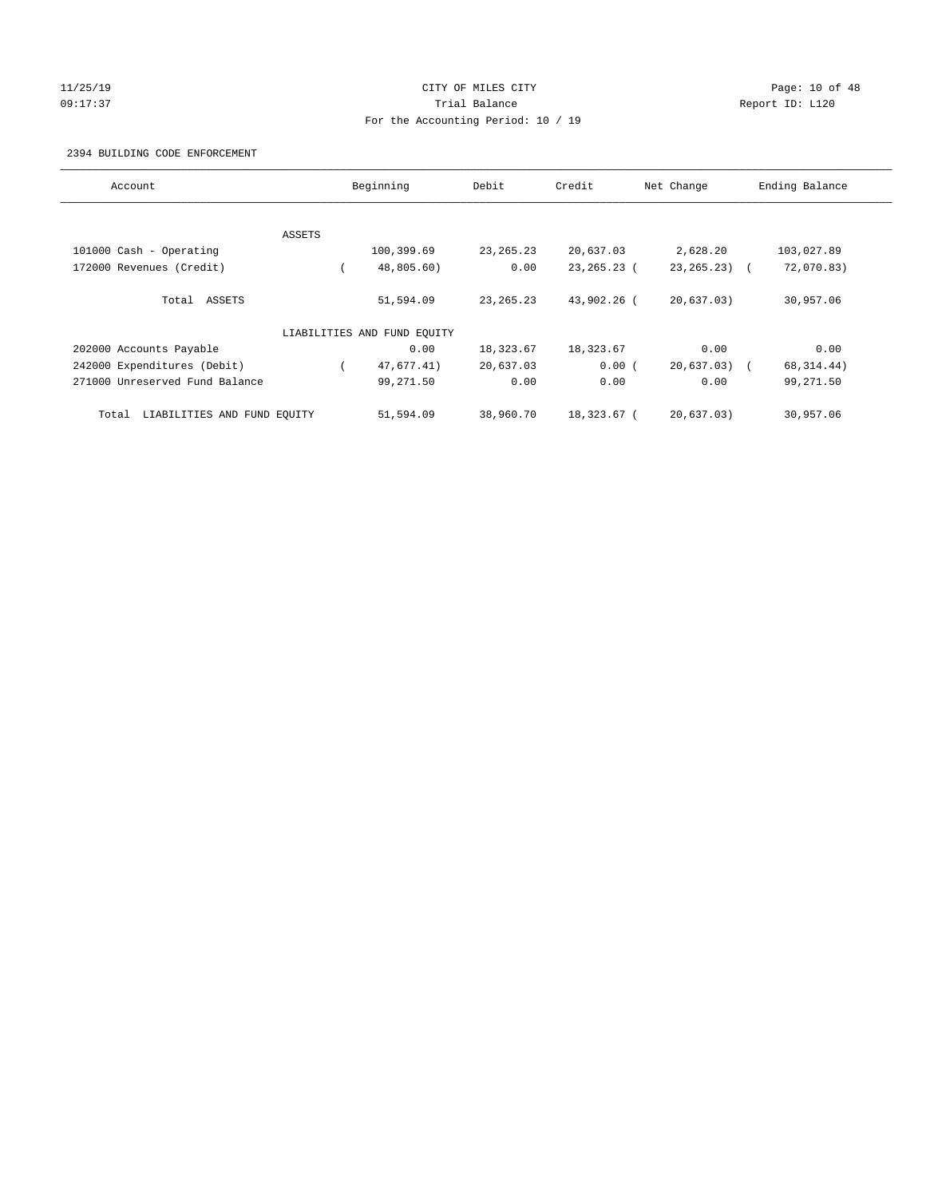#### 11/25/19 Page: 10 of 48 09:17:37 Quantity Contract Contract Contract Contract Contract Contract Contract Contract Contract Contract Contract Contract Contract Contract Contract Contract Contra For the Accounting Period: 10 / 19

#### 2394 BUILDING CODE ENFORCEMENT

| Account                              |        | Beginning                   | Debit       | Credit      | Net Change      | Ending Balance |
|--------------------------------------|--------|-----------------------------|-------------|-------------|-----------------|----------------|
|                                      |        |                             |             |             |                 |                |
|                                      | ASSETS |                             |             |             |                 |                |
| 101000 Cash - Operating              |        | 100,399.69                  | 23, 265. 23 | 20,637.03   | 2,628.20        | 103,027.89     |
| 172000 Revenues (Credit)             |        | 48,805.60)                  | 0.00        | 23,265.23 ( | $23, 265, 23$ ( | 72,070.83)     |
| Total ASSETS                         |        | 51,594.09                   | 23, 265. 23 | 43,902.26 ( | 20,637.03)      | 30,957.06      |
|                                      |        | LIABILITIES AND FUND EQUITY |             |             |                 |                |
| 202000 Accounts Payable              |        | 0.00                        | 18,323.67   | 18,323.67   | 0.00            | 0.00           |
| 242000 Expenditures (Debit)          |        | 47,677.41)                  | 20,637.03   | 0.00(       | $20,637.03$ (   | 68, 314.44)    |
| 271000 Unreserved Fund Balance       |        | 99,271.50                   | 0.00        | 0.00        | 0.00            | 99,271.50      |
| LIABILITIES AND FUND EQUITY<br>Total |        | 51,594.09                   | 38,960.70   | 18,323.67 ( | 20.637.03)      | 30,957.06      |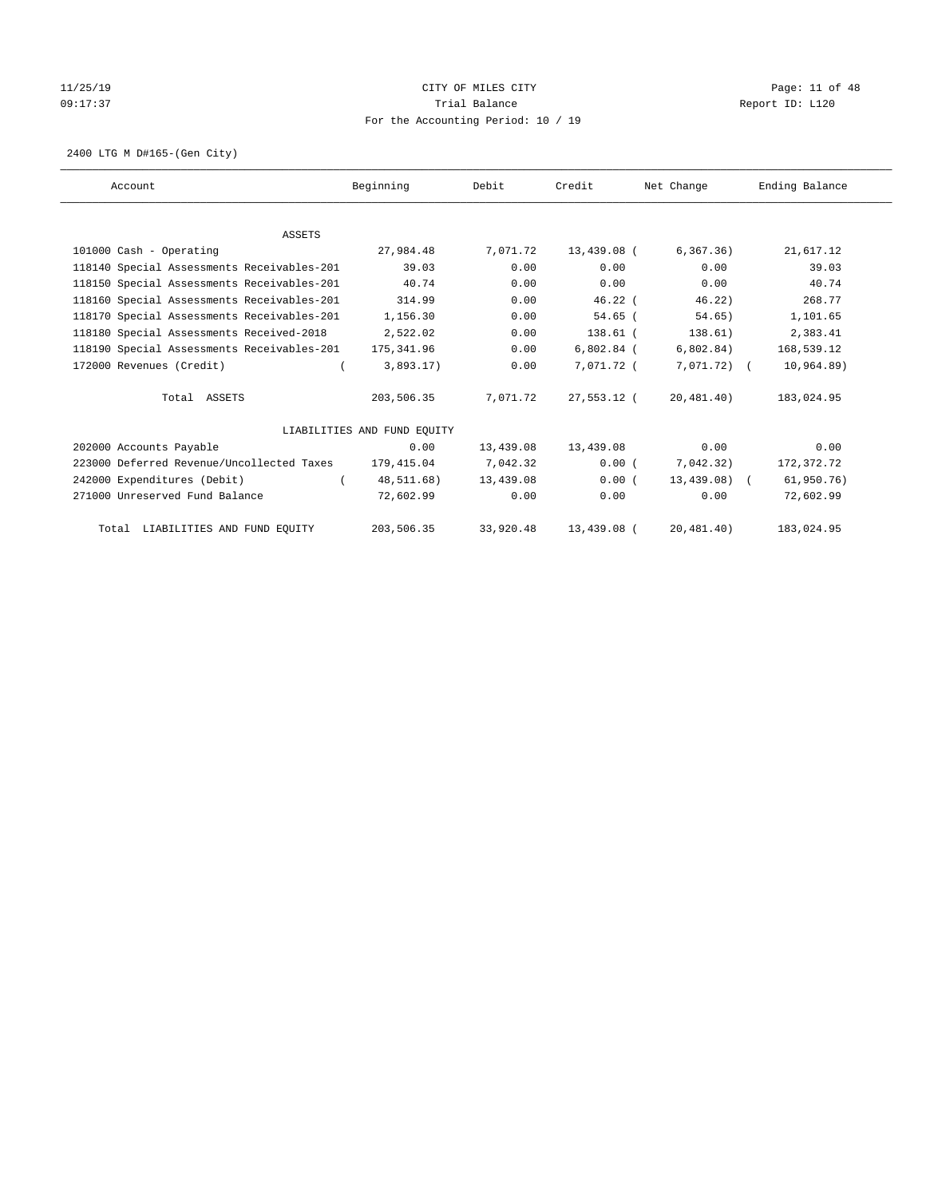# $11/25/19$  Page: 11 of 48 09:17:37 Quantity Contract Contract Contract Contract Contract Contract Contract Contract Contract Contract Contract Contract Contract Contract Contract Contract Contra For the Accounting Period: 10 / 19

2400 LTG M D#165-(Gen City)

| Account                                    | Beginning                   | Debit     | Credit       | Net Change    | Ending Balance |
|--------------------------------------------|-----------------------------|-----------|--------------|---------------|----------------|
|                                            |                             |           |              |               |                |
| <b>ASSETS</b>                              |                             |           |              |               |                |
| 101000 Cash - Operating                    | 27,984.48                   | 7,071.72  | 13,439.08 (  | 6, 367, 36)   | 21,617.12      |
| 118140 Special Assessments Receivables-201 | 39.03                       | 0.00      | 0.00         | 0.00          | 39.03          |
| 118150 Special Assessments Receivables-201 | 40.74                       | 0.00      | 0.00         | 0.00          | 40.74          |
| 118160 Special Assessments Receivables-201 | 314.99                      | 0.00      | $46.22$ (    | 46.22)        | 268.77         |
| 118170 Special Assessments Receivables-201 | 1,156.30                    | 0.00      | $54.65$ (    | 54.65)        | 1,101.65       |
| 118180 Special Assessments Received-2018   | 2,522.02                    | 0.00      | $138.61$ (   | 138.61)       | 2,383.41       |
| 118190 Special Assessments Receivables-201 | 175,341.96                  | 0.00      | $6,802.84$ ( | 6,802.84)     | 168,539.12     |
| 172000 Revenues (Credit)                   | 3,893.17)                   | 0.00      | 7.071.72 (   | 7,071.72) (   | 10, 964.89)    |
| Total ASSETS                               | 203,506.35                  | 7,071.72  | 27,553.12 (  | 20,481.40)    | 183,024.95     |
|                                            | LIABILITIES AND FUND EQUITY |           |              |               |                |
| 202000 Accounts Payable                    | 0.00                        | 13,439.08 | 13,439.08    | 0.00          | 0.00           |
| 223000 Deferred Revenue/Uncollected Taxes  | 179,415.04                  | 7,042.32  | 0.00(        | 7,042.32)     | 172,372.72     |
| 242000 Expenditures (Debit)                | 48,511.68)                  | 13,439.08 | 0.00(        | $13,439.08$ ( | 61,950.76)     |
| 271000 Unreserved Fund Balance             | 72,602.99                   | 0.00      | 0.00         | 0.00          | 72,602.99      |
| Total LIABILITIES AND FUND EQUITY          | 203,506.35                  | 33,920.48 | 13,439.08 (  | 20, 481.40)   | 183,024.95     |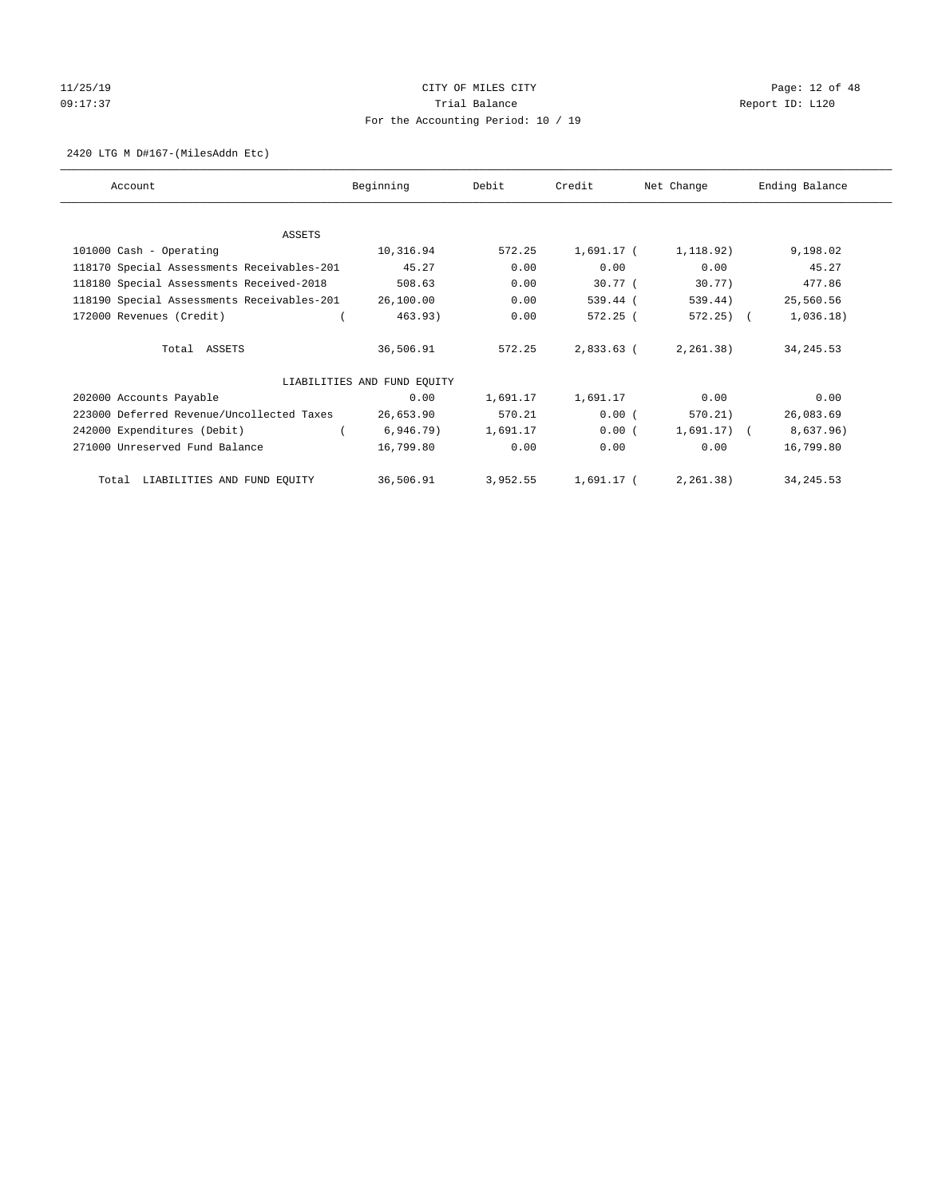# 11/25/19 **Page: 12 of 48** CITY OF MILES CITY 09:17:37 COMPOSERT TRIAL BALANCE COMPOSERT TRIAL BALANCE COMPOSERT REPORT ID: L120 For the Accounting Period: 10 / 19

#### 2420 LTG M D#167-(MilesAddn Etc)

| Account                                    | Beginning                   | Debit    | Credit       | Net Change     | Ending Balance |
|--------------------------------------------|-----------------------------|----------|--------------|----------------|----------------|
|                                            |                             |          |              |                |                |
| ASSETS                                     |                             |          |              |                |                |
| 101000 Cash - Operating                    | 10,316.94                   | 572.25   | $1,691.17$ ( | 1,118.92)      | 9,198.02       |
| 118170 Special Assessments Receivables-201 | 45.27                       | 0.00     | 0.00         | 0.00           | 45.27          |
| 118180 Special Assessments Received-2018   | 508.63                      | 0.00     | $30.77$ (    | $30.77$ )      | 477.86         |
| 118190 Special Assessments Receivables-201 | 26,100.00                   | 0.00     | 539.44 (     | 539.44)        | 25,560.56      |
| 172000 Revenues (Credit)                   | 463.93)                     | 0.00     | 572.25(      | $572.25$ ) (   | 1,036.18)      |
| Total ASSETS                               | 36,506.91                   | 572.25   | 2,833.63 (   | 2, 261.38)     | 34, 245.53     |
|                                            | LIABILITIES AND FUND EQUITY |          |              |                |                |
| 202000 Accounts Payable                    | 0.00                        | 1,691.17 | 1,691.17     | 0.00           | 0.00           |
| 223000 Deferred Revenue/Uncollected Taxes  | 26,653.90                   | 570.21   | 0.00(        | 570.21)        | 26,083.69      |
| 242000 Expenditures (Debit)                | $6,946.79$ )                | 1,691.17 | 0.00(        | $1,691.17$ ) ( | 8,637.96)      |
| 271000 Unreserved Fund Balance             | 16,799.80                   | 0.00     | 0.00         | 0.00           | 16,799.80      |
| Total LIABILITIES AND FUND EQUITY          | 36,506.91                   | 3,952.55 | $1,691.17$ ( | 2, 261.38)     | 34, 245.53     |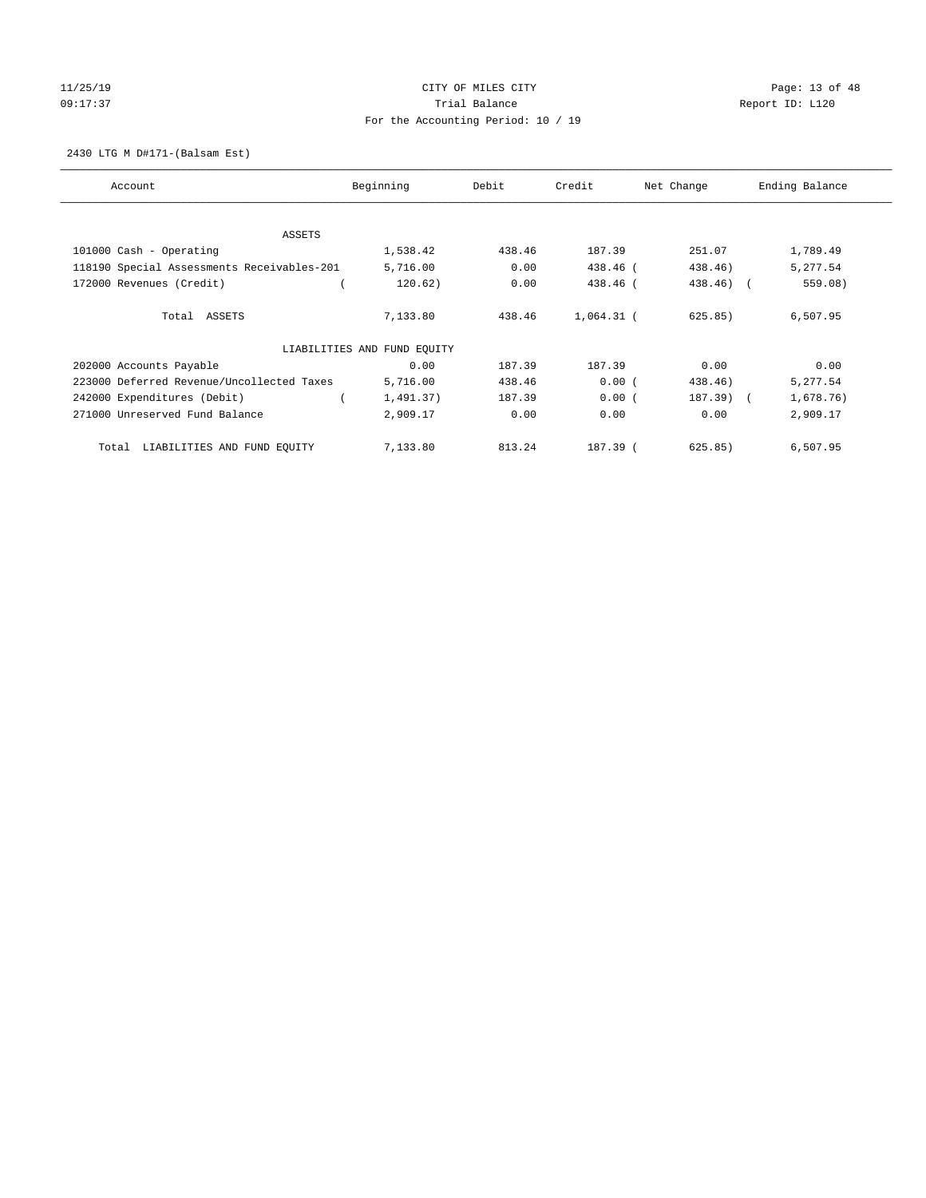# 11/25/19 **Page: 13 of 48** CITY OF MILES CITY 09:17:37 COMPOSERT TRIAL BALANCE COMPOSERT TRIAL BALANCE COMPOSERT REPORT ID: L120 For the Accounting Period: 10 / 19

2430 LTG M D#171-(Balsam Est)

| Account                                    | Beginning                   | Debit  | Credit       | Net Change   | Ending Balance |
|--------------------------------------------|-----------------------------|--------|--------------|--------------|----------------|
| <b>ASSETS</b>                              |                             |        |              |              |                |
| 101000 Cash - Operating                    | 1,538.42                    | 438.46 | 187.39       | 251.07       | 1,789.49       |
| 118190 Special Assessments Receivables-201 | 5,716.00                    | 0.00   | 438.46 (     | 438.46)      | 5,277.54       |
| 172000 Revenues (Credit)                   | 120.62)                     | 0.00   | 438.46 (     | $438.46$ ) ( | 559.08)        |
| Total ASSETS                               | 7,133.80                    | 438.46 | $1,064.31$ ( | 625.85)      | 6,507.95       |
|                                            | LIABILITIES AND FUND EQUITY |        |              |              |                |
| 202000 Accounts Payable                    | 0.00                        | 187.39 | 187.39       | 0.00         | 0.00           |
| 223000 Deferred Revenue/Uncollected Taxes  | 5,716.00                    | 438.46 | 0.00(        | 438.46)      | 5,277.54       |
| 242000 Expenditures (Debit)                | 1,491.37)                   | 187.39 | 0.00(        | 187.39) (    | 1,678.76)      |
| 271000 Unreserved Fund Balance             | 2,909.17                    | 0.00   | 0.00         | 0.00         | 2,909.17       |
| LIABILITIES AND FUND EQUITY<br>Total       | 7,133.80                    | 813.24 | 187.39 (     | 625.85)      | 6,507.95       |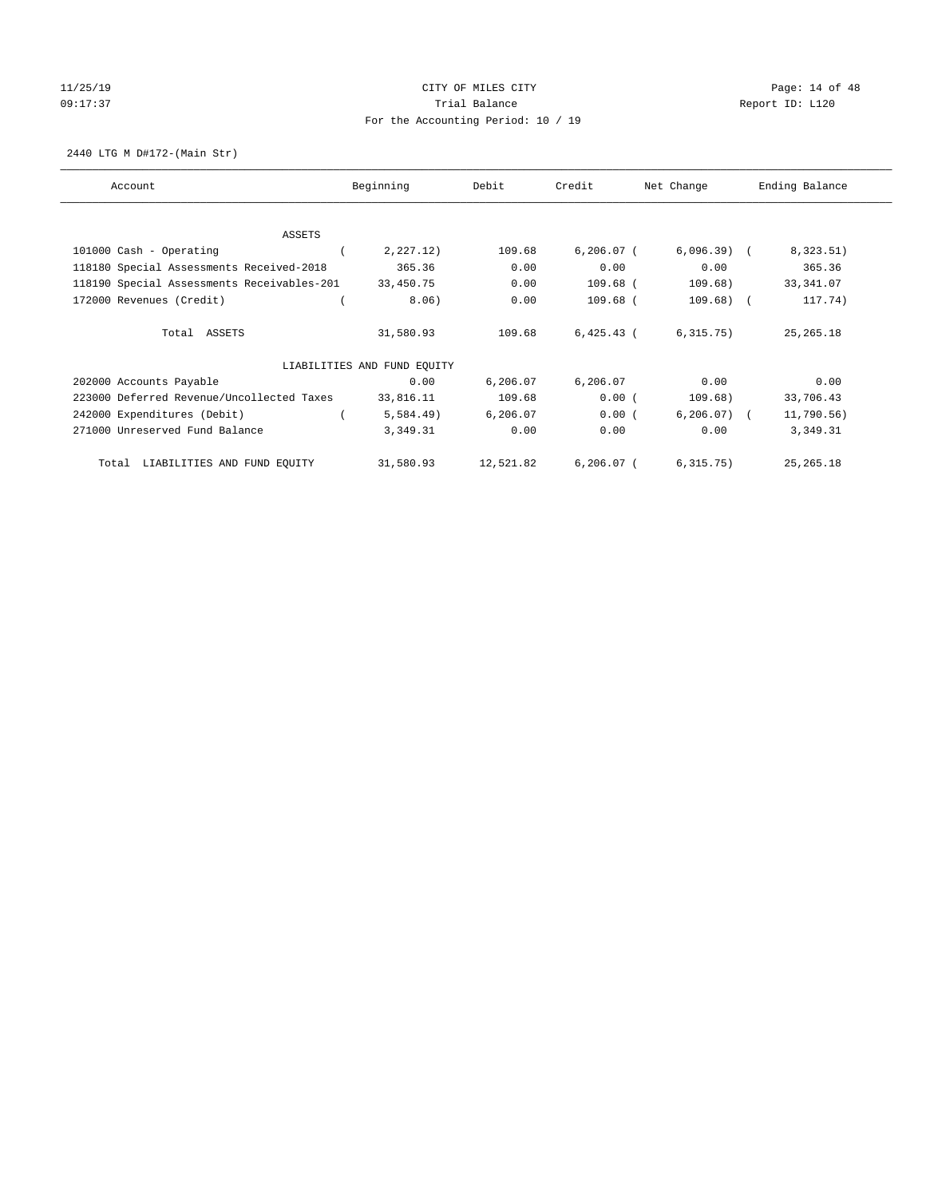# 11/25/19 **Page: 14 of 48** CITY OF MILES CITY 09:17:37 COMPOSERT TRIAL BALANCE COMPOSERT TRIAL BALANCE COMPOSERT REPORT ID: L120 For the Accounting Period: 10 / 19

2440 LTG M D#172-(Main Str)

| Account                                    | Beginning                   | Debit     | Credit       | Net Change    | Ending Balance |
|--------------------------------------------|-----------------------------|-----------|--------------|---------------|----------------|
|                                            |                             |           |              |               |                |
| <b>ASSETS</b><br>101000 Cash - Operating   | 2,227.12)                   | 109.68    | $6,206.07$ ( | $6,096.39$ (  | 8,323.51)      |
| 118180 Special Assessments Received-2018   | 365.36                      | 0.00      | 0.00         | 0.00          | 365.36         |
|                                            |                             |           |              |               |                |
| 118190 Special Assessments Receivables-201 | 33,450.75                   | 0.00      | $109.68$ (   | 109.68)       | 33, 341.07     |
| 172000 Revenues (Credit)                   | 8.06)                       | 0.00      | $109.68$ (   | $109.68$ ) (  | 117.74)        |
|                                            |                             |           |              |               |                |
| Total ASSETS                               | 31,580.93                   | 109.68    | $6,425.43$ ( | 6, 315.75)    | 25, 265. 18    |
|                                            |                             |           |              |               |                |
|                                            | LIABILITIES AND FUND EQUITY |           |              |               |                |
| 202000 Accounts Payable                    | 0.00                        | 6,206.07  | 6,206.07     | 0.00          | 0.00           |
| 223000 Deferred Revenue/Uncollected Taxes  | 33,816.11                   | 109.68    | 0.00(        | 109.68)       | 33,706.43      |
| 242000 Expenditures (Debit)                | 5,584.49)                   | 6,206.07  | 0.00(        | $6, 206.07$ ( | 11,790.56)     |
| 271000 Unreserved Fund Balance             | 3,349.31                    | 0.00      | 0.00         | 0.00          | 3,349.31       |
| LIABILITIES AND FUND EQUITY<br>Total       | 31,580.93                   | 12,521.82 | $6,206.07$ ( | 6, 315.75)    | 25, 265. 18    |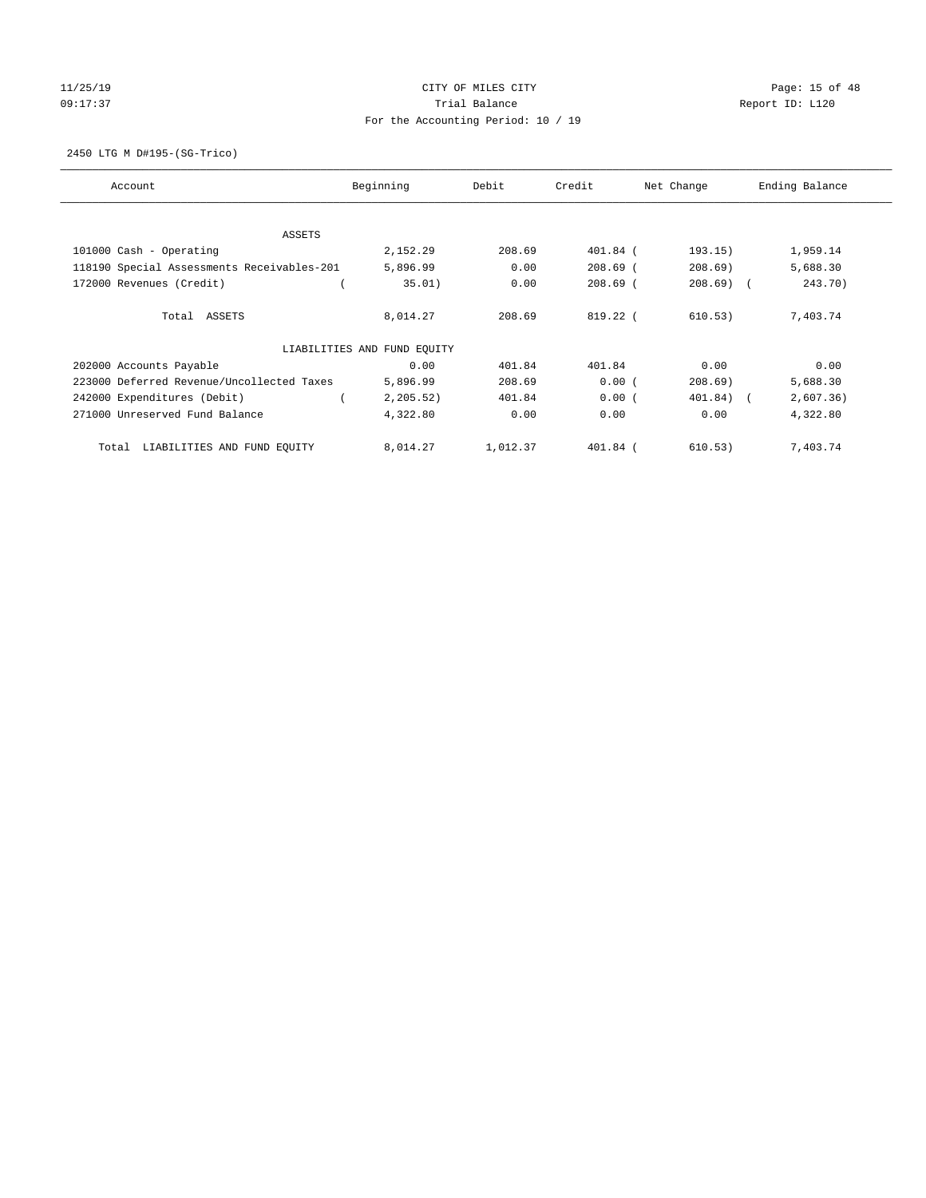# 11/25/19 **Page: 15 of 48** CITY OF MILES CITY 09:17:37 COMPOSERT TRIAL BALANCE REPORT ID: L120 For the Accounting Period: 10 / 19

2450 LTG M D#195-(SG-Trico)

| Account                                    | Beginning                   | Debit    | Credit     | Net Change | Ending Balance |
|--------------------------------------------|-----------------------------|----------|------------|------------|----------------|
| ASSETS                                     |                             |          |            |            |                |
| 101000 Cash - Operating                    | 2,152.29                    | 208.69   | 401.84 (   | 193.15)    | 1,959.14       |
| 118190 Special Assessments Receivables-201 | 5,896.99                    | 0.00     | $208.69$ ( | 208.69)    | 5,688.30       |
| 172000 Revenues (Credit)                   | 35.01)                      | 0.00     | $208.69$ ( | $208.69$ ( | 243.70)        |
| Total ASSETS                               | 8,014.27                    | 208.69   | $819.22$ ( | 610.53)    | 7,403.74       |
|                                            | LIABILITIES AND FUND EQUITY |          |            |            |                |
| 202000 Accounts Payable                    | 0.00                        | 401.84   | 401.84     | 0.00       | 0.00           |
| 223000 Deferred Revenue/Uncollected Taxes  | 5,896.99                    | 208.69   | 0.00(      | 208.69)    | 5,688.30       |
| 242000 Expenditures (Debit)                | 2, 205.52)                  | 401.84   | 0.00(      | 401.84) (  | 2,607.36)      |
| 271000 Unreserved Fund Balance             | 4,322.80                    | 0.00     | 0.00       | 0.00       | 4,322.80       |
| LIABILITIES AND FUND EQUITY<br>Total       | 8,014.27                    | 1,012.37 | 401.84 (   | 610.53)    | 7,403.74       |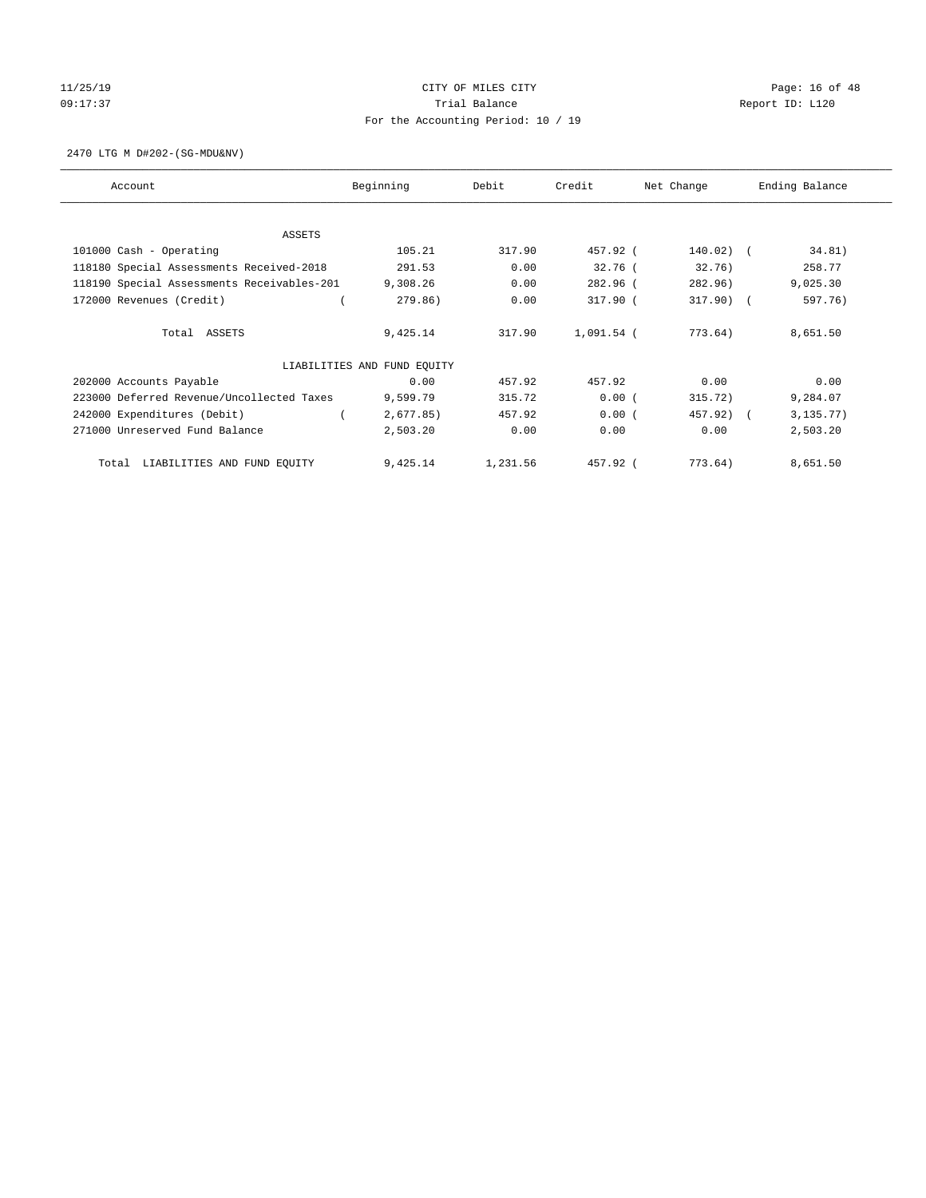# 11/25/19 **Page: 16 of 48** CITY OF MILES CITY 09:17:37 COMPOSERT TRIAL BALANCE COMPOSERT TRIAL BALANCE COMPOSERT REPORT ID: L120 For the Accounting Period: 10 / 19

2470 LTG M D#202-(SG-MDU&NV)

| Account                                    | Beginning                   | Debit    | Credit     | Net Change  | Ending Balance |
|--------------------------------------------|-----------------------------|----------|------------|-------------|----------------|
| ASSETS                                     |                             |          |            |             |                |
| 101000 Cash - Operating                    | 105.21                      | 317.90   | 457.92 (   | 140.02) (   | 34.81)         |
| 118180 Special Assessments Received-2018   | 291.53                      | 0.00     | $32.76$ (  | 32.76)      | 258.77         |
| 118190 Special Assessments Receivables-201 | 9,308.26                    | 0.00     | 282.96 (   | 282.96)     | 9,025.30       |
| 172000 Revenues (Credit)                   | 279.86)                     | 0.00     | 317.90 (   | $317.90)$ ( | 597.76)        |
| Total ASSETS                               | 9,425.14                    | 317.90   | 1,091.54 ( | 773.64)     | 8,651.50       |
|                                            |                             |          |            |             |                |
|                                            | LIABILITIES AND FUND EQUITY |          |            |             |                |
| 202000 Accounts Payable                    | 0.00                        | 457.92   | 457.92     | 0.00        | 0.00           |
| 223000 Deferred Revenue/Uncollected Taxes  | 9,599.79                    | 315.72   | 0.00(      | 315.72)     | 9,284.07       |
| 242000 Expenditures (Debit)                | 2,677.85)                   | 457.92   | 0.00(      | 457.92)     | 3, 135.77)     |
| 271000 Unreserved Fund Balance             | 2,503.20                    | 0.00     | 0.00       | 0.00        | 2,503.20       |
|                                            |                             |          |            |             |                |
| LIABILITIES AND FUND EQUITY<br>Total       | 9,425.14                    | 1,231.56 | 457.92 (   | 773.64)     | 8,651.50       |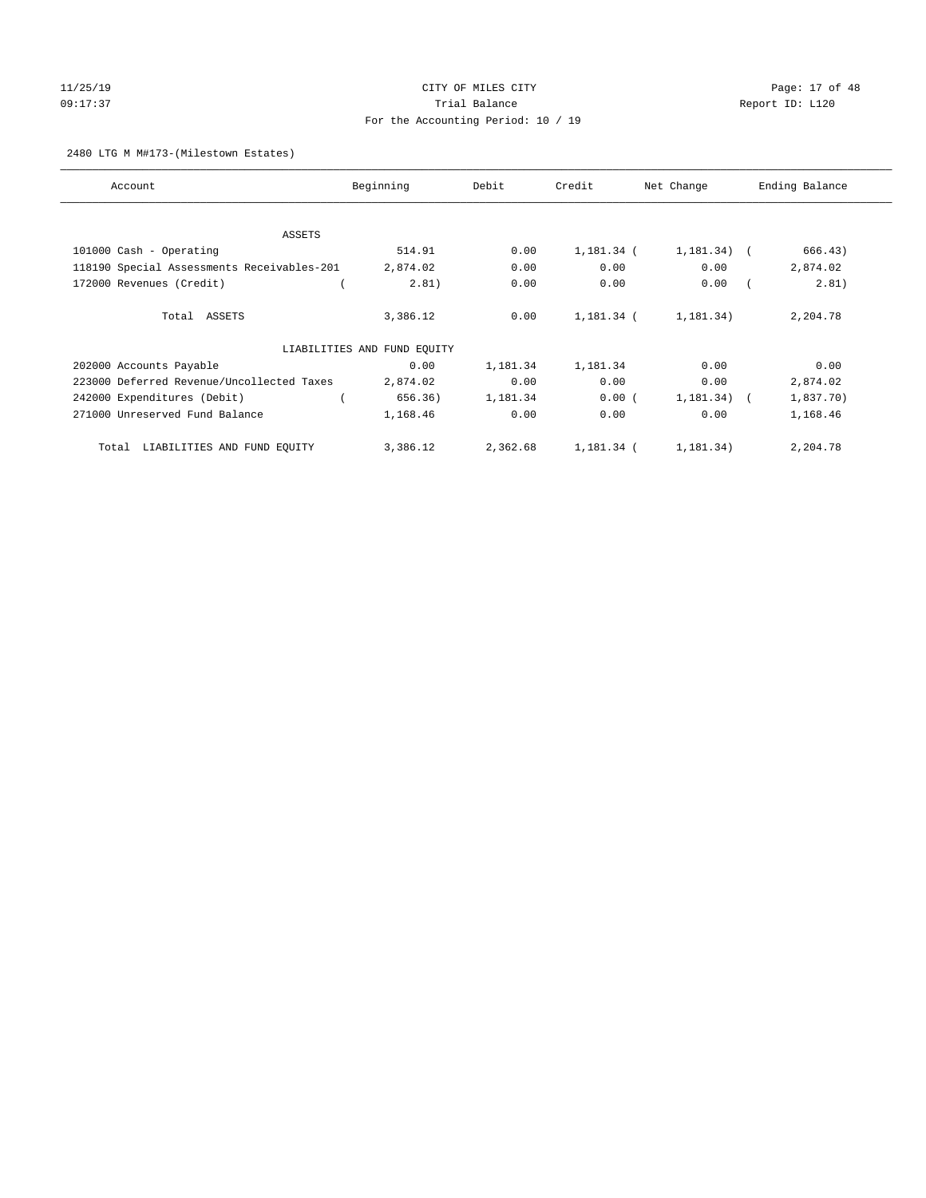# $11/25/19$  Page: 17 of 48 09:17:37 COMPOSERT TRIAL BALANCE COMPOSERT TRIAL BALANCE COMPOSERT REPORT ID: L120 For the Accounting Period: 10 / 19

#### 2480 LTG M M#173-(Milestown Estates)

| Account                                    | Beginning                   | Debit    | Credit     | Net Change    | Ending Balance |
|--------------------------------------------|-----------------------------|----------|------------|---------------|----------------|
| ASSETS                                     |                             |          |            |               |                |
| 101000 Cash - Operating                    | 514.91                      | 0.00     | 1,181.34 ( | $1,181.34)$ ( | 666.43)        |
| 118190 Special Assessments Receivables-201 | 2,874.02                    | 0.00     | 0.00       | 0.00          | 2,874.02       |
| 172000 Revenues (Credit)                   | 2.81)                       | 0.00     | 0.00       | 0.00          | 2.81)          |
| Total ASSETS                               | 3,386.12                    | 0.00     | 1,181.34 ( | 1,181.34)     | 2,204.78       |
|                                            | LIABILITIES AND FUND EQUITY |          |            |               |                |
| 202000 Accounts Payable                    | 0.00                        | 1,181.34 | 1,181.34   | 0.00          | 0.00           |
| 223000 Deferred Revenue/Uncollected Taxes  | 2,874.02                    | 0.00     | 0.00       | 0.00          | 2,874.02       |
| 242000 Expenditures (Debit)                | 656.36)                     | 1,181.34 | 0.00(      | $1,181.34)$ ( | 1,837.70)      |
| 271000 Unreserved Fund Balance             | 1,168.46                    | 0.00     | 0.00       | 0.00          | 1,168.46       |
| LIABILITIES AND FUND EQUITY<br>Total       | 3,386.12                    | 2,362.68 | 1,181.34 ( | 1,181.34)     | 2,204.78       |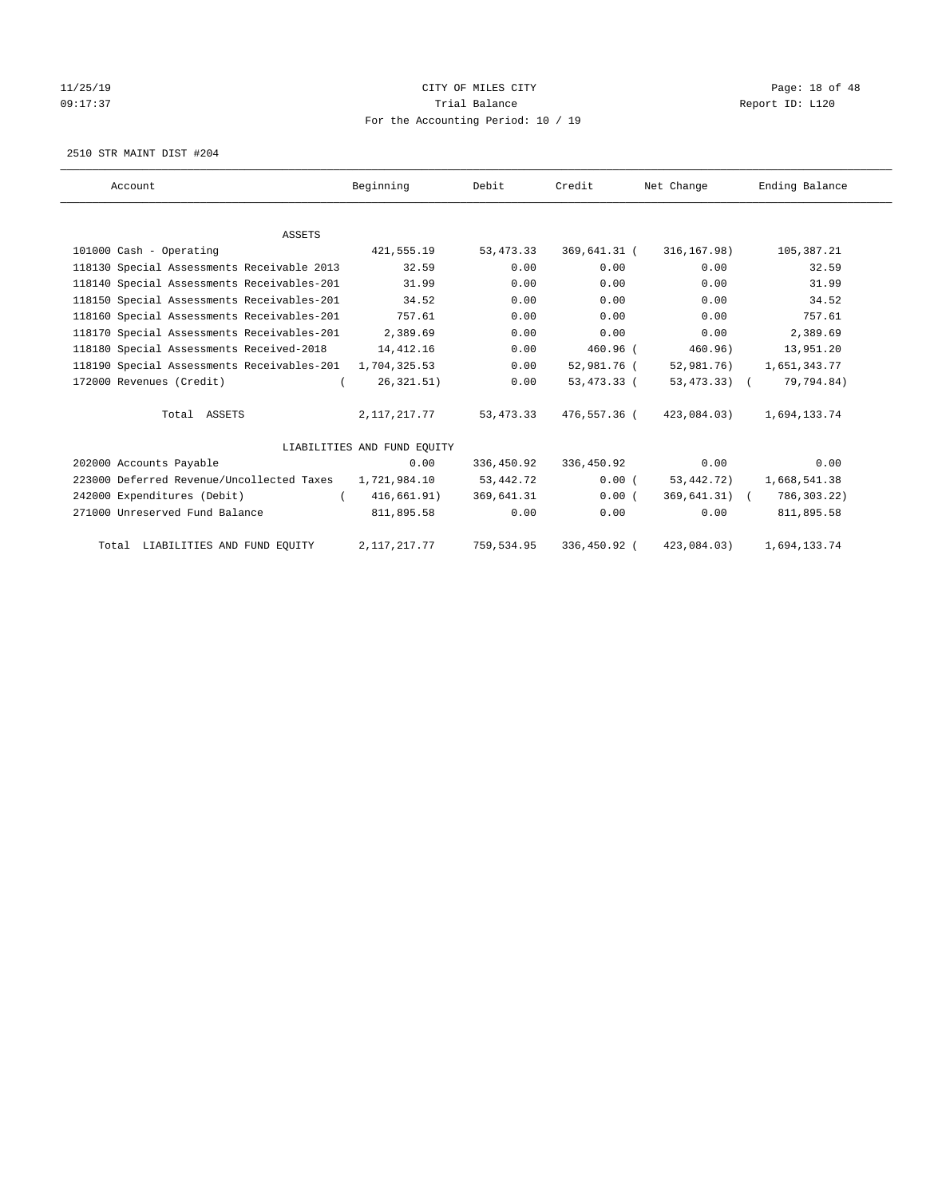# 11/25/19 **Page: 18 of 48** CITY OF MILES CITY 09:17:37 COMPOSERT TRIAL BALANCE COMPOSERT TRIAL BALANCE COMPOSERT REPORT ID: L120 For the Accounting Period: 10 / 19

2510 STR MAINT DIST #204

| Account                                                 | Beginning                   | Debit       | Credit       | Net Change      | Ending Balance |
|---------------------------------------------------------|-----------------------------|-------------|--------------|-----------------|----------------|
|                                                         |                             |             |              |                 |                |
| <b>ASSETS</b>                                           |                             |             |              |                 |                |
| 101000 Cash - Operating                                 | 421,555.19                  | 53, 473.33  | 369,641.31 ( | 316,167.98)     | 105,387.21     |
| 118130 Special Assessments Receivable 2013              | 32.59                       | 0.00        | 0.00         | 0.00            | 32.59          |
| 118140 Special Assessments Receivables-201              | 31.99                       | 0.00        | 0.00         | 0.00            | 31.99          |
| 118150 Special Assessments Receivables-201              | 34.52                       | 0.00        | 0.00         | 0.00            | 34.52          |
| 118160 Special Assessments Receivables-201              | 757.61                      | 0.00        | 0.00         | 0.00            | 757.61         |
| 118170 Special Assessments Receivables-201              | 2,389.69                    | 0.00        | 0.00         | 0.00            | 2,389.69       |
| 118180 Special Assessments Received-2018                | 14, 412.16                  | 0.00        | $460.96$ (   | 460.96)         | 13,951.20      |
| 118190 Special Assessments Receivables-201 1,704,325.53 |                             | 0.00        | 52,981.76 (  | 52,981.76)      | 1,651,343.77   |
| 172000 Revenues (Credit)                                | 26, 321.51)                 | 0.00        | 53,473.33 (  | 53,473.33) (    | 79,794.84)     |
| Total ASSETS                                            | 2,117,217.77                | 53, 473. 33 | 476,557.36 ( | 423,084.03)     | 1,694,133.74   |
|                                                         | LIABILITIES AND FUND EOUITY |             |              |                 |                |
| 202000 Accounts Payable                                 | 0.00                        | 336,450.92  | 336,450.92   | 0.00            | 0.00           |
| 223000 Deferred Revenue/Uncollected Taxes               | 1,721,984.10                | 53,442.72   | 0.00(        | 53,442.72)      | 1,668,541.38   |
| 242000 Expenditures (Debit)                             | 416,661.91)                 | 369,641.31  | 0.00(        | $369,641.31)$ ( | 786,303.22)    |
| 271000 Unreserved Fund Balance                          | 811,895.58                  | 0.00        | 0.00         | 0.00            | 811,895.58     |
| Total LIABILITIES AND FUND EQUITY                       | 2,117,217.77                | 759,534.95  | 336,450.92 ( | 423,084.03)     | 1,694,133.74   |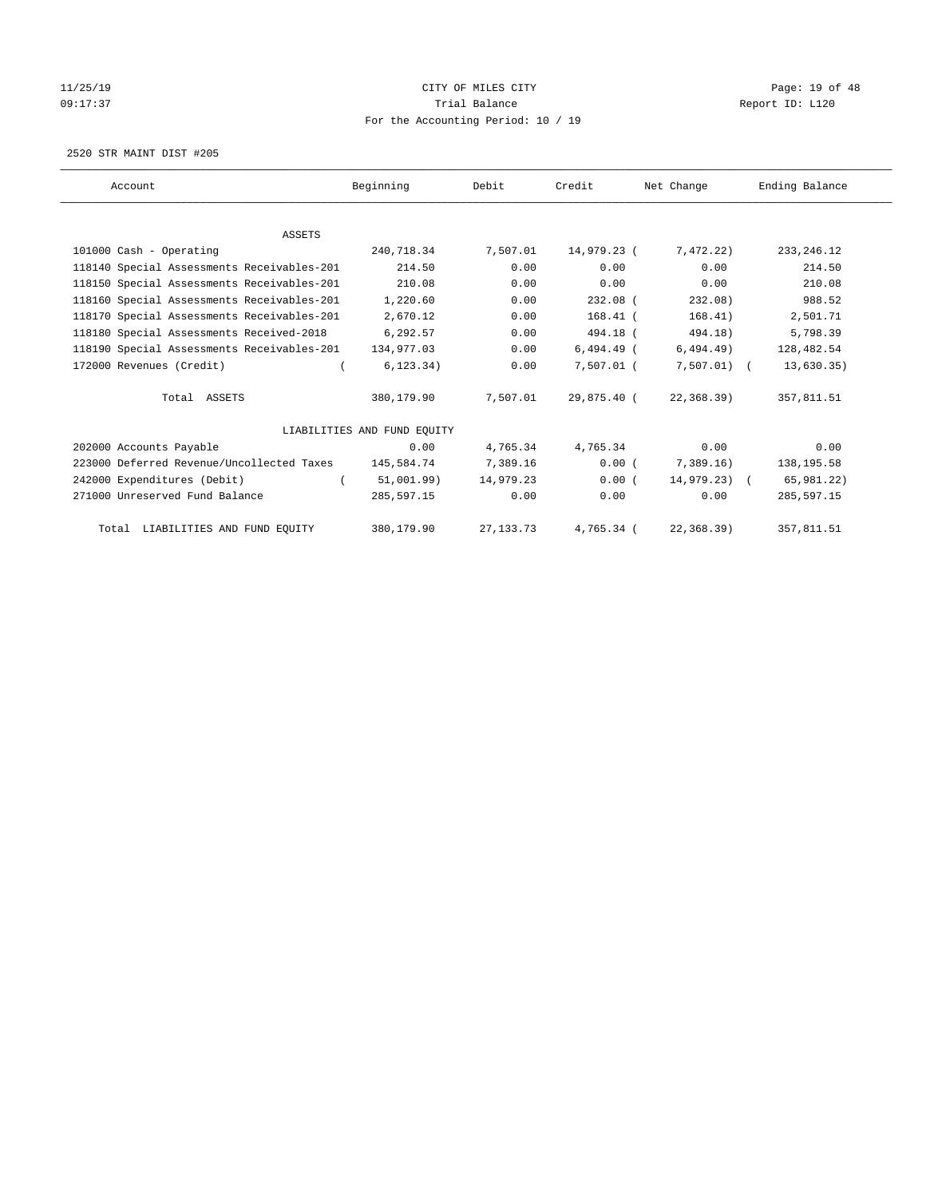# 11/25/19 **Page: 19 of 48** CITY OF MILES CITY 09:17:37 COMPOSERT TRIAL BALANCE COMPOSERT TRIAL BALANCE COMPOSERT REPORT ID: L120 For the Accounting Period: 10 / 19

2520 STR MAINT DIST #205

| Account                                    | Beginning                   | Debit       | Credit       | Net Change    | Ending Balance |
|--------------------------------------------|-----------------------------|-------------|--------------|---------------|----------------|
|                                            |                             |             |              |               |                |
| <b>ASSETS</b>                              |                             |             |              |               |                |
| 101000 Cash - Operating                    | 240,718.34                  | 7,507.01    | 14,979.23 (  | 7,472.22)     | 233, 246.12    |
| 118140 Special Assessments Receivables-201 | 214.50                      | 0.00        | 0.00         | 0.00          | 214.50         |
| 118150 Special Assessments Receivables-201 | 210.08                      | 0.00        | 0.00         | 0.00          | 210.08         |
| 118160 Special Assessments Receivables-201 | 1,220.60                    | 0.00        | $232.08$ (   | 232.08)       | 988.52         |
| 118170 Special Assessments Receivables-201 | 2,670.12                    | 0.00        | $168.41$ (   | 168.41)       | 2,501.71       |
| 118180 Special Assessments Received-2018   | 6,292.57                    | 0.00        | 494.18 (     | 494.18)       | 5,798.39       |
| 118190 Special Assessments Receivables-201 | 134,977.03                  | 0.00        | $6,494.49$ ( | 6,494.49)     | 128,482.54     |
| 172000 Revenues (Credit)                   | 6, 123.34)                  | 0.00        | 7,507.01 (   | $7,507.01)$ ( | 13,630.35)     |
| Total ASSETS                               | 380,179.90                  | 7,507.01    | 29,875.40 (  | 22,368.39)    | 357,811.51     |
|                                            | LIABILITIES AND FUND EQUITY |             |              |               |                |
| 202000 Accounts Payable                    | 0.00                        | 4,765.34    | 4,765.34     | 0.00          | 0.00           |
| 223000 Deferred Revenue/Uncollected Taxes  | 145,584.74                  | 7,389.16    | 0.00(        | 7,389.16      | 138, 195.58    |
| 242000 Expenditures (Debit)                | 51,001.99)                  | 14,979.23   | 0.00(        | $14,979.23$ ( | 65,981.22)     |
| 271000 Unreserved Fund Balance             | 285,597.15                  | 0.00        | 0.00         | 0.00          | 285,597.15     |
| Total LIABILITIES AND FUND EQUITY          | 380,179.90                  | 27, 133. 73 | 4,765.34 (   | 22, 368.39    | 357,811.51     |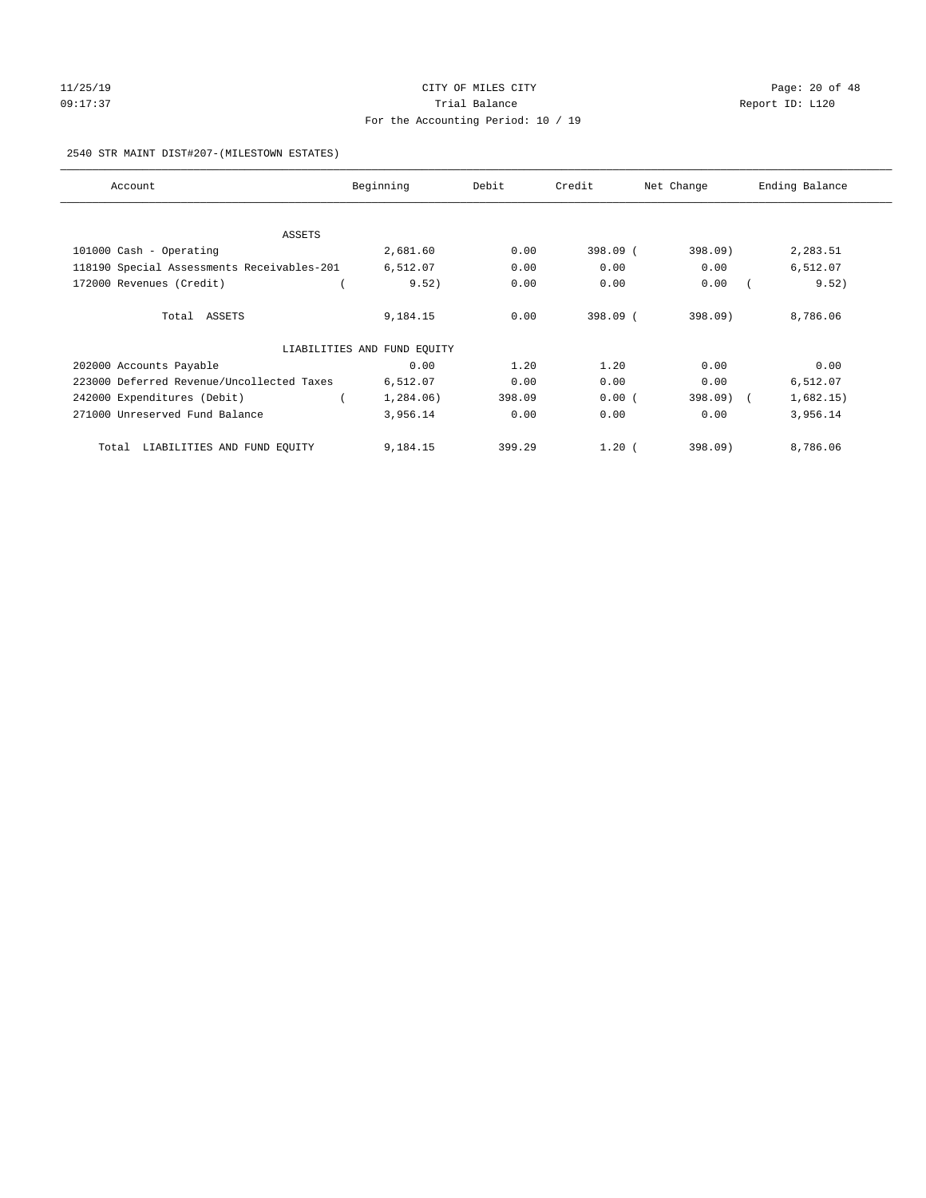# 11/25/19 Page: 20 of 48 09:17:37 COMPOSERT TRIAL BALANCE COMPOSERT TRIAL BALANCE COMPOSERT REPORT ID: L120 For the Accounting Period: 10 / 19

#### 2540 STR MAINT DIST#207-(MILESTOWN ESTATES)

| Account                                    | Beginning                   | Debit  | Credit   | Net Change | Ending Balance |
|--------------------------------------------|-----------------------------|--------|----------|------------|----------------|
| ASSETS                                     |                             |        |          |            |                |
| 101000 Cash - Operating                    | 2,681.60                    | 0.00   | 398.09 ( | 398.09)    | 2,283.51       |
| 118190 Special Assessments Receivables-201 | 6,512.07                    | 0.00   | 0.00     | 0.00       | 6,512.07       |
| 172000 Revenues (Credit)                   | 9.52)                       | 0.00   | 0.00     | 0.00       | 9.52)          |
| Total ASSETS                               | 9,184.15                    | 0.00   | 398.09 ( | 398.09     | 8,786.06       |
|                                            | LIABILITIES AND FUND EQUITY |        |          |            |                |
| 202000 Accounts Payable                    | 0.00                        | 1.20   | 1.20     | 0.00       | 0.00           |
| 223000 Deferred Revenue/Uncollected Taxes  | 6,512.07                    | 0.00   | 0.00     | 0.00       | 6,512.07       |
| 242000 Expenditures (Debit)                | 1,284.06)                   | 398.09 | 0.00(    | 398.09) (  | 1,682.15)      |
| 271000 Unreserved Fund Balance             | 3,956.14                    | 0.00   | 0.00     | 0.00       | 3,956.14       |
| LIABILITIES AND FUND EQUITY<br>Total       | 9,184.15                    | 399.29 | 1.20(    | 398.09     | 8,786.06       |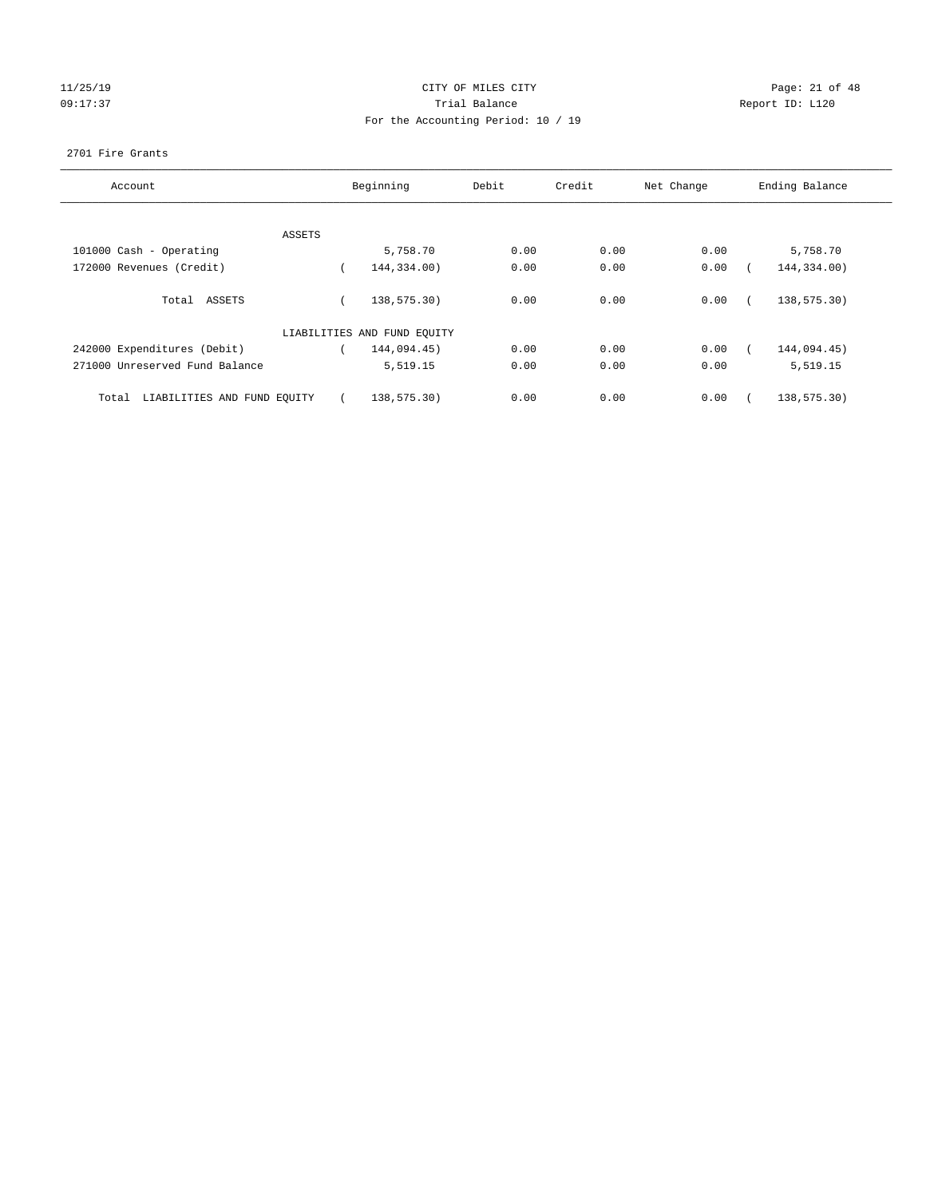# 11/25/19 **Page: 21 of 48** CITY OF MILES CITY 09:17:37 COMPOSERT TRIAL BALANCE COMPOSERT TRIAL BALANCE COMPOSERT REPORT ID: L120 For the Accounting Period: 10 / 19

#### 2701 Fire Grants

| Account                              |        | Beginning                   | Debit | Credit | Net Change | Ending Balance |
|--------------------------------------|--------|-----------------------------|-------|--------|------------|----------------|
|                                      |        |                             |       |        |            |                |
|                                      |        |                             |       |        |            |                |
|                                      | ASSETS |                             |       |        |            |                |
| 101000 Cash - Operating              |        | 5,758.70                    | 0.00  | 0.00   | 0.00       | 5,758.70       |
| 172000 Revenues (Credit)             |        | 144,334.00)                 | 0.00  | 0.00   | 0.00       | 144,334.00)    |
| Total ASSETS                         |        | 138,575.30)                 | 0.00  | 0.00   | 0.00       | 138,575.30)    |
|                                      |        |                             |       |        |            |                |
|                                      |        | LIABILITIES AND FUND EQUITY |       |        |            |                |
| 242000 Expenditures (Debit)          |        | 144,094.45)                 | 0.00  | 0.00   | 0.00       | 144,094.45)    |
| 271000 Unreserved Fund Balance       |        | 5,519.15                    | 0.00  | 0.00   | 0.00       | 5,519.15       |
| LIABILITIES AND FUND EQUITY<br>Total |        | 138,575.30)                 | 0.00  | 0.00   | 0.00       | 138,575.30)    |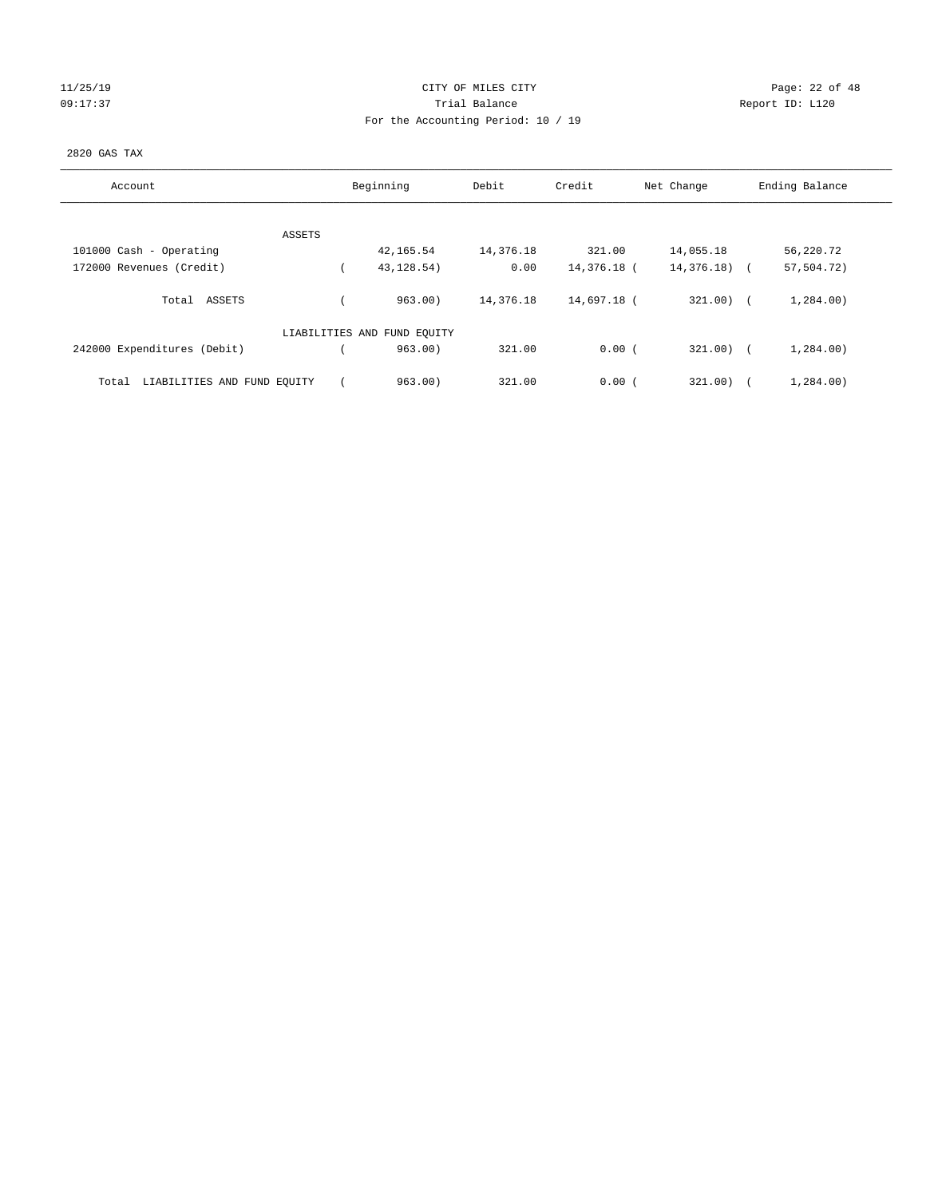# 11/25/19 **Page: 22 of 48** 09:17:37 COMPOSERT TRIAL BALANCE COMPOSERT TRIAL BALANCE COMPOSERT REPORT ID: L120 For the Accounting Period: 10 / 19

#### 2820 GAS TAX

| Account                              | Beginning                   | Debit     | Credit      | Net Change   | Ending Balance |
|--------------------------------------|-----------------------------|-----------|-------------|--------------|----------------|
|                                      |                             |           |             |              |                |
| ASSETS                               |                             |           |             |              |                |
| 101000 Cash - Operating              | 42,165.54                   | 14,376.18 | 321.00      | 14,055.18    | 56,220.72      |
| 172000 Revenues (Credit)             | 43, 128.54)                 | 0.00      | 14,376.18 ( | 14,376.18) ( | 57,504.72)     |
| ASSETS<br>Total                      | 963.00                      | 14,376.18 | 14,697.18 ( | $321.00$ ) ( | 1,284.00)      |
|                                      | LIABILITIES AND FUND EQUITY |           |             |              |                |
| 242000 Expenditures (Debit)          | 963.00                      | 321.00    | 0.00(       | $321.00$ ) ( | 1,284.00)      |
| LIABILITIES AND FUND EQUITY<br>Total | 963.00                      | 321.00    | 0.00(       | 321.00       | 1,284.00)      |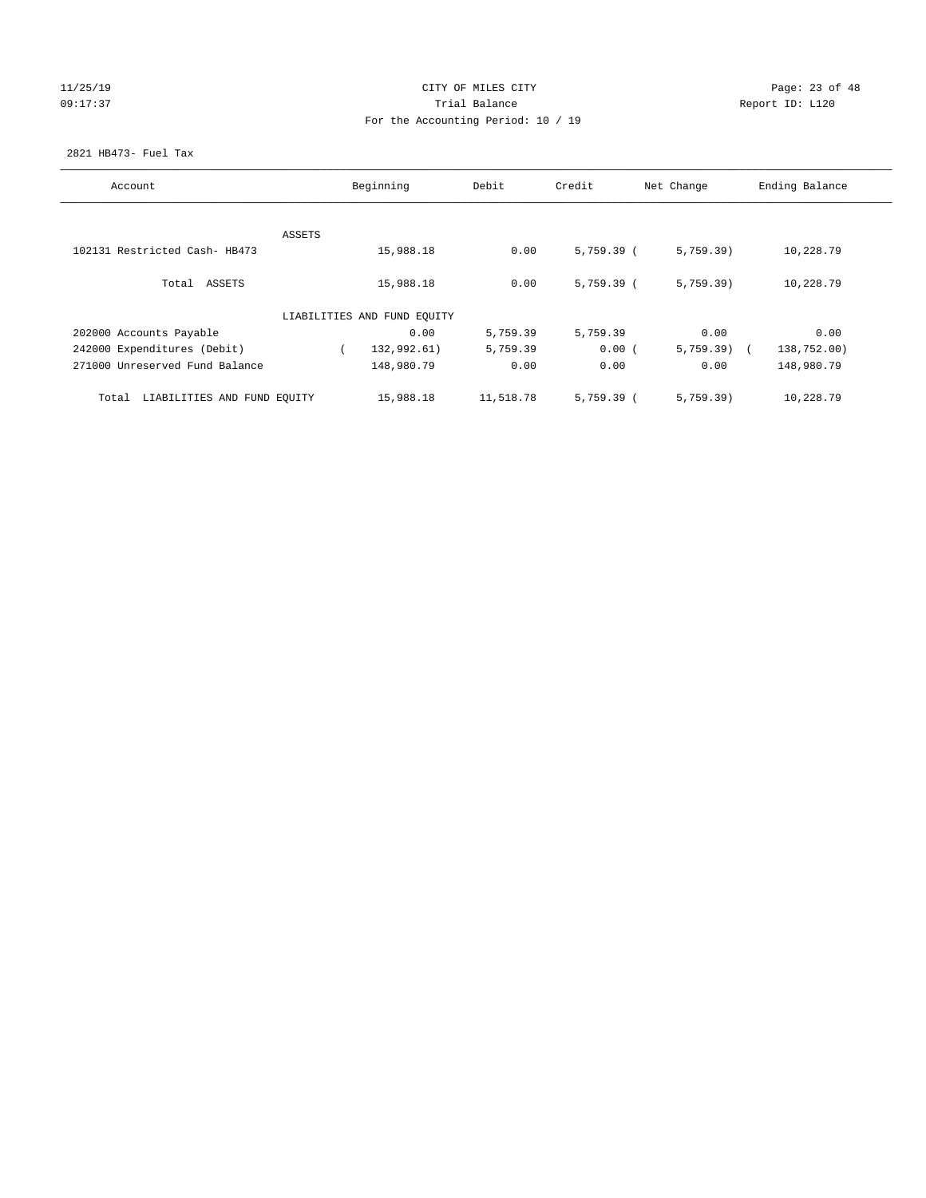# 11/25/19 **Page: 23 of 48** 09:17:37 COMPOSERT TRIAL BALANCE COMPOSERT TRIAL BALANCE COMPOSERT REPORT ID: L120 For the Accounting Period: 10 / 19

#### 2821 HB473- Fuel Tax

| Account                              | Beginning |                             | Debit     | Credit       | Net Change   | Ending Balance |
|--------------------------------------|-----------|-----------------------------|-----------|--------------|--------------|----------------|
|                                      | ASSETS    |                             |           |              |              |                |
| 102131 Restricted Cash- HB473        |           | 15,988.18                   | 0.00      | $5,759.39$ ( | 5,759.39)    | 10,228.79      |
| Total ASSETS                         |           | 15,988.18                   | 0.00      | $5,759.39$ ( | 5,759.39)    | 10,228.79      |
|                                      |           | LIABILITIES AND FUND EQUITY |           |              |              |                |
| 202000 Accounts Payable              |           | 0.00                        | 5,759.39  | 5,759.39     | 0.00         | 0.00           |
| 242000 Expenditures (Debit)          |           | 132,992.61)                 | 5,759.39  | 0.00(        | $5,759.39$ ( | 138,752.00)    |
| 271000 Unreserved Fund Balance       |           | 148,980.79                  | 0.00      | 0.00         | 0.00         | 148,980.79     |
| LIABILITIES AND FUND EQUITY<br>Total |           | 15,988.18                   | 11,518.78 | $5,759.39$ ( | 5,759.39)    | 10,228.79      |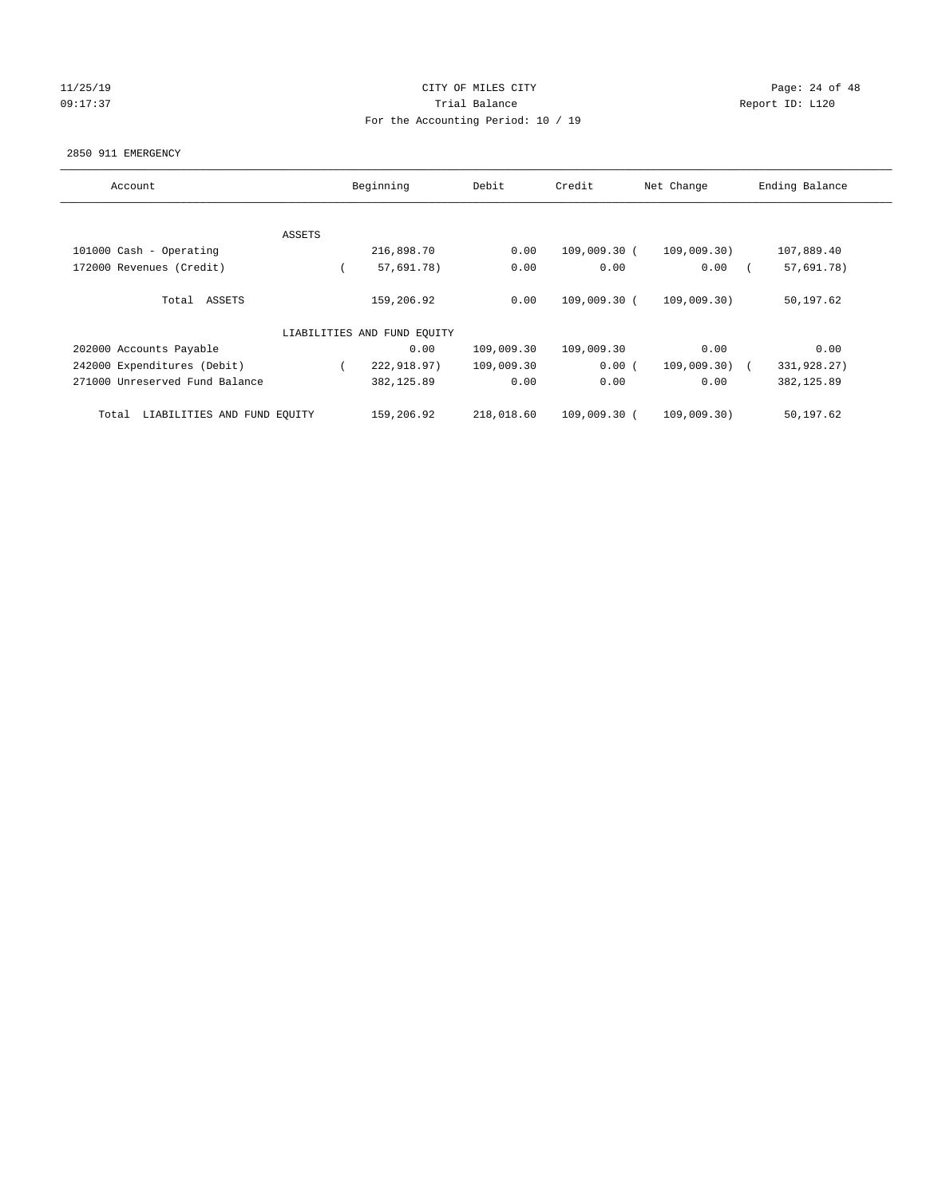## 11/25/19 **Page: 24 of 48** 09:17:37 Quantity Contract Contract Contract Contract Contract Contract Contract Contract Contract Contract Contract Contract Contract Contract Contract Contract Contra For the Accounting Period: 10 / 19

#### 2850 911 EMERGENCY

| Account                              |        | Beginning                   | Debit      | Credit       | Net Change     | Ending Balance |
|--------------------------------------|--------|-----------------------------|------------|--------------|----------------|----------------|
|                                      |        |                             |            |              |                |                |
|                                      | ASSETS |                             |            |              |                |                |
| 101000 Cash - Operating              |        | 216,898.70                  | 0.00       | 109,009.30 ( | 109,009.30)    | 107,889.40     |
| 172000 Revenues (Credit)             |        | 57,691.78)                  | 0.00       | 0.00         | 0.00           | 57,691.78)     |
| Total ASSETS                         |        | 159,206.92                  | 0.00       | 109,009.30 ( | 109,009.30)    | 50,197.62      |
|                                      |        | LIABILITIES AND FUND EQUITY |            |              |                |                |
| 202000 Accounts Payable              |        | 0.00                        | 109,009.30 | 109,009.30   | 0.00           | 0.00           |
| 242000 Expenditures (Debit)          |        | 222,918.97)                 | 109,009.30 | 0.00(        | $109,009.30$ ( | 331,928.27)    |
| 271000 Unreserved Fund Balance       |        | 382,125.89                  | 0.00       | 0.00         | 0.00           | 382, 125.89    |
| LIABILITIES AND FUND EQUITY<br>Total |        | 159,206.92                  | 218,018.60 | 109,009.30 ( | 109,009.30)    | 50,197.62      |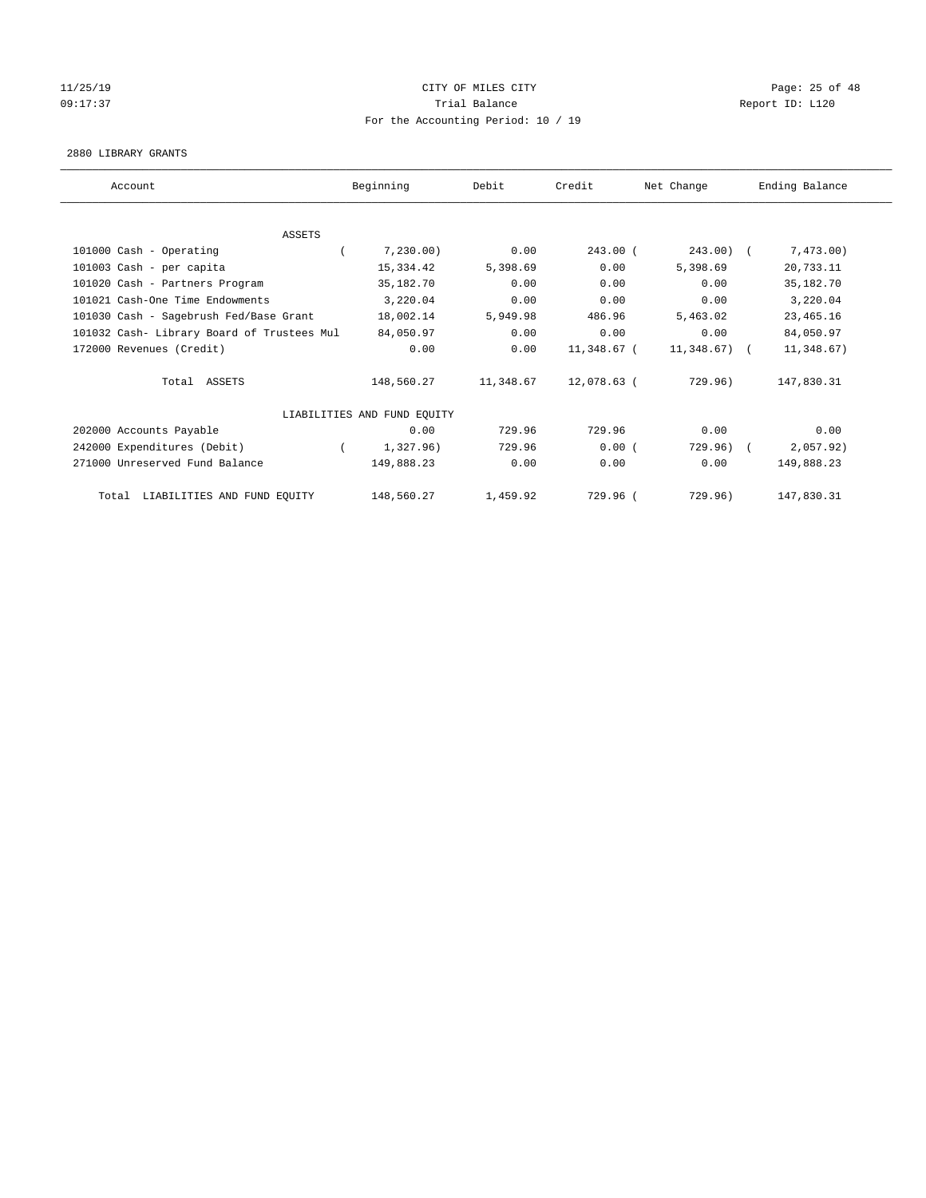# $CITY$  OF MILES  $CITY$  and the contract of  $P_1$   $P_2$  and  $P_3$   $P_4$   $P_5$   $P_6$   $P_7$   $P_8$   $P_8$   $P_9$   $P_9$   $P_9$   $P_9$   $P_9$   $P_8$   $P_9$   $P_9$   $P_9$   $P_9$   $P_9$   $P_9$   $P_9$   $P_9$   $P_9$   $P_9$   $P_9$   $P_9$   $P_9$   $P_9$   $P_9$ 09:17:37 COMPOSERT TRIAL BALANCE COMPOSERT TRIAL BALANCE COMPOSERT REPORT ID: L120 For the Accounting Period: 10 / 19

#### 2880 LIBRARY GRANTS

| Account                                    | Beginning                   | Debit     | Credit      | Net Change    | Ending Balance |
|--------------------------------------------|-----------------------------|-----------|-------------|---------------|----------------|
|                                            |                             |           |             |               |                |
| <b>ASSETS</b>                              |                             |           |             |               |                |
| 101000 Cash - Operating                    | 7,230.00                    | 0.00      | $243.00$ (  | $243.00$ (    | 7,473.00)      |
| 101003 Cash - per capita                   | 15,334.42                   | 5,398.69  | 0.00        | 5,398.69      | 20,733.11      |
| 101020 Cash - Partners Program             | 35,182.70                   | 0.00      | 0.00        | 0.00          | 35,182.70      |
| 101021 Cash-One Time Endowments            | 3,220.04                    | 0.00      | 0.00        | 0.00          | 3,220.04       |
| 101030 Cash - Sagebrush Fed/Base Grant     | 18,002.14                   | 5,949.98  | 486.96      | 5,463.02      | 23, 465.16     |
| 101032 Cash- Library Board of Trustees Mul | 84,050.97                   | 0.00      | 0.00        | 0.00          | 84,050.97      |
| 172000 Revenues (Credit)                   | 0.00                        | 0.00      | 11,348.67 ( | $11,348.67$ ( | 11,348.67)     |
| Total ASSETS                               | 148,560.27                  | 11,348.67 | 12,078.63 ( | 729.96)       | 147,830.31     |
|                                            | LIABILITIES AND FUND EQUITY |           |             |               |                |
| 202000 Accounts Payable                    | 0.00                        | 729.96    | 729.96      | 0.00          | 0.00           |
| 242000 Expenditures (Debit)                | 1,327.96)                   | 729.96    | 0.00(       | 729.96)       | 2,057.92)      |
| 271000 Unreserved Fund Balance             | 149,888.23                  | 0.00      | 0.00        | 0.00          | 149,888.23     |
| LIABILITIES AND FUND EQUITY<br>Total       | 148,560.27                  | 1,459.92  | 729.96 (    | 729.96)       | 147,830.31     |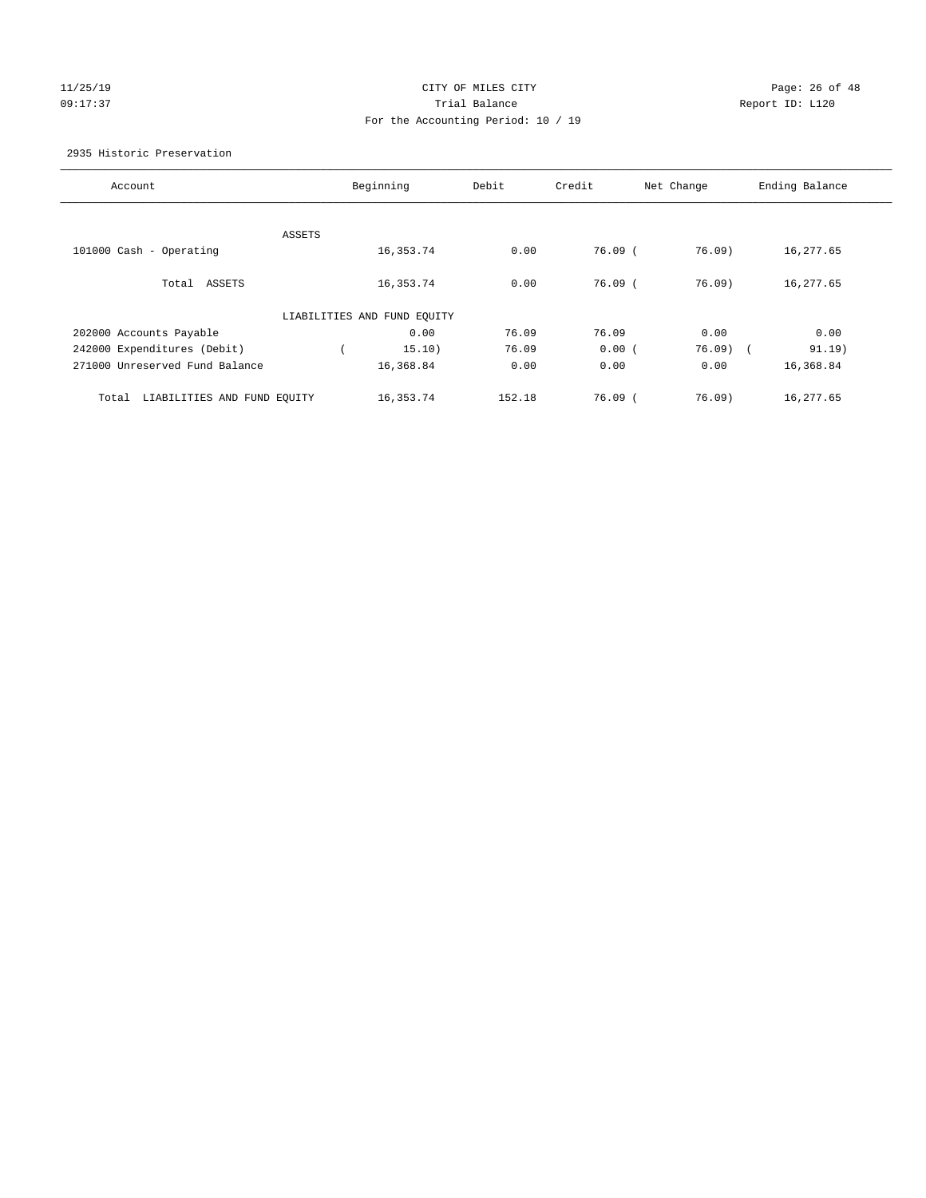# 11/25/19 Page: 26 of 48 09:17:37 Trial Balance Report ID: L120 For the Accounting Period: 10 / 19

#### 2935 Historic Preservation

| Account                              |        | Beginning                   | Debit  | Credit      | Net Change | Ending Balance |
|--------------------------------------|--------|-----------------------------|--------|-------------|------------|----------------|
|                                      | ASSETS |                             |        |             |            |                |
| 101000 Cash - Operating              |        | 16,353.74                   | 0.00   | $76.09$ (   | 76.09      | 16,277.65      |
| Total ASSETS                         |        | 16,353.74                   | 0.00   | $76.09$ $($ | 76.09      | 16,277.65      |
|                                      |        | LIABILITIES AND FUND EQUITY |        |             |            |                |
| 202000 Accounts Payable              |        | 0.00                        | 76.09  | 76.09       | 0.00       | 0.00           |
| 242000 Expenditures (Debit)          |        | 15.10)                      | 76.09  | 0.00(       | $76.09$ (  | 91.19)         |
| 271000 Unreserved Fund Balance       |        | 16,368.84                   | 0.00   | 0.00        | 0.00       | 16,368.84      |
| LIABILITIES AND FUND EQUITY<br>Total |        | 16,353.74                   | 152.18 | 76.09(      | 76.09)     | 16,277.65      |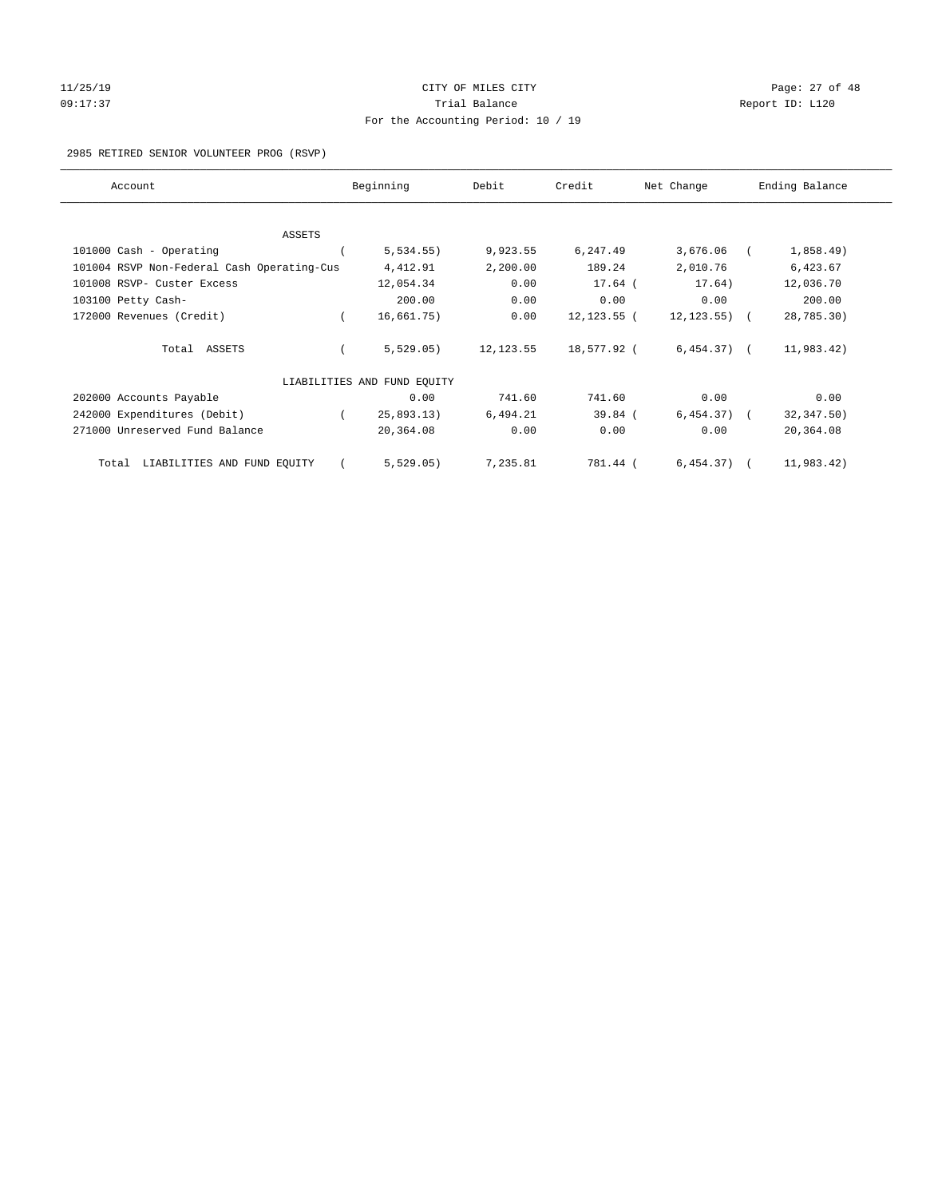# 11/25/19 Page: 27 of 48 09:17:37 Quantity Contract Contract Contract Contract Contract Contract Contract Contract Contract Contract Contract Contract Contract Contract Contract Contract Contra For the Accounting Period: 10 / 19

#### 2985 RETIRED SENIOR VOLUNTEER PROG (RSVP)

| Account                                    | Beginning                   | Debit      | Credit         | Net Change   | Ending Balance |
|--------------------------------------------|-----------------------------|------------|----------------|--------------|----------------|
|                                            |                             |            |                |              |                |
| <b>ASSETS</b>                              |                             |            |                |              |                |
| 101000 Cash - Operating                    | 5,534.55)                   | 9,923.55   | 6,247.49       | 3,676.06     | 1,858.49)      |
| 101004 RSVP Non-Federal Cash Operating-Cus | 4,412.91                    | 2,200.00   | 189.24         | 2,010.76     | 6,423.67       |
| 101008 RSVP- Custer Excess                 | 12,054.34                   | 0.00       | $17.64$ (      | 17.64)       | 12,036.70      |
| 103100 Petty Cash-                         | 200.00                      | 0.00       | 0.00           | 0.00         | 200.00         |
| 172000 Revenues (Credit)                   | 16,661.75)                  | 0.00       | $12, 123.55$ ( | 12, 123.55)  | 28,785.30)     |
| Total ASSETS                               | 5,529.05)                   | 12, 123.55 | 18,577.92 (    | $6,454.37$ ( | 11,983.42)     |
|                                            | LIABILITIES AND FUND EQUITY |            |                |              |                |
| 202000 Accounts Payable                    | 0.00                        | 741.60     | 741.60         | 0.00         | 0.00           |
| 242000 Expenditures (Debit)                | 25,893.13)                  | 6,494.21   | $39.84$ (      | $6,454.37$ ( | 32, 347.50)    |
| 271000 Unreserved Fund Balance             | 20,364.08                   | 0.00       | 0.00           | 0.00         | 20,364.08      |
| LIABILITIES AND FUND EQUITY<br>Total       | 5,529.05)                   | 7,235.81   | 781.44 (       | $6,454.37$ ( | 11,983.42)     |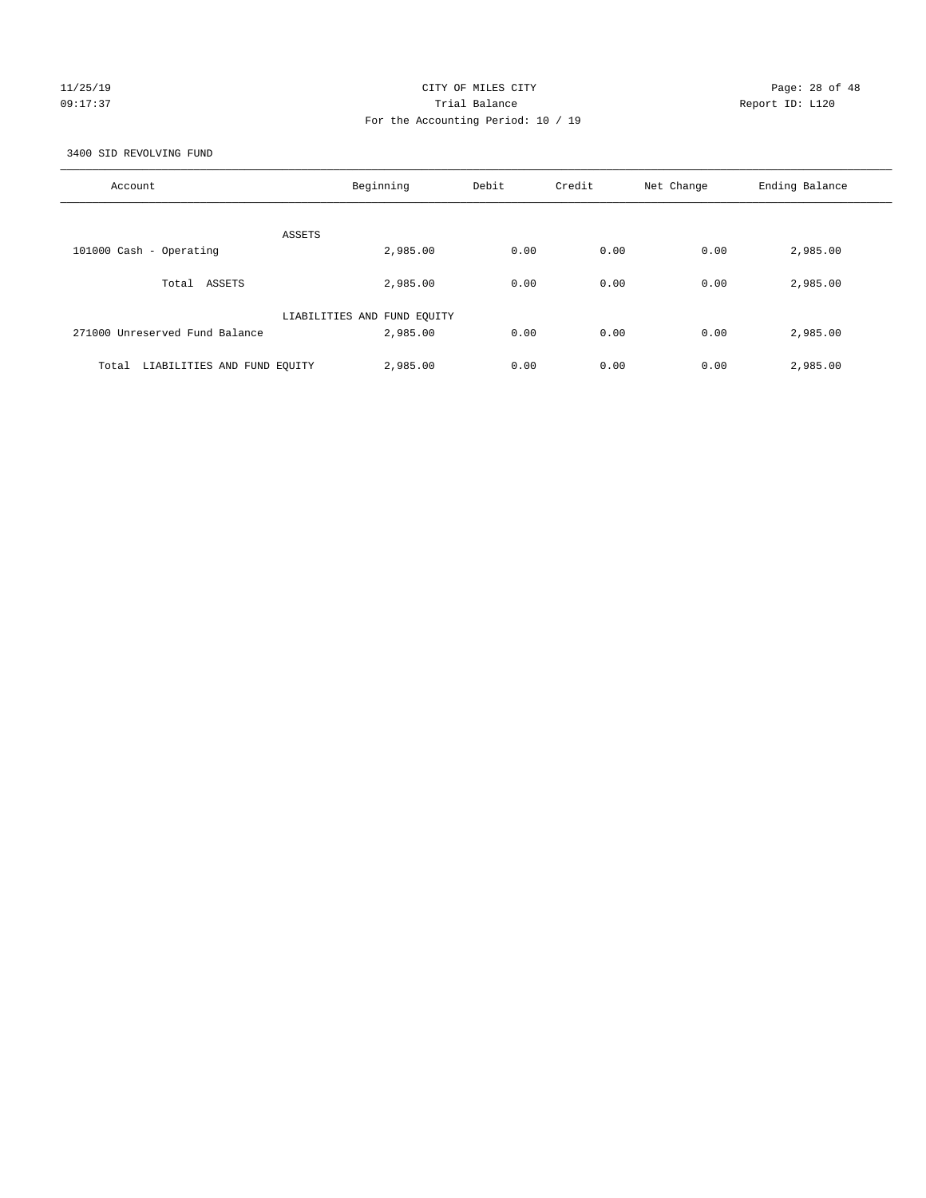## 11/25/19 Page: 28 of 48 09:17:37 Trial Balance Report ID: L120 For the Accounting Period: 10 / 19

3400 SID REVOLVING FUND

| Account                              | Beginning                   | Debit | Credit | Net Change | Ending Balance |
|--------------------------------------|-----------------------------|-------|--------|------------|----------------|
| ASSETS                               |                             |       |        |            |                |
| 101000 Cash - Operating              | 2,985.00                    | 0.00  | 0.00   | 0.00       | 2,985.00       |
| Total ASSETS                         | 2,985.00                    | 0.00  | 0.00   | 0.00       | 2,985.00       |
|                                      | LIABILITIES AND FUND EQUITY |       |        |            |                |
| 271000 Unreserved Fund Balance       | 2,985.00                    | 0.00  | 0.00   | 0.00       | 2,985.00       |
| LIABILITIES AND FUND EQUITY<br>Total | 2,985.00                    | 0.00  | 0.00   | 0.00       | 2,985.00       |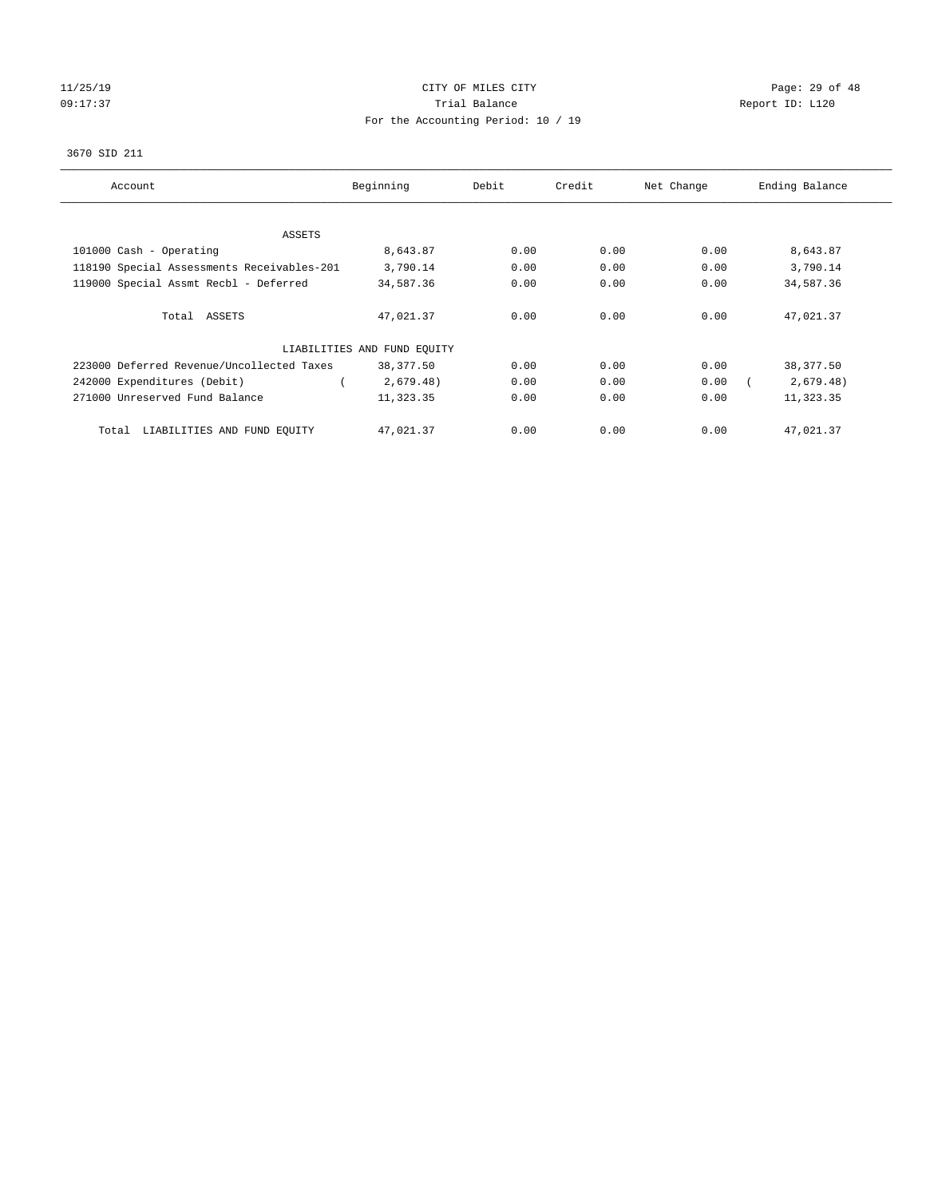# 11/25/19 **Page: 29 of 48** 09:17:37 COMPOSERT TRIAL BALANCE COMPOSERT TRIAL BALANCE COMPOSERT REPORT ID: L120 For the Accounting Period: 10 / 19

#### 3670 SID 211

| Account                                    | Beginning                   | Debit | Credit | Net Change | Ending Balance |
|--------------------------------------------|-----------------------------|-------|--------|------------|----------------|
|                                            |                             |       |        |            |                |
| ASSETS                                     |                             |       |        |            |                |
| 101000 Cash - Operating                    | 8,643.87                    | 0.00  | 0.00   | 0.00       | 8,643.87       |
| 118190 Special Assessments Receivables-201 | 3,790.14                    | 0.00  | 0.00   | 0.00       | 3,790.14       |
| 119000 Special Assmt Recbl - Deferred      | 34,587.36                   | 0.00  | 0.00   | 0.00       | 34,587.36      |
| Total ASSETS                               | 47,021.37                   | 0.00  | 0.00   | 0.00       | 47,021.37      |
|                                            | LIABILITIES AND FUND EQUITY |       |        |            |                |
| 223000 Deferred Revenue/Uncollected Taxes  | 38,377.50                   | 0.00  | 0.00   | 0.00       | 38,377.50      |
| 242000 Expenditures (Debit)                | 2,679.48)                   | 0.00  | 0.00   | 0.00       | 2,679.48)      |
| 271000 Unreserved Fund Balance             | 11,323.35                   | 0.00  | 0.00   | 0.00       | 11,323.35      |
| LIABILITIES AND FUND EQUITY<br>Total       | 47,021.37                   | 0.00  | 0.00   | 0.00       | 47,021.37      |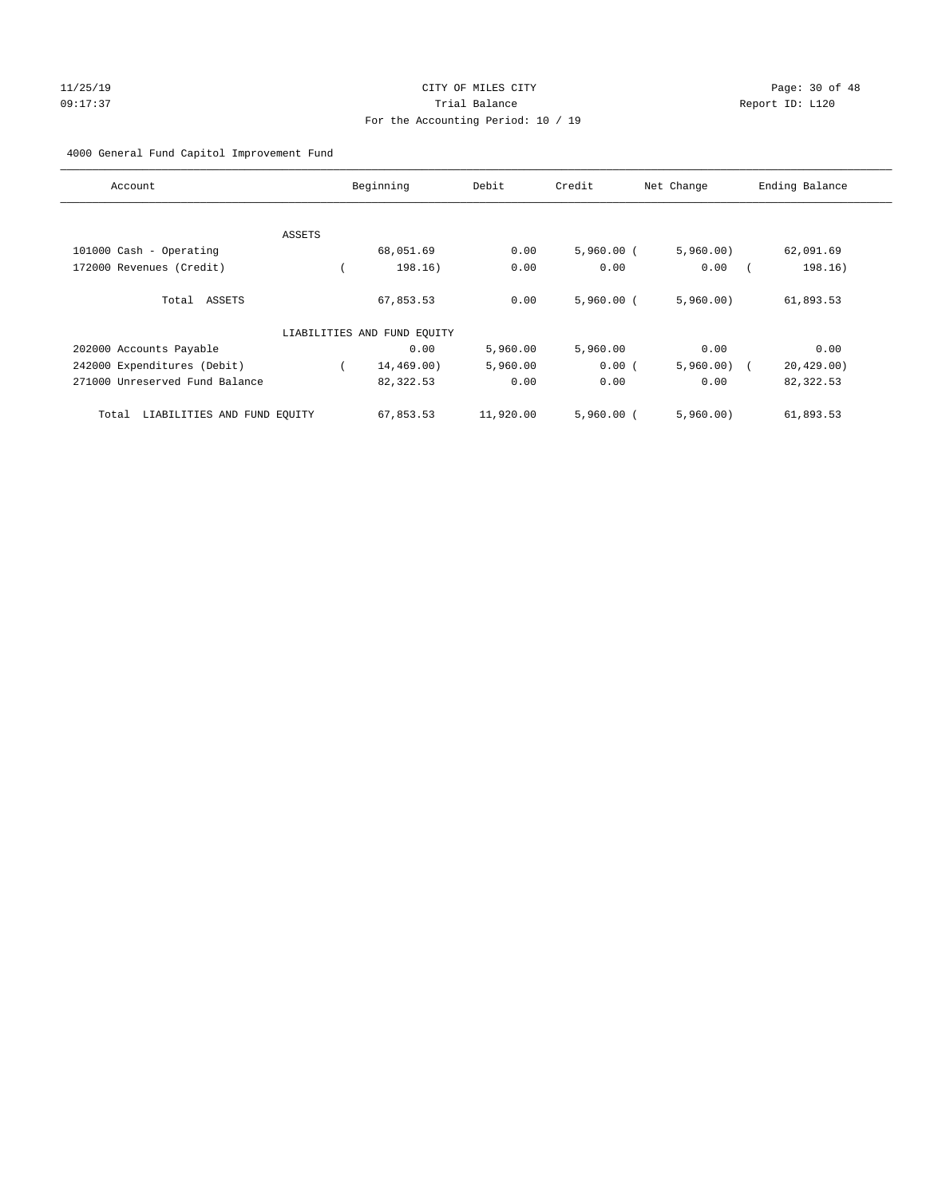## 11/25/19 Page: 30 of 48 09:17:37 Trial Balance Report ID: L120 For the Accounting Period: 10 / 19

#### 4000 General Fund Capitol Improvement Fund

| Account                              |        | Beginning                   | Debit     | Credit       | Net Change    | Ending Balance |
|--------------------------------------|--------|-----------------------------|-----------|--------------|---------------|----------------|
|                                      |        |                             |           |              |               |                |
|                                      | ASSETS |                             |           |              |               |                |
| 101000 Cash - Operating              |        | 68,051.69                   | 0.00      | $5,960.00$ ( | 5,960.00)     | 62,091.69      |
| 172000 Revenues (Credit)             |        | 198.16)                     | 0.00      | 0.00         | 0.00          | 198.16)        |
| Total ASSETS                         |        | 67,853.53                   | 0.00      | $5,960,00$ ( | 5,960.00)     | 61,893.53      |
|                                      |        | LIABILITIES AND FUND EQUITY |           |              |               |                |
| 202000 Accounts Payable              |        | 0.00                        | 5,960.00  | 5,960.00     | 0.00          | 0.00           |
| 242000 Expenditures (Debit)          |        | 14,469.00)                  | 5,960.00  | 0.00(        | $5,960.00)$ ( | 20, 429.00     |
| 271000 Unreserved Fund Balance       |        | 82,322.53                   | 0.00      | 0.00         | 0.00          | 82,322.53      |
| LIABILITIES AND FUND EOUITY<br>Total |        | 67,853.53                   | 11,920.00 | $5.960.00$ ( | 5,960,00)     | 61,893.53      |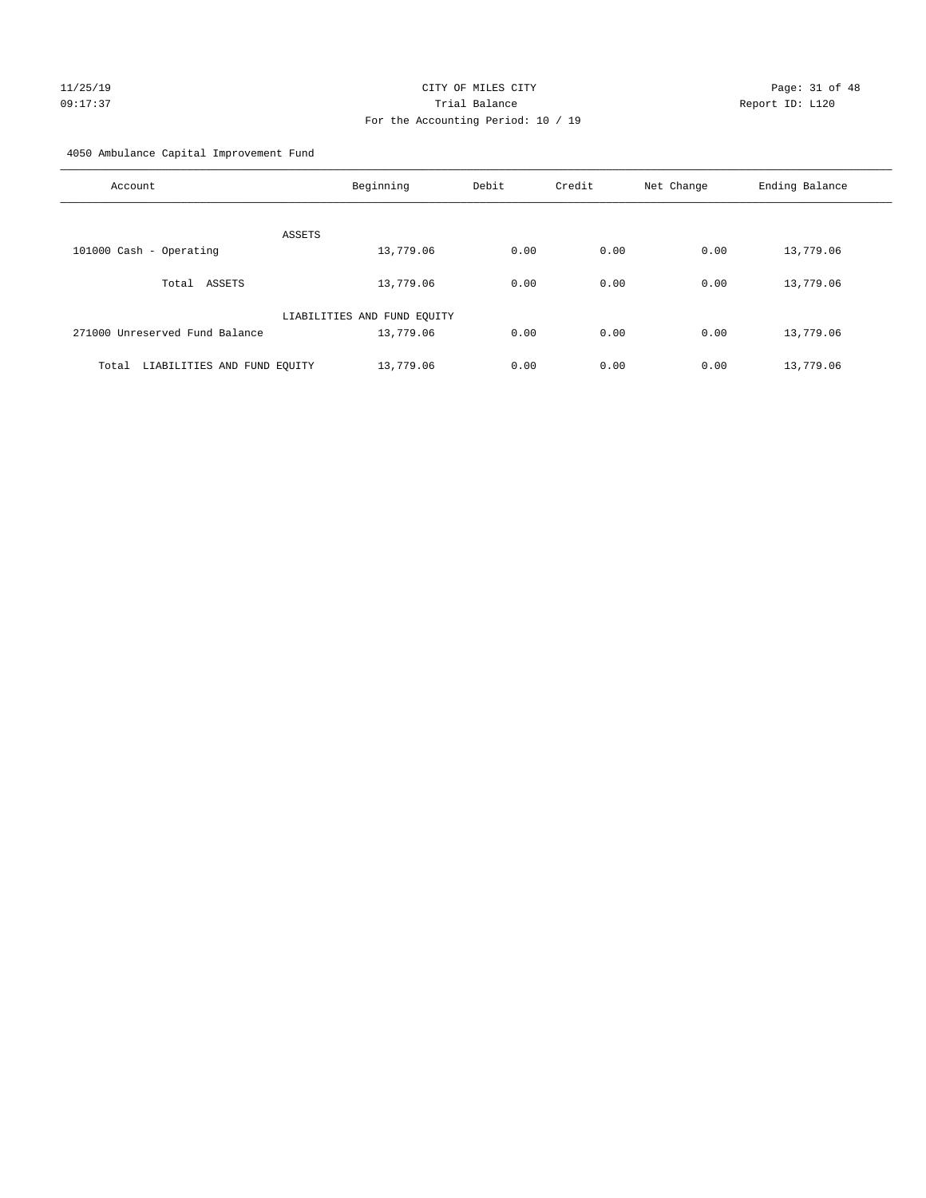# $CITY$  OF MILES  $CITY$  and the contract of  $P = 31$  of  $48$ 09:17:37 Trial Balance Report ID: L120 For the Accounting Period: 10 / 19

4050 Ambulance Capital Improvement Fund

| Account                              | Beginning                   | Debit | Credit | Net Change | Ending Balance |
|--------------------------------------|-----------------------------|-------|--------|------------|----------------|
| <b>ASSETS</b>                        |                             |       |        |            |                |
| 101000 Cash - Operating              | 13,779.06                   | 0.00  | 0.00   | 0.00       | 13,779.06      |
| Total ASSETS                         | 13,779.06                   | 0.00  | 0.00   | 0.00       | 13,779.06      |
|                                      | LIABILITIES AND FUND EQUITY |       |        |            |                |
| 271000 Unreserved Fund Balance       | 13,779.06                   | 0.00  | 0.00   | 0.00       | 13,779.06      |
| LIABILITIES AND FUND EQUITY<br>Total | 13,779.06                   | 0.00  | 0.00   | 0.00       | 13,779.06      |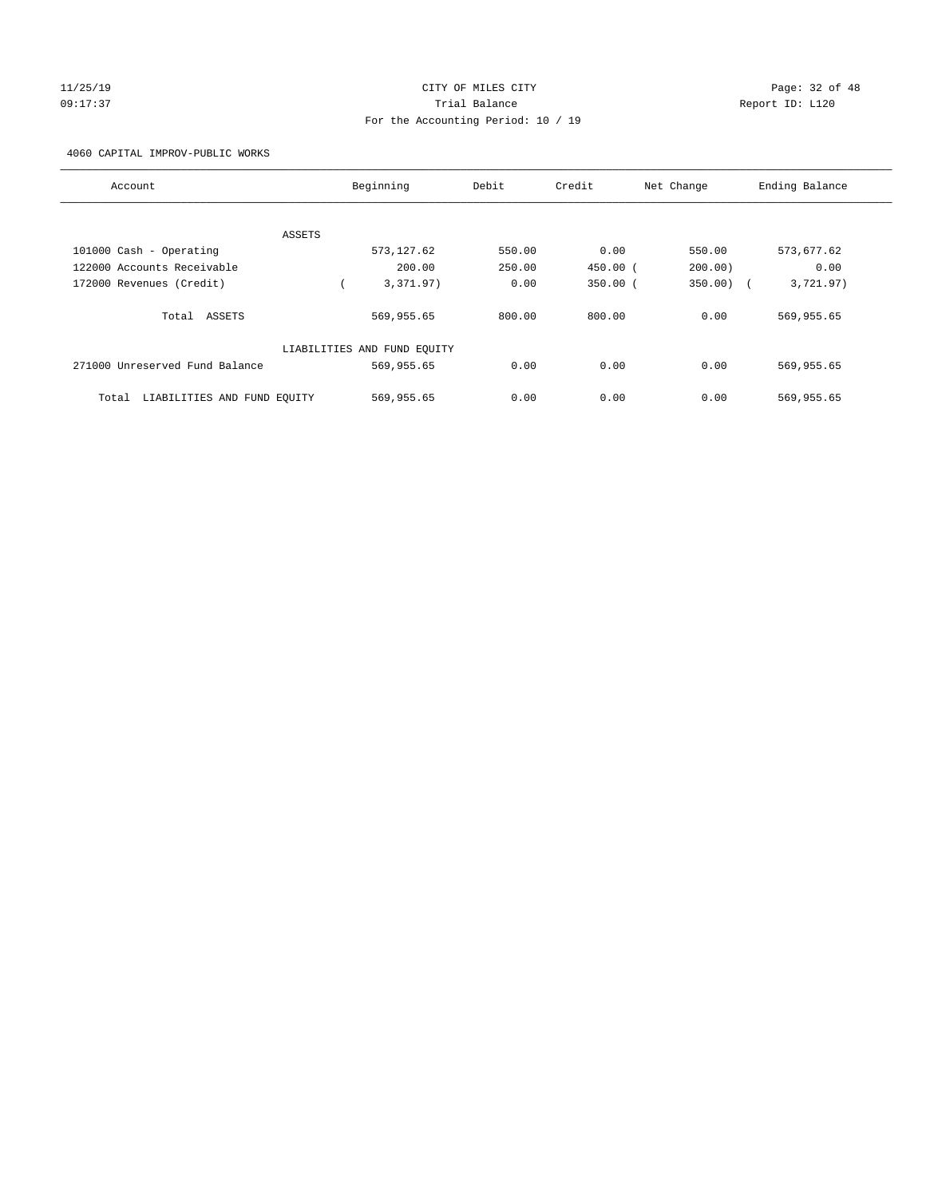# 11/25/19 Page: 32 of 48 09:17:37 Trial Balance Report ID: L120 For the Accounting Period: 10 / 19

4060 CAPITAL IMPROV-PUBLIC WORKS

| Account                              |        | Beginning                   | Debit  | Credit       | Net Change | Ending Balance |
|--------------------------------------|--------|-----------------------------|--------|--------------|------------|----------------|
|                                      |        |                             |        |              |            |                |
|                                      | ASSETS |                             |        |              |            |                |
| 101000 Cash - Operating              |        | 573, 127.62                 | 550.00 | 0.00         | 550.00     | 573,677.62     |
| 122000 Accounts Receivable           |        | 200.00                      | 250.00 | $450.00$ (   | 200.00)    | 0.00           |
| 172000 Revenues (Credit)             |        | 3,371.97)                   | 0.00   | $350.00$ $($ | 350.00)    | 3,721.97)      |
| Total ASSETS                         |        | 569,955.65                  | 800.00 | 800.00       | 0.00       | 569,955.65     |
|                                      |        | LIABILITIES AND FUND EQUITY |        |              |            |                |
| 271000 Unreserved Fund Balance       |        | 569,955.65                  | 0.00   | 0.00         | 0.00       | 569,955.65     |
| LIABILITIES AND FUND EQUITY<br>Total |        | 569,955.65                  | 0.00   | 0.00         | 0.00       | 569,955.65     |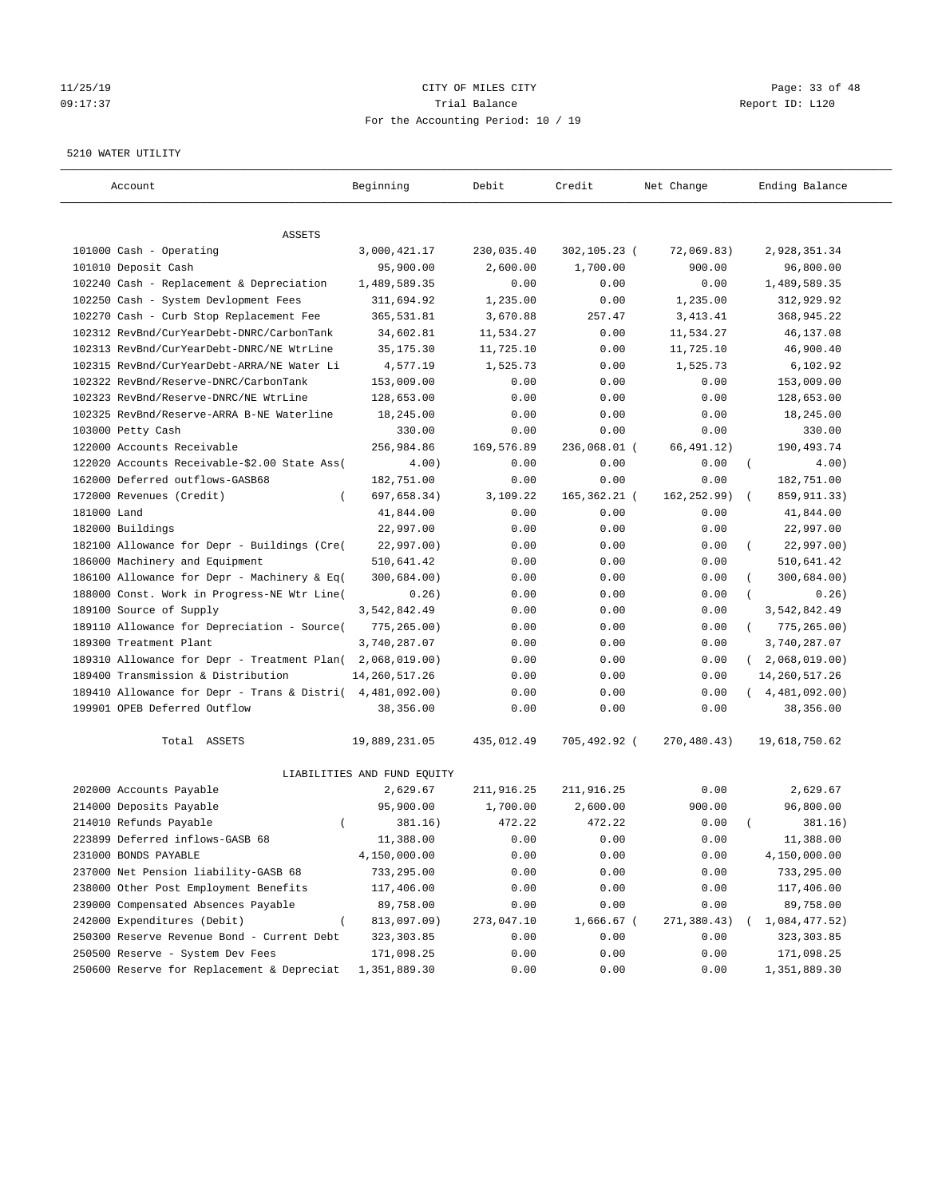# 11/25/19 Page: 33 of 48 09:17:37 Trial Balance Report ID: L120 For the Accounting Period: 10 / 19

#### 5210 WATER UTILITY

| Account                                      | Beginning                   | Debit      | Credit       | Net Change   | Ending Balance              |
|----------------------------------------------|-----------------------------|------------|--------------|--------------|-----------------------------|
| ASSETS                                       |                             |            |              |              |                             |
| 101000 Cash - Operating                      | 3,000,421.17                | 230,035.40 | 302,105.23 ( | 72,069.83)   | 2,928,351.34                |
| 101010 Deposit Cash                          | 95,900.00                   | 2,600.00   | 1,700.00     | 900.00       | 96,800.00                   |
| 102240 Cash - Replacement & Depreciation     | 1,489,589.35                | 0.00       | 0.00         | 0.00         | 1,489,589.35                |
| 102250 Cash - System Devlopment Fees         | 311,694.92                  | 1,235.00   | 0.00         | 1,235.00     | 312,929.92                  |
| 102270 Cash - Curb Stop Replacement Fee      | 365,531.81                  | 3,670.88   | 257.47       | 3, 413. 41   | 368,945.22                  |
| 102312 RevBnd/CurYearDebt-DNRC/CarbonTank    | 34,602.81                   | 11,534.27  | 0.00         | 11,534.27    | 46,137.08                   |
| 102313 RevBnd/CurYearDebt-DNRC/NE WtrLine    | 35, 175.30                  | 11,725.10  | 0.00         | 11,725.10    | 46,900.40                   |
| 102315 RevBnd/CurYearDebt-ARRA/NE Water Li   | 4,577.19                    | 1,525.73   | 0.00         | 1,525.73     | 6,102.92                    |
| 102322 RevBnd/Reserve-DNRC/CarbonTank        | 153,009.00                  | 0.00       | 0.00         | 0.00         | 153,009.00                  |
| 102323 RevBnd/Reserve-DNRC/NE WtrLine        | 128,653.00                  | 0.00       | 0.00         | 0.00         | 128,653.00                  |
| 102325 RevBnd/Reserve-ARRA B-NE Waterline    | 18,245.00                   | 0.00       | 0.00         | 0.00         | 18,245.00                   |
| 103000 Petty Cash                            | 330.00                      | 0.00       | 0.00         | 0.00         | 330.00                      |
| 122000 Accounts Receivable                   | 256,984.86                  | 169,576.89 | 236,068.01 ( | 66,491.12)   | 190,493.74                  |
| 122020 Accounts Receivable-\$2.00 State Ass( | 4.00)                       | 0.00       | 0.00         | 0.00         | $\left($<br>4.00)           |
| 162000 Deferred outflows-GASB68              | 182,751.00                  | 0.00       | 0.00         | 0.00         | 182,751.00                  |
| 172000 Revenues (Credit)                     | 697,658.34)                 | 3,109.22   | 165,362.21 ( | 162, 252.99) | 859, 911.33)                |
| 181000 Land                                  | 41,844.00                   | 0.00       | 0.00         | 0.00         | 41,844.00                   |
| 182000 Buildings                             | 22,997.00                   | 0.00       | 0.00         | 0.00         | 22,997.00                   |
| 182100 Allowance for Depr - Buildings (Cre(  | 22,997.00)                  | 0.00       | 0.00         | 0.00         | 22,997.00)                  |
| 186000 Machinery and Equipment               | 510,641.42                  | 0.00       | 0.00         | 0.00         | 510,641.42                  |
| 186100 Allowance for Depr - Machinery & Eq(  | 300,684.00)                 | 0.00       | 0.00         | 0.00         | 300,684.00)                 |
| 188000 Const. Work in Progress-NE Wtr Line(  | 0.26)                       | 0.00       | 0.00         | 0.00         | 0.26)                       |
| 189100 Source of Supply                      | 3,542,842.49                | 0.00       | 0.00         | 0.00         | 3,542,842.49                |
| 189110 Allowance for Depreciation - Source(  | 775, 265.00)                | 0.00       | 0.00         | 0.00         | 775,265.00)<br>$\left($     |
| 189300 Treatment Plant                       | 3,740,287.07                | 0.00       | 0.00         | 0.00         | 3,740,287.07                |
| 189310 Allowance for Depr - Treatment Plan(  | 2,068,019.00)               | 0.00       | 0.00         | 0.00         | 2,068,019.00)<br>$\sqrt{2}$ |
| 189400 Transmission & Distribution           | 14, 260, 517.26             | 0.00       | 0.00         | 0.00         | 14, 260, 517. 26            |
| 189410 Allowance for Depr - Trans & Distri(  | 4,481,092.00)               | 0.00       | 0.00         | 0.00         | (4, 481, 092.00)            |
| 199901 OPEB Deferred Outflow                 | 38,356.00                   | 0.00       | 0.00         | 0.00         | 38,356.00                   |
| Total ASSETS                                 | 19,889,231.05               | 435,012.49 | 705,492.92 ( | 270,480.43)  | 19,618,750.62               |
|                                              | LIABILITIES AND FUND EQUITY |            |              |              |                             |
| 202000 Accounts Payable                      | 2,629.67                    | 211,916.25 | 211,916.25   | 0.00         | 2,629.67                    |
| 214000 Deposits Payable                      | 95,900.00                   | 1,700.00   | 2,600.00     | 900.00       | 96,800.00                   |
| 214010 Refunds Payable<br>$\left($           | 381.16)                     | 472.22     | 472.22       | 0.00         | 381.16)                     |
| 223899 Deferred inflows-GASB 68              | 11,388.00                   | 0.00       | 0.00         | 0.00         | 11,388.00                   |
| 231000 BONDS PAYABLE                         | 4,150,000.00                | 0.00       | 0.00         | 0.00         | 4,150,000.00                |
| 237000 Net Pension liability-GASB 68         | 733,295.00                  | 0.00       | 0.00         | 0.00         | 733,295.00                  |
| 238000 Other Post Employment Benefits        | 117,406.00                  | 0.00       | 0.00         | 0.00         | 117,406.00                  |
| 239000 Compensated Absences Payable          | 89,758.00                   | 0.00       | 0.00         | 0.00         | 89,758.00                   |
| 242000 Expenditures (Debit)                  | 813,097.09)                 | 273,047.10 | 1,666.67 (   | 271,380.43)  | 1,084,477.52)               |
| 250300 Reserve Revenue Bond - Current Debt   | 323, 303.85                 | 0.00       | 0.00         | 0.00         | 323, 303.85                 |
| 250500 Reserve - System Dev Fees             | 171,098.25                  | 0.00       | 0.00         | 0.00         | 171,098.25                  |
| 250600 Reserve for Replacement & Depreciat   | 1,351,889.30                | 0.00       | 0.00         | 0.00         | 1,351,889.30                |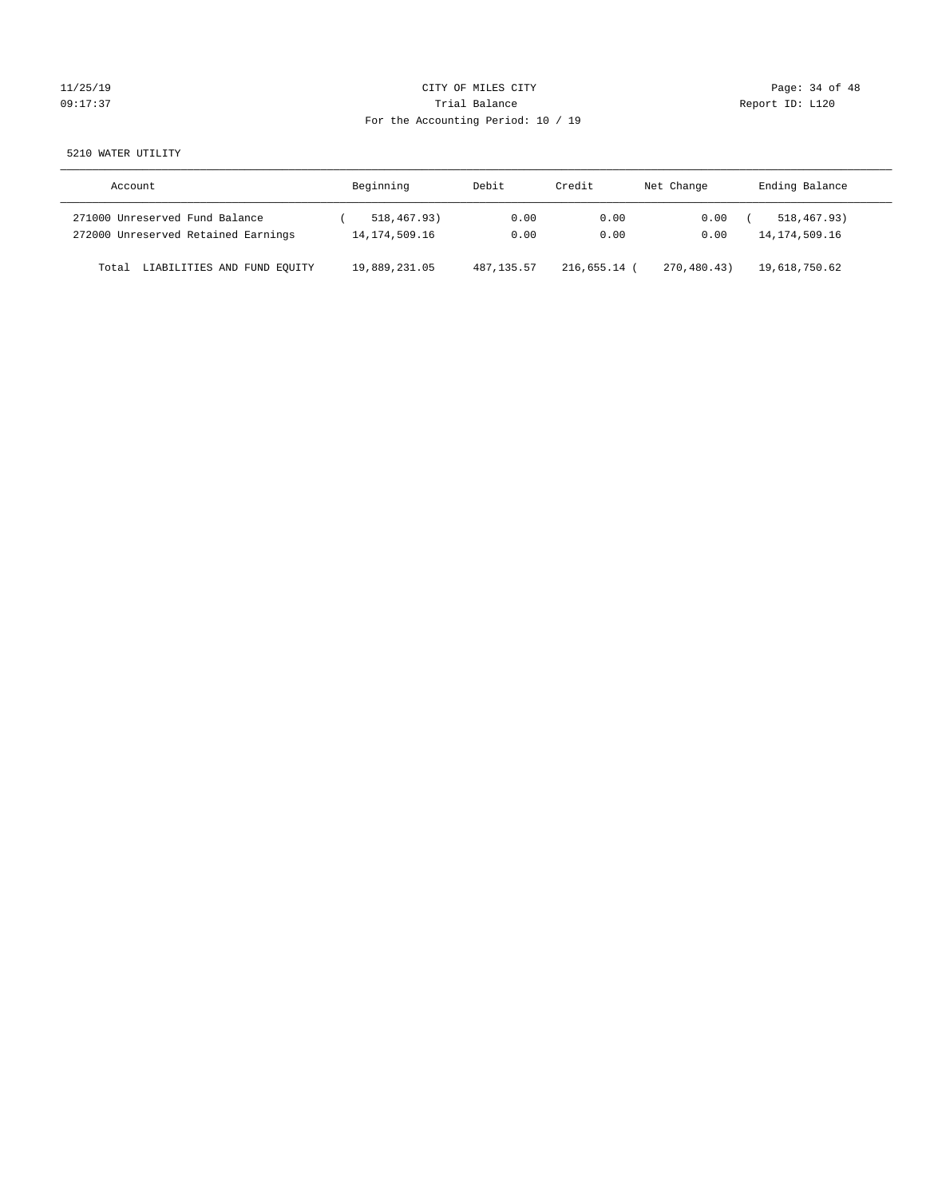# $CITY$  OF MILES  $CITY$  and the contract of  $P = 34$  of  $48$ 09:17:37 Quantity Contract Contract Contract Contract Contract Contract Contract Contract Contract Contract Contract Contract Contract Contract Contract Contract Contra For the Accounting Period: 10 / 19

5210 WATER UTILITY

| Account                              | Beginning        | Debit       | Credit         | Net Change  | Ending Balance   |
|--------------------------------------|------------------|-------------|----------------|-------------|------------------|
| 271000 Unreserved Fund Balance       | 518,467.93)      | 0.00        | 0.00           | 0.00        | 518,467.93)      |
| 272000 Unreserved Retained Earnings  | 14, 174, 509. 16 | 0.00        | 0.00           | 0.00        | 14, 174, 509. 16 |
| LIABILITIES AND FUND EQUITY<br>Total | 19,889,231.05    | 487, 135.57 | $216.655.14$ ( | 270,480.43) | 19,618,750.62    |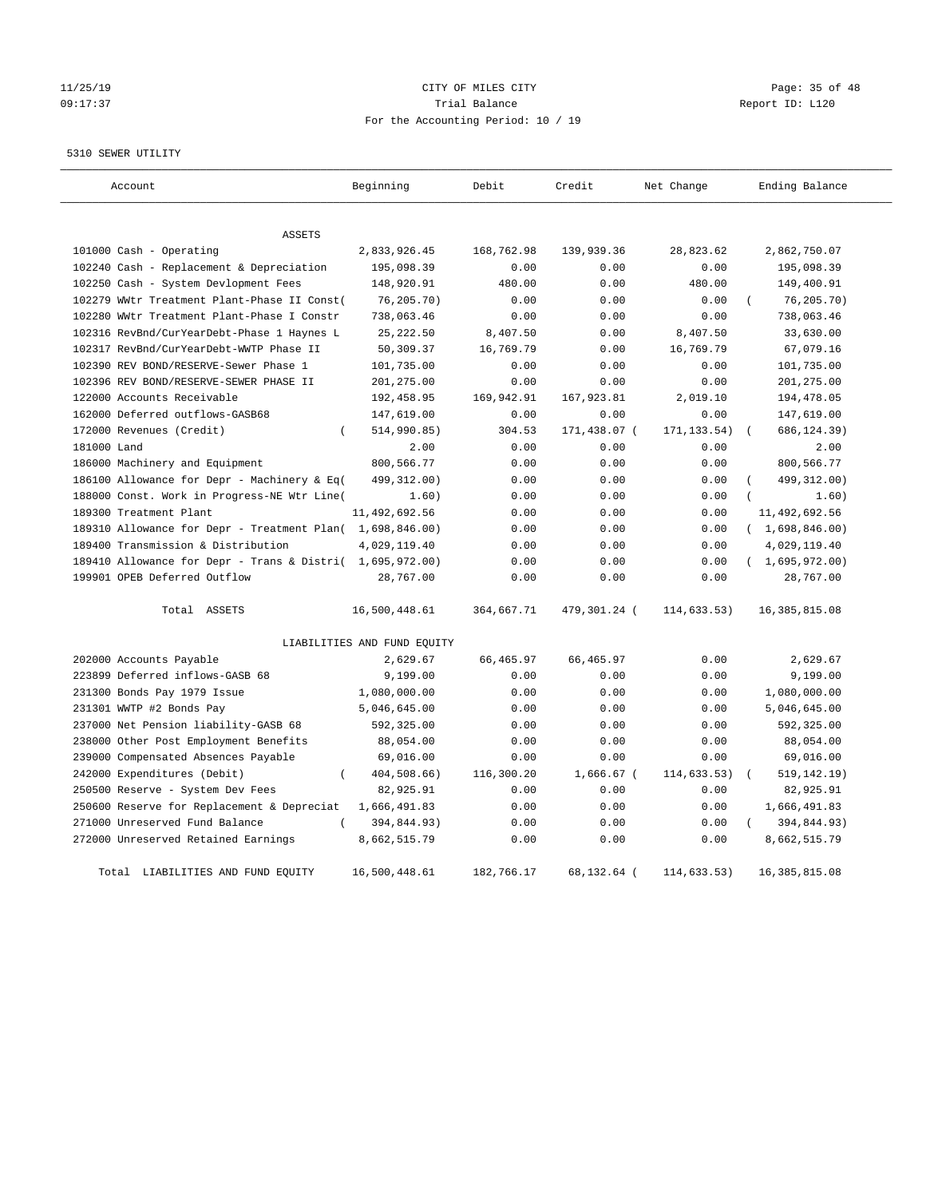#### 11/25/19 Page: 35 of 48 09:17:37 Trial Balance Report ID: L120 For the Accounting Period: 10 / 19

#### 5310 SEWER UTILITY

| Account                                                   | Beginning                   | Debit      | Credit       | Net Change   | Ending Balance   |
|-----------------------------------------------------------|-----------------------------|------------|--------------|--------------|------------------|
| <b>ASSETS</b>                                             |                             |            |              |              |                  |
| 101000 Cash - Operating                                   | 2,833,926.45                | 168,762.98 | 139,939.36   | 28,823.62    | 2,862,750.07     |
| 102240 Cash - Replacement & Depreciation                  | 195,098.39                  | 0.00       | 0.00         | 0.00         | 195,098.39       |
| 102250 Cash - System Devlopment Fees                      | 148,920.91                  | 480.00     | 0.00         | 480.00       | 149,400.91       |
| 102279 WWtr Treatment Plant-Phase II Const(               | 76,205.70)                  | 0.00       | 0.00         | 0.00         | 76, 205.70)      |
| 102280 WWtr Treatment Plant-Phase I Constr                | 738,063.46                  | 0.00       | 0.00         | 0.00         | 738,063.46       |
| 102316 RevBnd/CurYearDebt-Phase 1 Haynes L                | 25, 222.50                  | 8,407.50   | 0.00         | 8,407.50     | 33,630.00        |
| 102317 RevBnd/CurYearDebt-WWTP Phase II                   | 50,309.37                   | 16,769.79  | 0.00         | 16,769.79    | 67,079.16        |
| 102390 REV BOND/RESERVE-Sewer Phase 1                     | 101,735.00                  | 0.00       | 0.00         | 0.00         | 101,735.00       |
| 102396 REV BOND/RESERVE-SEWER PHASE II                    | 201,275.00                  | 0.00       | 0.00         | 0.00         | 201,275.00       |
| 122000 Accounts Receivable                                | 192,458.95                  | 169,942.91 | 167,923.81   | 2,019.10     | 194,478.05       |
| 162000 Deferred outflows-GASB68                           | 147,619.00                  | 0.00       | 0.00         | 0.00         | 147,619.00       |
| 172000 Revenues (Credit)                                  | 514,990.85)                 | 304.53     | 171,438.07 ( | 171, 133.54) | 686, 124.39)     |
| 181000 Land                                               | 2.00                        | 0.00       | 0.00         | 0.00         | 2.00             |
| 186000 Machinery and Equipment                            | 800,566.77                  | 0.00       | 0.00         | 0.00         | 800,566.77       |
| 186100 Allowance for Depr - Machinery & Eq(               | 499,312.00)                 | 0.00       | 0.00         | 0.00         | 499, 312.00)     |
| 188000 Const. Work in Progress-NE Wtr Line(               | 1.60)                       | 0.00       | 0.00         | 0.00         | 1.60)            |
| 189300 Treatment Plant                                    | 11,492,692.56               | 0.00       | 0.00         | 0.00         | 11,492,692.56    |
| 189310 Allowance for Depr - Treatment Plan( 1,698,846.00) |                             | 0.00       | 0.00         | 0.00         | (1,698,846.00)   |
| 189400 Transmission & Distribution                        | 4,029,119.40                | 0.00       | 0.00         | 0.00         | 4,029,119.40     |
| 189410 Allowance for Depr - Trans & Distri( 1,695,972.00) |                             | 0.00       | 0.00         | 0.00         | (1,695,972.00)   |
| 199901 OPEB Deferred Outflow                              | 28,767.00                   | 0.00       | 0.00         | 0.00         | 28,767.00        |
| Total ASSETS                                              | 16,500,448.61               | 364,667.71 | 479,301.24 ( | 114,633.53)  | 16, 385, 815.08  |
|                                                           | LIABILITIES AND FUND EQUITY |            |              |              |                  |
| 202000 Accounts Payable                                   | 2,629.67                    | 66, 465.97 | 66, 465.97   | 0.00         | 2,629.67         |
| 223899 Deferred inflows-GASB 68                           | 9,199.00                    | 0.00       | 0.00         | 0.00         | 9,199.00         |
| 231300 Bonds Pay 1979 Issue                               | 1,080,000.00                | 0.00       | 0.00         | 0.00         | 1,080,000.00     |
| 231301 WWTP #2 Bonds Pay                                  | 5,046,645.00                | 0.00       | 0.00         | 0.00         | 5,046,645.00     |
| 237000 Net Pension liability-GASB 68                      | 592,325.00                  | 0.00       | 0.00         | 0.00         | 592,325.00       |
| 238000 Other Post Employment Benefits                     | 88,054.00                   | 0.00       | 0.00         | 0.00         | 88,054.00        |
| 239000 Compensated Absences Payable                       | 69,016.00                   | 0.00       | 0.00         | 0.00         | 69,016.00        |
| 242000 Expenditures (Debit)<br>$\overline{(\ }$           | 404,508.66)                 | 116,300.20 | 1,666.67 (   | 114,633.53)  | 519, 142.19)     |
| 250500 Reserve - System Dev Fees                          | 82,925.91                   | 0.00       | 0.00         | 0.00         | 82,925.91        |
| 250600 Reserve for Replacement & Depreciat                | 1,666,491.83                | 0.00       | 0.00         | 0.00         | 1,666,491.83     |
| 271000 Unreserved Fund Balance                            | 394,844.93)                 | 0.00       | 0.00         | 0.00         | 394,844.93)      |
| 272000 Unreserved Retained Earnings                       | 8,662,515.79                | 0.00       | 0.00         | 0.00         | 8,662,515.79     |
| Total LIABILITIES AND FUND EOUITY                         | 16,500,448.61               | 182,766.17 | 68,132.64 (  | 114,633.53)  | 16, 385, 815, 08 |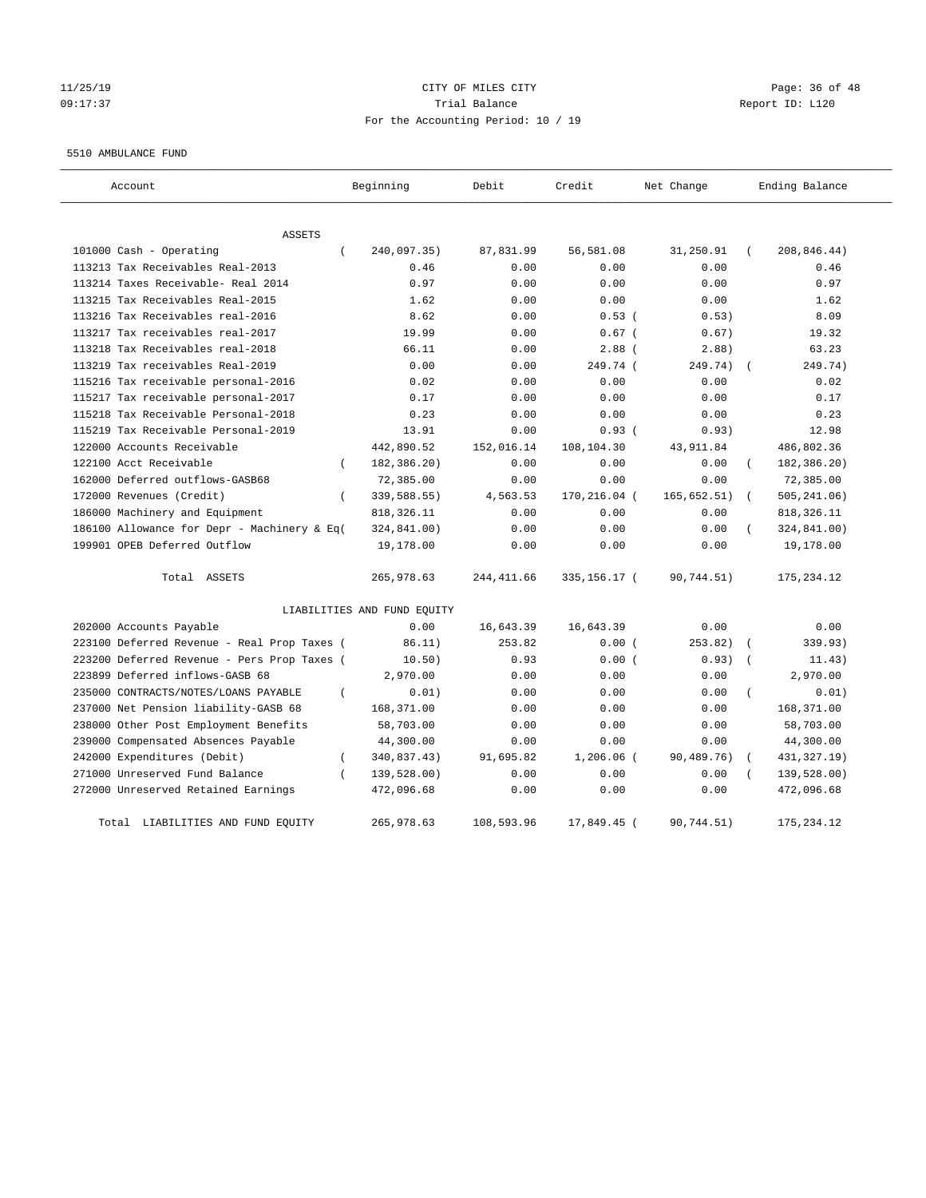#### 11/25/19 Page: 36 of 48 09:17:37 Trial Balance Report ID: L120 For the Accounting Period: 10 / 19

#### 5510 AMBULANCE FUND

| Account                                            | Beginning                   | Debit       | Credit       | Net Change   | Ending Balance            |
|----------------------------------------------------|-----------------------------|-------------|--------------|--------------|---------------------------|
| ASSETS                                             |                             |             |              |              |                           |
| 101000 Cash - Operating<br>$\left($                | 240,097.35)                 | 87,831.99   | 56,581.08    | 31,250.91    | 208,846.44)               |
| 113213 Tax Receivables Real-2013                   | 0.46                        | 0.00        | 0.00         | 0.00         | 0.46                      |
| 113214 Taxes Receivable- Real 2014                 | 0.97                        | 0.00        | 0.00         | 0.00         | 0.97                      |
| 113215 Tax Receivables Real-2015                   | 1.62                        | 0.00        | 0.00         | 0.00         | 1.62                      |
| 113216 Tax Receivables real-2016                   | 8.62                        | 0.00        | $0.53$ (     | 0.53)        | 8.09                      |
| 113217 Tax receivables real-2017                   | 19.99                       | 0.00        | $0.67$ (     | 0.67)        | 19.32                     |
| 113218 Tax Receivables real-2018                   | 66.11                       | 0.00        | $2.88$ (     | 2.88)        | 63.23                     |
| 113219 Tax receivables Real-2019                   | 0.00                        | 0.00        | 249.74 (     | 249.74)      | 249.74)                   |
| 115216 Tax receivable personal-2016                | 0.02                        | 0.00        | 0.00         | 0.00         | 0.02                      |
| 115217 Tax receivable personal-2017                | 0.17                        | 0.00        | 0.00         | 0.00         | 0.17                      |
| 115218 Tax Receivable Personal-2018                | 0.23                        | 0.00        | 0.00         | 0.00         | 0.23                      |
| 115219 Tax Receivable Personal-2019                | 13.91                       | 0.00        | 0.93(        | 0.93)        | 12.98                     |
| 122000 Accounts Receivable                         | 442,890.52                  | 152,016.14  | 108,104.30   | 43, 911.84   | 486,802.36                |
| 122100 Acct Receivable<br>$\left($                 | 182,386.20)                 | 0.00        | 0.00         | 0.00         | 182,386.20)               |
| 162000 Deferred outflows-GASB68                    | 72,385.00                   | 0.00        | 0.00         | 0.00         | 72,385.00                 |
| 172000 Revenues (Credit)<br>$\left($               | 339,588.55)                 | 4,563.53    | 170,216.04 ( | 165, 652.51) | 505, 241.06)              |
| 186000 Machinery and Equipment                     | 818, 326. 11                | 0.00        | 0.00         | 0.00         | 818, 326.11               |
| 186100 Allowance for Depr - Machinery & Eq(        | 324,841.00)                 | 0.00        | 0.00         | 0.00         | 324,841.00)               |
| 199901 OPEB Deferred Outflow                       | 19,178.00                   | 0.00        | 0.00         | 0.00         | 19,178.00                 |
| Total ASSETS                                       | 265,978.63                  | 244, 411.66 | 335,156.17 ( | 90,744.51)   | 175, 234.12               |
|                                                    | LIABILITIES AND FUND EQUITY |             |              |              |                           |
| 202000 Accounts Payable                            | 0.00                        | 16,643.39   | 16,643.39    | 0.00         | 0.00                      |
| 223100 Deferred Revenue - Real Prop Taxes (        | 86.11)                      | 253.82      | 0.00(        | 253.82)      | 339.93)                   |
| 223200 Deferred Revenue - Pers Prop Taxes (        | 10.50)                      | 0.93        | 0.00(        | 0.93)        | 11.43)                    |
| 223899 Deferred inflows-GASB 68                    | 2,970.00                    | 0.00        | 0.00         | 0.00         | 2,970.00                  |
| 235000 CONTRACTS/NOTES/LOANS PAYABLE<br>$\left($   | 0.01)                       | 0.00        | 0.00         | 0.00         | 0.01)                     |
| 237000 Net Pension liability-GASB 68               | 168,371.00                  | 0.00        | 0.00         | 0.00         | 168,371.00                |
| 238000 Other Post Employment Benefits              | 58,703.00                   | 0.00        | 0.00         | 0.00         | 58,703.00                 |
| 239000 Compensated Absences Payable                | 44,300.00                   | 0.00        | 0.00         | 0.00         | 44,300.00                 |
| 242000 Expenditures (Debit)<br>$\left($            | 340,837.43)                 | 91,695.82   | 1,206.06 (   | 90,489.76)   | 431, 327. 19)<br>$\left($ |
| 271000 Unreserved Fund Balance<br>$\overline{(\ }$ | 139,528.00)                 | 0.00        | 0.00         | 0.00         | 139,528.00)               |
| 272000 Unreserved Retained Earnings                | 472,096.68                  | 0.00        | 0.00         | 0.00         | 472,096.68                |
| LIABILITIES AND FUND EQUITY<br>Total               | 265,978.63                  | 108,593.96  | 17,849.45 (  | 90,744.51)   | 175, 234.12               |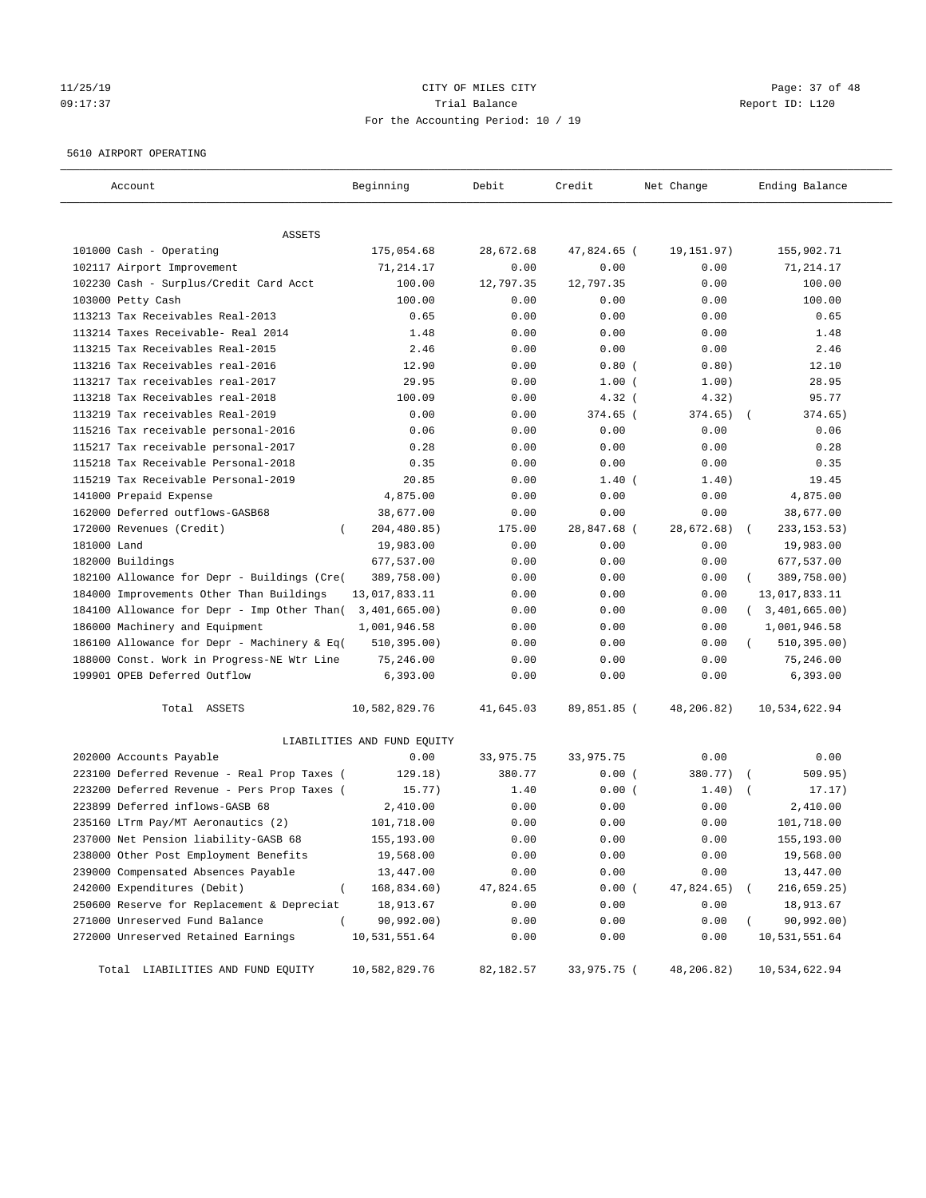#### 11/25/19 Page: 37 of 48 09:17:37 Trial Balance Report ID: L120 For the Accounting Period: 10 / 19

#### 5610 AIRPORT OPERATING

| Account                                         | Beginning                   | Debit                           | Credit      | Net Change | Ending Balance   |
|-------------------------------------------------|-----------------------------|---------------------------------|-------------|------------|------------------|
| ASSETS                                          |                             |                                 |             |            |                  |
| 101000 Cash - Operating                         | 175,054.68                  | 28,672.68                       | 47,824.65 ( | 19,151.97) | 155,902.71       |
| 102117 Airport Improvement                      | 71,214.17                   | 0.00                            | 0.00        | 0.00       | 71,214.17        |
| 102230 Cash - Surplus/Credit Card Acct          | 100.00                      | 12,797.35                       | 12,797.35   | 0.00       | 100.00           |
| 103000 Petty Cash                               | 100.00                      | 0.00                            | 0.00        | 0.00       | 100.00           |
| 113213 Tax Receivables Real-2013                | 0.65                        | 0.00                            | 0.00        | 0.00       | 0.65             |
| 113214 Taxes Receivable- Real 2014              | 1.48                        | 0.00                            | 0.00        | 0.00       | 1.48             |
| 113215 Tax Receivables Real-2015                | 2.46                        | 0.00                            | 0.00        | 0.00       | 2.46             |
| 113216 Tax Receivables real-2016                | 12.90                       | 0.00                            | $0.80$ (    | 0.80)      | 12.10            |
| 113217 Tax receivables real-2017                | 29.95                       | 0.00                            | 1.00(       | 1.00)      | 28.95            |
| 113218 Tax Receivables real-2018                | 100.09                      | 0.00                            | $4.32$ (    | 4.32)      | 95.77            |
| 113219 Tax receivables Real-2019                | 0.00                        | 0.00                            | 374.65 (    | 374.65)    | 374.65)          |
| 115216 Tax receivable personal-2016             | 0.06                        | 0.00                            | 0.00        | 0.00       | 0.06             |
| 115217 Tax receivable personal-2017             | 0.28                        | 0.00                            | 0.00        | 0.00       | 0.28             |
| 115218 Tax Receivable Personal-2018             | 0.35                        | 0.00                            | 0.00        | 0.00       | 0.35             |
| 115219 Tax Receivable Personal-2019             | 20.85                       | 0.00                            | $1.40$ (    | 1.40)      | 19.45            |
| 141000 Prepaid Expense                          | 4,875.00                    | 0.00                            | 0.00        | 0.00       | 4,875.00         |
| 162000 Deferred outflows-GASB68                 | 38,677.00                   | 0.00                            | 0.00        | 0.00       | 38,677.00        |
| 172000 Revenues (Credit)<br>-                   | 204,480.85)                 | 175.00                          | 28,847.68 ( | 28,672.68) | 233, 153.53)     |
| 181000 Land                                     | 19,983.00                   | 0.00                            | 0.00        | 0.00       | 19,983.00        |
| 182000 Buildings                                | 677,537.00                  | 0.00                            | 0.00        | 0.00       | 677,537.00       |
| 182100 Allowance for Depr - Buildings (Cre(     | 389,758.00)                 | 0.00                            | 0.00        | 0.00       | 389,758.00)      |
| 184000 Improvements Other Than Buildings        | 13,017,833.11               | 0.00                            | 0.00        | 0.00       | 13,017,833.11    |
| 184100 Allowance for Depr - Imp Other Than(     | 3,401,665.00)               | 0.00                            | 0.00        | 0.00       | (3, 401, 665.00) |
| 186000 Machinery and Equipment                  | 1,001,946.58                | 0.00                            | 0.00        | 0.00       | 1,001,946.58     |
| 186100 Allowance for Depr - Machinery & Eq(     | 510, 395.00)                | 0.00                            | 0.00        | 0.00       | 510, 395.00)     |
| 188000 Const. Work in Progress-NE Wtr Line      | 75,246.00                   | 0.00                            | 0.00        | 0.00       | 75,246.00        |
| 199901 OPEB Deferred Outflow                    | 6,393.00                    | 0.00                            | 0.00        | 0.00       | 6,393.00         |
| Total ASSETS                                    | 10,582,829.76               | 41,645.03                       | 89,851.85 ( | 48,206.82) | 10,534,622.94    |
|                                                 | LIABILITIES AND FUND EQUITY |                                 |             |            |                  |
| 202000 Accounts Payable                         | 0.00                        | 33,975.75                       | 33,975.75   | 0.00       | 0.00             |
| 223100 Deferred Revenue - Real Prop Taxes (     | 129.18)                     | 380.77                          | 0.00(       | 380.77)    | 509.95)          |
| 223200 Deferred Revenue - Pers Prop Taxes (     | 15.77)                      | 1.40                            | 0.00(       | 1.40)      | 17.17)           |
| 223899 Deferred inflows-GASB 68                 | 2,410.00                    | 0.00                            | 0.00        | 0.00       | 2,410.00         |
| 235160 LTrm Pay/MT Aeronautics (2)              | 101,718.00                  | 0.00                            | 0.00        | 0.00       | 101,718.00       |
| 237000 Net Pension liability-GASB 68            | 155,193.00                  | 0.00                            | 0.00        | 0.00       | 155,193.00       |
| 238000 Other Post Employment Benefits           | 19,568.00                   | 0.00                            | 0.00        | 0.00       | 19,568.00        |
| 239000 Compensated Absences Payable             | 13,447.00                   | ${\bf 0}$ . ${\bf 0}$ ${\bf 0}$ | 0.00        | 0.00       | 13,447.00        |
| 242000 Expenditures (Debit)<br>$\overline{(\ }$ | 168,834.60)                 | 47,824.65                       | 0.00(       | 47,824.65) | 216,659.25)      |
| 250600 Reserve for Replacement & Depreciat      | 18,913.67                   | 0.00                            | 0.00        | 0.00       | 18,913.67        |
| 271000 Unreserved Fund Balance<br>$\left($      | 90,992.00)                  | 0.00                            | 0.00        | 0.00       | 90,992.00)       |
| 272000 Unreserved Retained Earnings             | 10,531,551.64               | 0.00                            | 0.00        | 0.00       | 10,531,551.64    |
| Total LIABILITIES AND FUND EQUITY               | 10,582,829.76               | 82,182.57                       | 33,975.75 ( | 48,206.82) | 10,534,622.94    |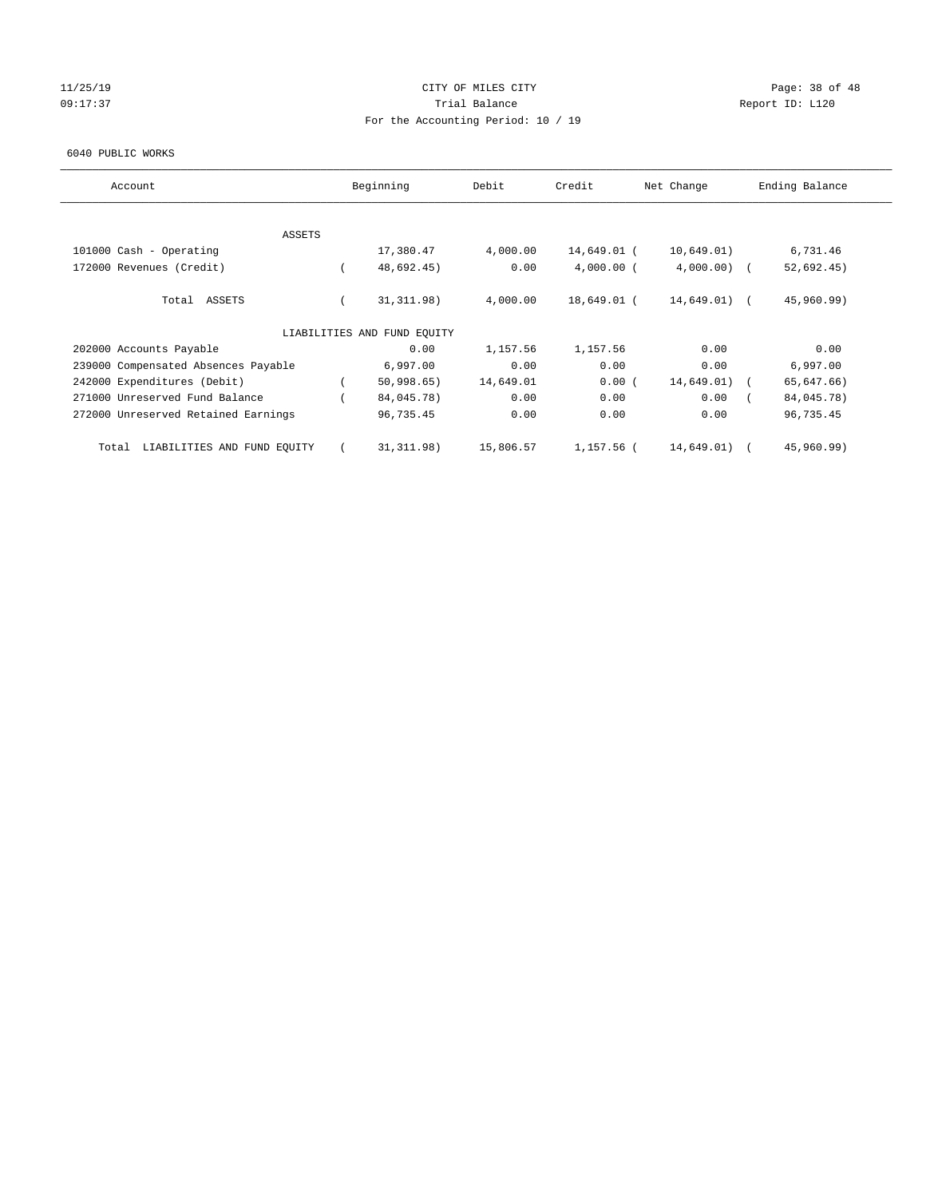#### 11/25/19 Page: 38 of 48 09:17:37 Quantity Contract Contract Contract Contract Contract Contract Contract Contract Contract Contract Contract Contract Contract Contract Contract Contract Contra For the Accounting Period: 10 / 19

#### 6040 PUBLIC WORKS

| Account                              | Beginning                   | Debit     | Credit       | Net Change     | Ending Balance |
|--------------------------------------|-----------------------------|-----------|--------------|----------------|----------------|
| <b>ASSETS</b>                        |                             |           |              |                |                |
| 101000 Cash - Operating              | 17,380.47                   | 4,000.00  | 14,649.01 (  | 10,649.01)     | 6,731.46       |
| 172000 Revenues (Credit)             | 48,692.45)                  | 0.00      | $4,000.00$ ( | $4,000.00)$ (  | 52,692.45)     |
| Total ASSETS                         | 31, 311.98)                 | 4,000.00  | 18,649.01 (  | $14,649.01)$ ( | 45,960.99)     |
|                                      | LIABILITIES AND FUND EQUITY |           |              |                |                |
| 202000 Accounts Payable              | 0.00                        | 1,157.56  | 1,157.56     | 0.00           | 0.00           |
| 239000 Compensated Absences Payable  | 6,997.00                    | 0.00      | 0.00         | 0.00           | 6,997.00       |
| 242000 Expenditures (Debit)          | 50,998.65)                  | 14,649.01 | 0.00(        | 14,649.01)     | 65,647.66)     |
| 271000 Unreserved Fund Balance       | 84,045.78)                  | 0.00      | 0.00         | 0.00           | 84,045.78)     |
| 272000 Unreserved Retained Earnings  | 96,735.45                   | 0.00      | 0.00         | 0.00           | 96,735.45      |
| LIABILITIES AND FUND EQUITY<br>Total | 31, 311.98)                 | 15,806.57 | 1,157.56 (   | 14,649.01)     | 45,960.99)     |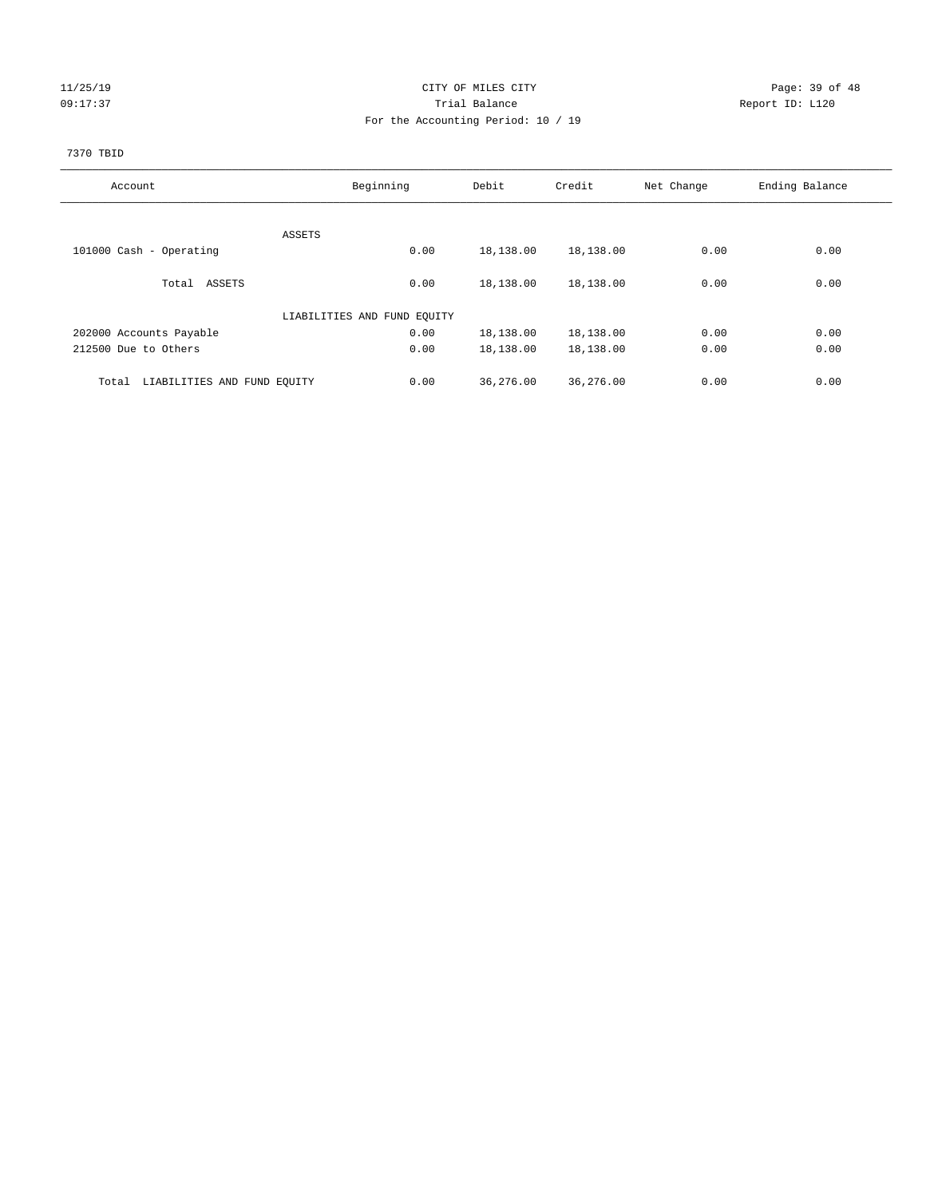#### 11/25/19 Page: 39 of 48 09:17:37 COMPOSERT TRIAL BALANCE COMPOSERT TRIAL BALANCE COMPOSERT REPORT ID: L120 For the Accounting Period: 10 / 19

#### 7370 TBID

| Account                              | Beginning                   |      | Debit     | Credit    | Net Change | Ending Balance |
|--------------------------------------|-----------------------------|------|-----------|-----------|------------|----------------|
|                                      |                             |      |           |           |            |                |
|                                      | ASSETS                      |      |           |           |            |                |
| 101000 Cash - Operating              |                             | 0.00 | 18,138.00 | 18,138.00 | 0.00       | 0.00           |
|                                      |                             |      |           |           |            |                |
| Total ASSETS                         |                             | 0.00 | 18,138.00 | 18,138.00 | 0.00       | 0.00           |
|                                      |                             |      |           |           |            |                |
|                                      | LIABILITIES AND FUND EQUITY |      |           |           |            |                |
| 202000 Accounts Payable              |                             | 0.00 | 18,138.00 | 18,138.00 | 0.00       | 0.00           |
| 212500 Due to Others                 |                             | 0.00 | 18,138.00 | 18,138.00 | 0.00       | 0.00           |
|                                      |                             |      |           |           |            |                |
| LIABILITIES AND FUND EQUITY<br>Total |                             | 0.00 | 36,276.00 | 36,276.00 | 0.00       | 0.00           |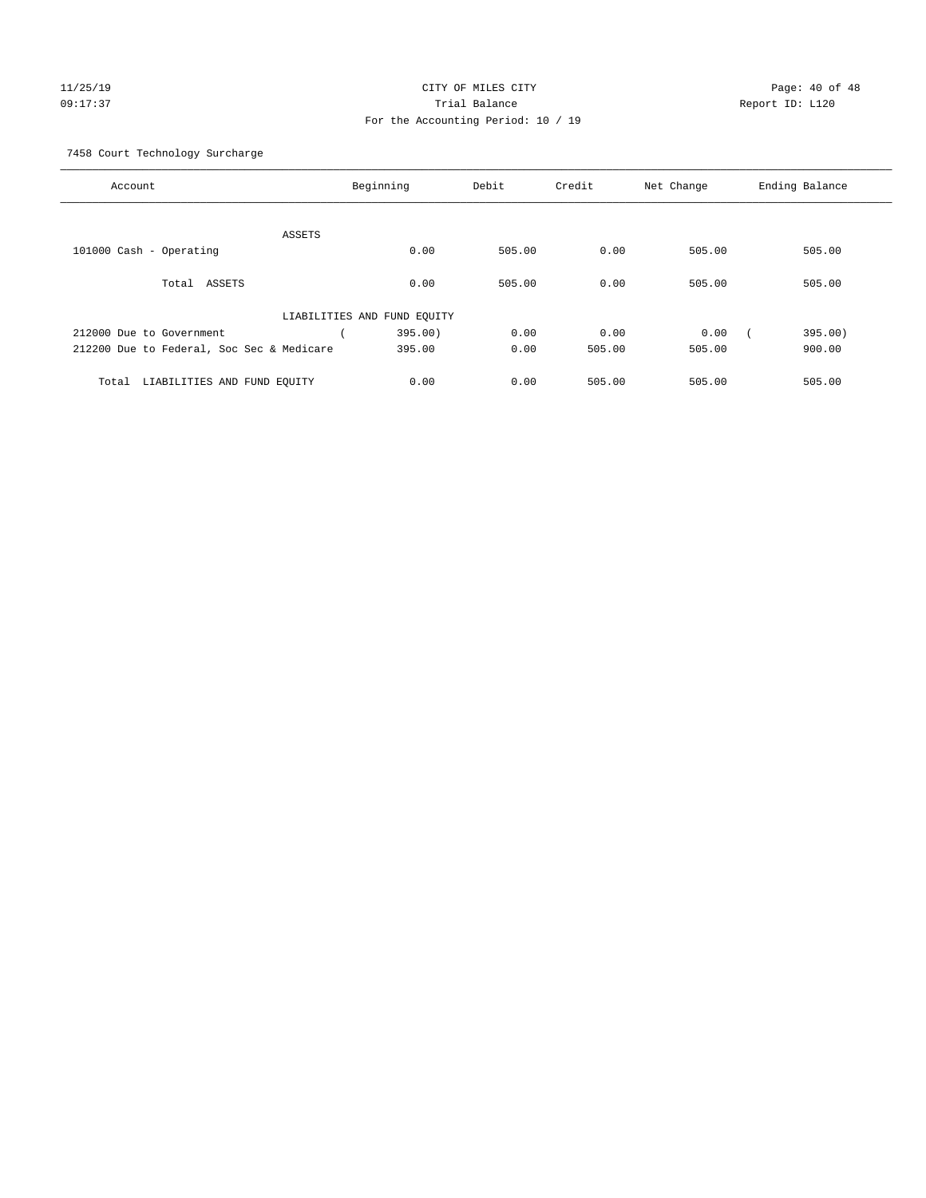# 11/25/19 Page: 40 of 48 09:17:37 Trial Balance Report ID: L120 For the Accounting Period: 10 / 19

7458 Court Technology Surcharge

| Account                                   | Beginning                   | Debit  | Credit | Net Change | Ending Balance |
|-------------------------------------------|-----------------------------|--------|--------|------------|----------------|
|                                           |                             |        |        |            |                |
| <b>ASSETS</b>                             |                             |        |        |            |                |
| 101000 Cash - Operating                   | 0.00                        | 505.00 | 0.00   | 505.00     | 505.00         |
|                                           |                             |        |        |            |                |
|                                           |                             |        |        |            |                |
| Total<br>ASSETS                           | 0.00                        | 505.00 | 0.00   | 505.00     | 505.00         |
|                                           |                             |        |        |            |                |
|                                           | LIABILITIES AND FUND EQUITY |        |        |            |                |
| 212000 Due to Government                  | 395.00)                     | 0.00   | 0.00   | 0.00       | 395.00)        |
|                                           |                             |        |        |            |                |
| 212200 Due to Federal, Soc Sec & Medicare | 395.00                      | 0.00   | 505.00 | 505.00     | 900.00         |
|                                           |                             |        |        |            |                |
| LIABILITIES AND FUND EQUITY<br>Total      | 0.00                        | 0.00   | 505.00 | 505.00     | 505.00         |
|                                           |                             |        |        |            |                |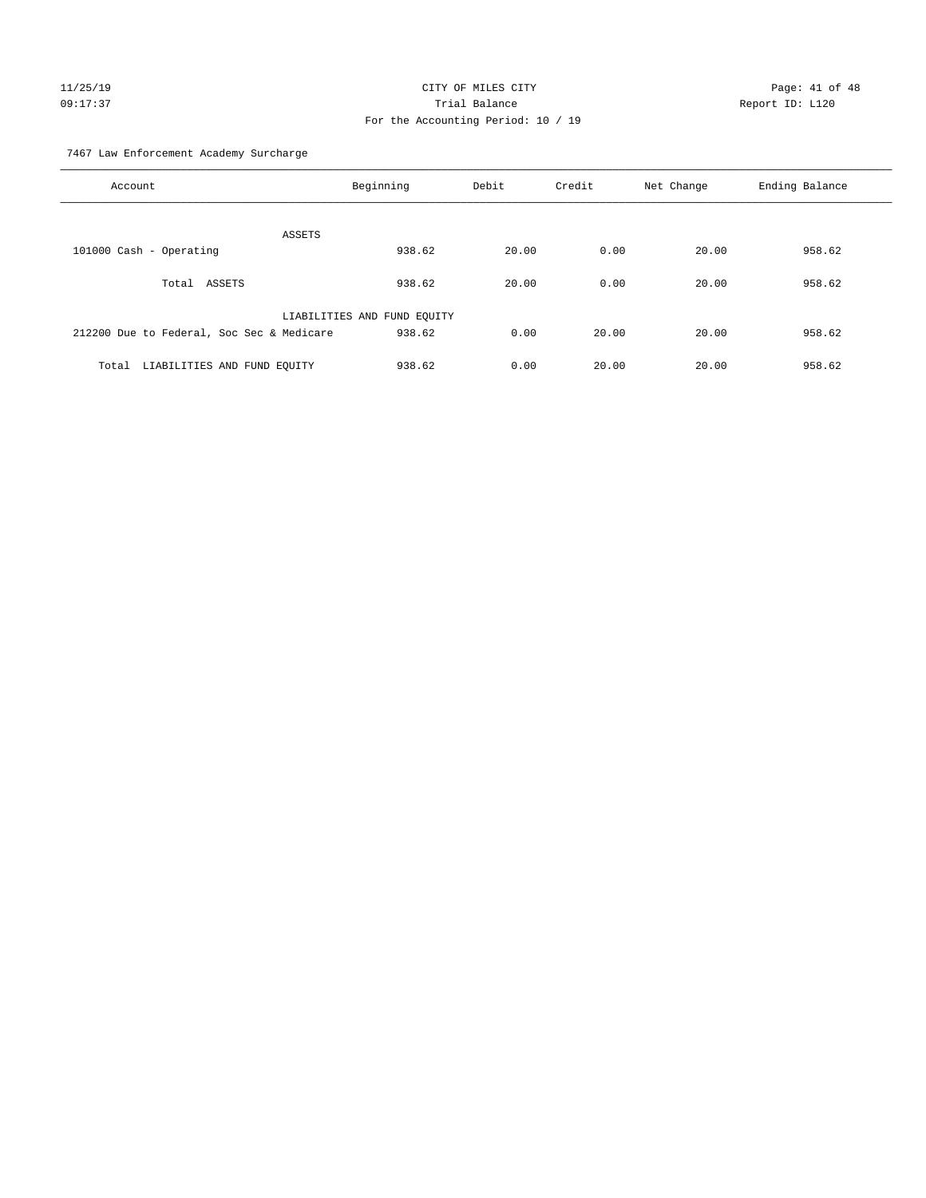# $CITY$  OF MILES  $CITY$  and the contract of 48 Page: 41 of 48 09:17:37 Trial Balance Report ID: L120 For the Accounting Period: 10 / 19

7467 Law Enforcement Academy Surcharge

| Account                                   | Beginning                   | Debit | Credit | Net Change | Ending Balance |
|-------------------------------------------|-----------------------------|-------|--------|------------|----------------|
|                                           | ASSETS                      |       |        |            |                |
| 101000 Cash - Operating                   | 938.62                      | 20.00 | 0.00   | 20.00      | 958.62         |
| Total ASSETS                              | 938.62                      | 20.00 | 0.00   | 20.00      | 958.62         |
|                                           | LIABILITIES AND FUND EQUITY |       |        |            |                |
| 212200 Due to Federal, Soc Sec & Medicare | 938.62                      | 0.00  | 20.00  | 20.00      | 958.62         |
| LIABILITIES AND FUND EQUITY<br>Total      | 938.62                      | 0.00  | 20.00  | 20.00      | 958.62         |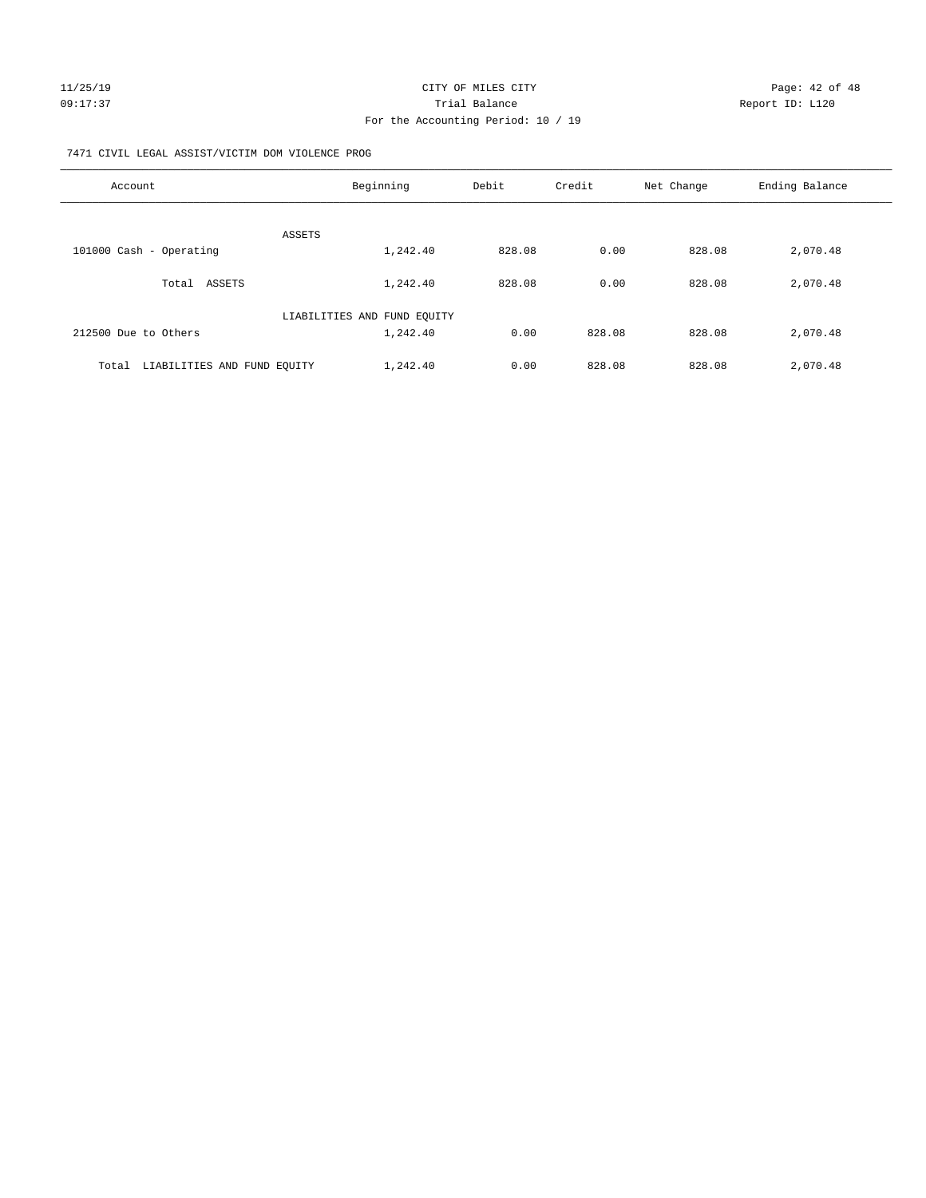#### 7471 CIVIL LEGAL ASSIST/VICTIM DOM VIOLENCE PROG

| Account                              | Beginning                   | Debit  | Credit | Net Change | Ending Balance |
|--------------------------------------|-----------------------------|--------|--------|------------|----------------|
| <b>ASSETS</b>                        |                             |        |        |            |                |
| 101000 Cash - Operating              | 1,242.40                    | 828.08 | 0.00   | 828.08     | 2,070.48       |
| Total ASSETS                         | 1,242.40                    | 828.08 | 0.00   | 828.08     | 2,070.48       |
|                                      | LIABILITIES AND FUND EQUITY |        |        |            |                |
| 212500 Due to Others                 | 1,242.40                    | 0.00   | 828.08 | 828.08     | 2,070.48       |
| LIABILITIES AND FUND EQUITY<br>Total | 1,242.40                    | 0.00   | 828.08 | 828.08     | 2,070.48       |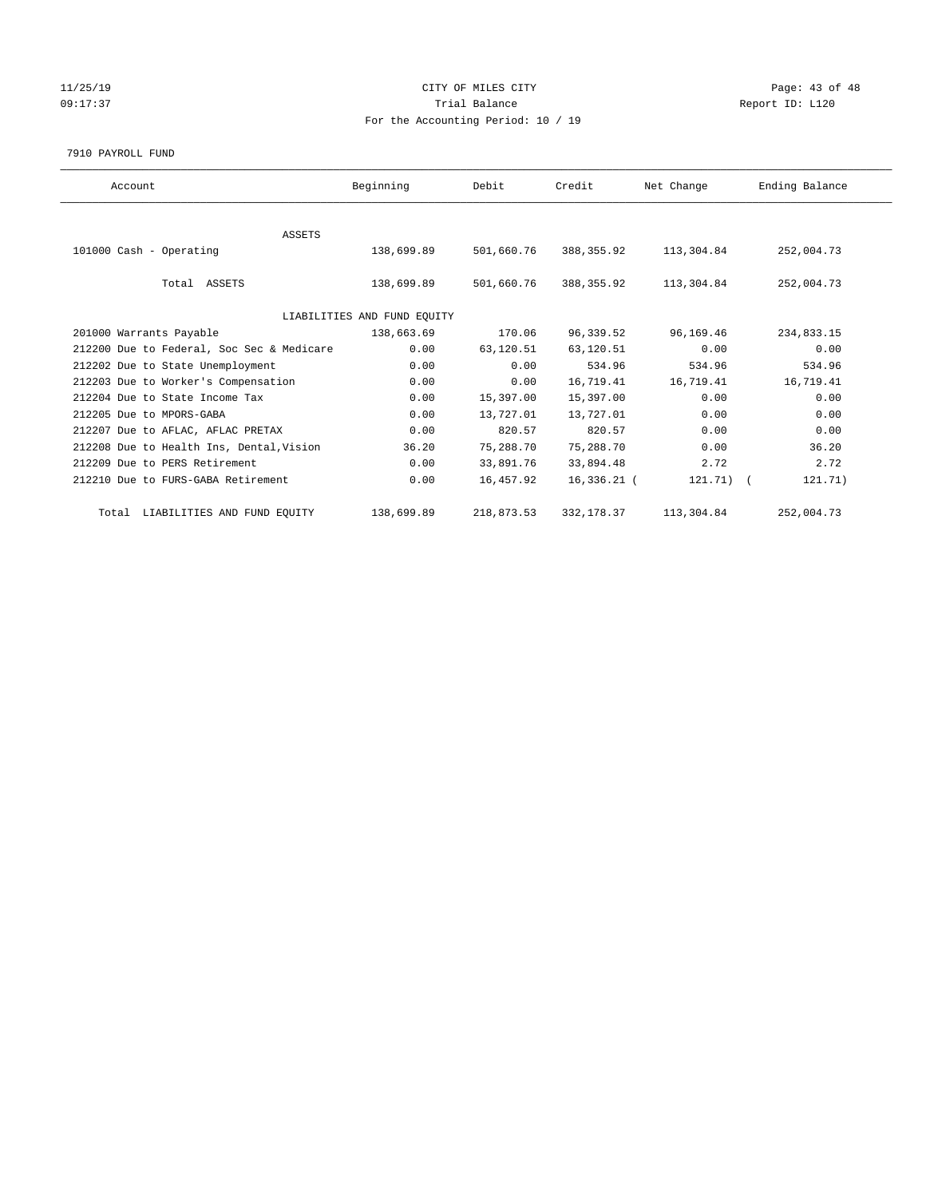## 11/25/19 Page: 43 of 48 09:17:37 Quantity Contract Contract Contract Contract Contract Contract Contract Contract Contract Contract Contract Contract Contract Contract Contract Contract Contra For the Accounting Period: 10 / 19

#### 7910 PAYROLL FUND

| Account                                   | Beginning                   | Debit      | Credit      | Net Change  | Ending Balance |
|-------------------------------------------|-----------------------------|------------|-------------|-------------|----------------|
|                                           |                             |            |             |             |                |
| ASSETS                                    |                             |            |             |             |                |
| 101000 Cash - Operating                   | 138,699.89                  | 501,660.76 | 388, 355.92 | 113,304.84  | 252,004.73     |
|                                           |                             |            |             |             |                |
| Total ASSETS                              | 138,699.89                  | 501,660.76 | 388,355.92  | 113,304.84  | 252,004.73     |
|                                           |                             |            |             |             |                |
|                                           | LIABILITIES AND FUND EQUITY |            |             |             |                |
| 201000 Warrants Payable                   | 138,663.69                  | 170.06     | 96,339.52   | 96,169.46   | 234,833.15     |
| 212200 Due to Federal, Soc Sec & Medicare | 0.00                        | 63,120.51  | 63,120.51   | 0.00        | 0.00           |
| 212202 Due to State Unemployment          | 0.00                        | 0.00       | 534.96      | 534.96      | 534.96         |
| 212203 Due to Worker's Compensation       | 0.00                        | 0.00       | 16,719.41   | 16,719.41   | 16,719.41      |
| 212204 Due to State Income Tax            | 0.00                        | 15,397.00  | 15,397.00   | 0.00        | 0.00           |
| 212205 Due to MPORS-GABA                  | 0.00                        | 13,727.01  | 13,727.01   | 0.00        | 0.00           |
| 212207 Due to AFLAC, AFLAC PRETAX         | 0.00                        | 820.57     | 820.57      | 0.00        | 0.00           |
| 212208 Due to Health Ins, Dental, Vision  | 36.20                       | 75,288.70  | 75,288.70   | 0.00        | 36.20          |
| 212209 Due to PERS Retirement             | 0.00                        | 33,891.76  | 33,894.48   | 2.72        | 2.72           |
| 212210 Due to FURS-GABA Retirement        | 0.00                        | 16,457.92  | 16,336.21 ( | $121.71)$ ( | 121.71)        |
| Total LIABILITIES AND FUND EQUITY         | 138,699.89                  | 218,873.53 | 332, 178.37 | 113,304.84  | 252,004.73     |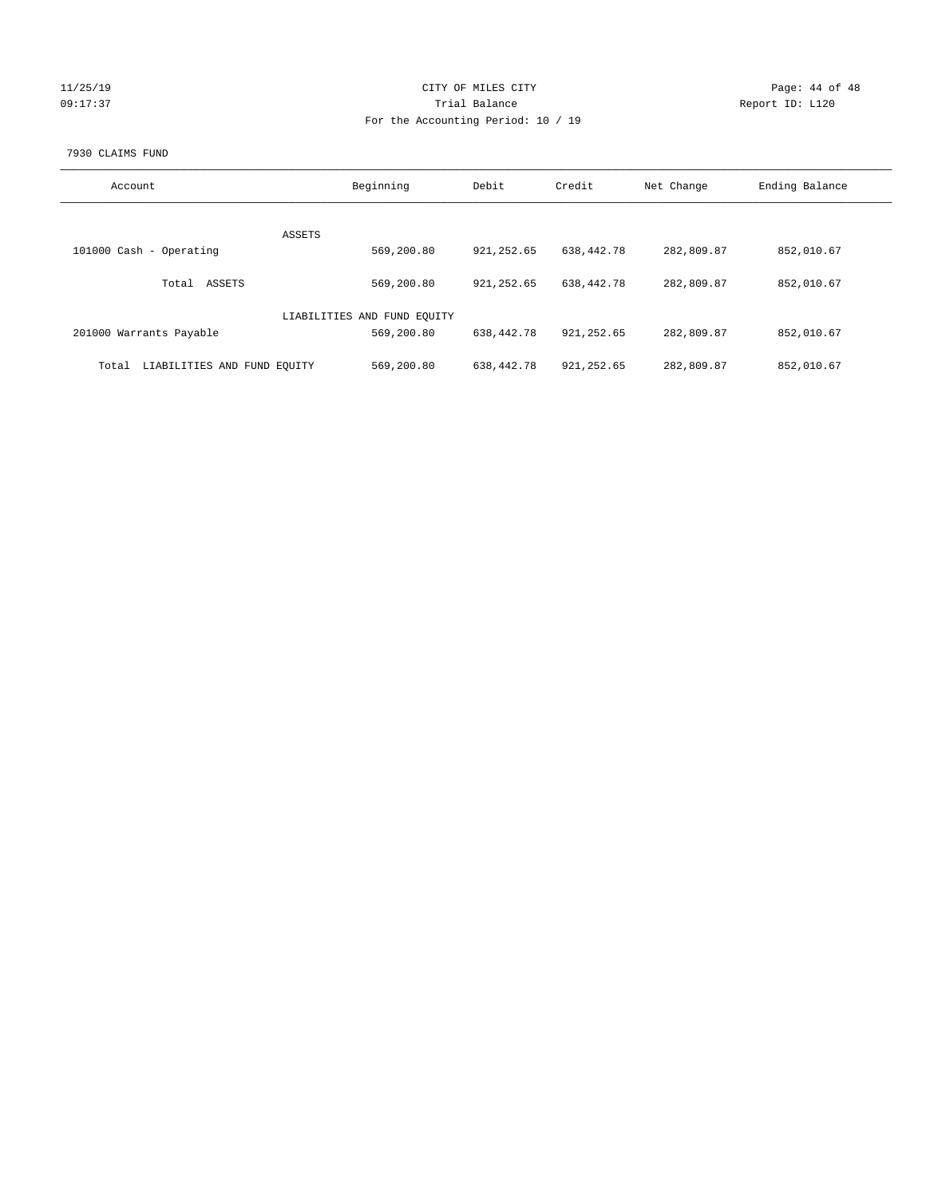## 11/25/19 **Page: 44 of 48** 09:17:37 Quantity Contract Contract Contract Contract Contract Contract Contract Contract Contract Contract Contract Contract Contract Contract Contract Contract Contra For the Accounting Period: 10 / 19

#### 7930 CLAIMS FUND

| Account                              | Beginning                   | Debit       | Credit      | Net Change | Ending Balance |
|--------------------------------------|-----------------------------|-------------|-------------|------------|----------------|
|                                      | <b>ASSETS</b>               |             |             |            |                |
| 101000 Cash - Operating              | 569,200.80                  | 921, 252.65 | 638,442.78  | 282,809.87 | 852,010.67     |
| ASSETS<br>Total                      | 569,200.80                  | 921, 252.65 | 638,442.78  | 282,809.87 | 852,010.67     |
|                                      | LIABILITIES AND FUND EQUITY |             |             |            |                |
| 201000 Warrants Payable              | 569,200.80                  | 638,442.78  | 921, 252.65 | 282,809.87 | 852,010.67     |
| LIABILITIES AND FUND EQUITY<br>Total | 569,200.80                  | 638,442.78  | 921, 252.65 | 282,809.87 | 852,010.67     |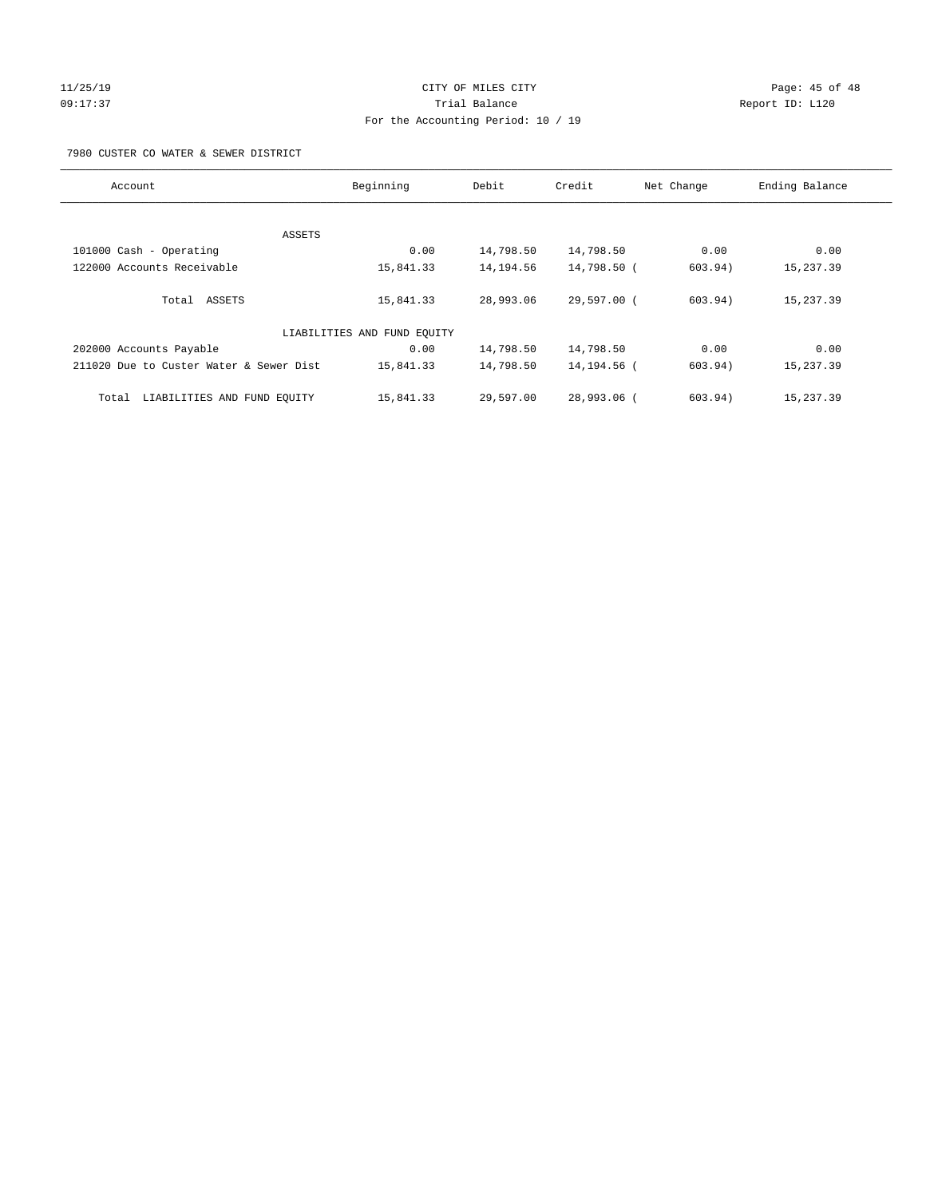#### 11/25/19 Page: 45 of 48 09:17:37 Trial Balance Report ID: L120 For the Accounting Period: 10 / 19

7980 CUSTER CO WATER & SEWER DISTRICT

| Account                                 | Beginning                   | Debit     | Credit      | Net Change | Ending Balance |
|-----------------------------------------|-----------------------------|-----------|-------------|------------|----------------|
|                                         |                             |           |             |            |                |
| ASSETS                                  |                             |           |             |            |                |
| 101000 Cash - Operating                 | 0.00                        | 14,798.50 | 14,798.50   | 0.00       | 0.00           |
| 122000 Accounts Receivable              | 15,841.33                   | 14,194.56 | 14,798.50 ( | 603.94)    | 15,237.39      |
| Total ASSETS                            | 15,841.33                   | 28,993.06 | 29,597.00 ( | 603.94)    | 15,237.39      |
|                                         | LIABILITIES AND FUND EQUITY |           |             |            |                |
| 202000 Accounts Payable                 | 0.00                        | 14,798.50 | 14,798.50   | 0.00       | 0.00           |
| 211020 Due to Custer Water & Sewer Dist | 15,841.33                   | 14,798.50 | 14,194.56 ( | 603.94)    | 15,237.39      |
| LIABILITIES AND FUND EQUITY<br>Total    | 15,841.33                   | 29,597.00 | 28,993.06 ( | 603.94)    | 15,237.39      |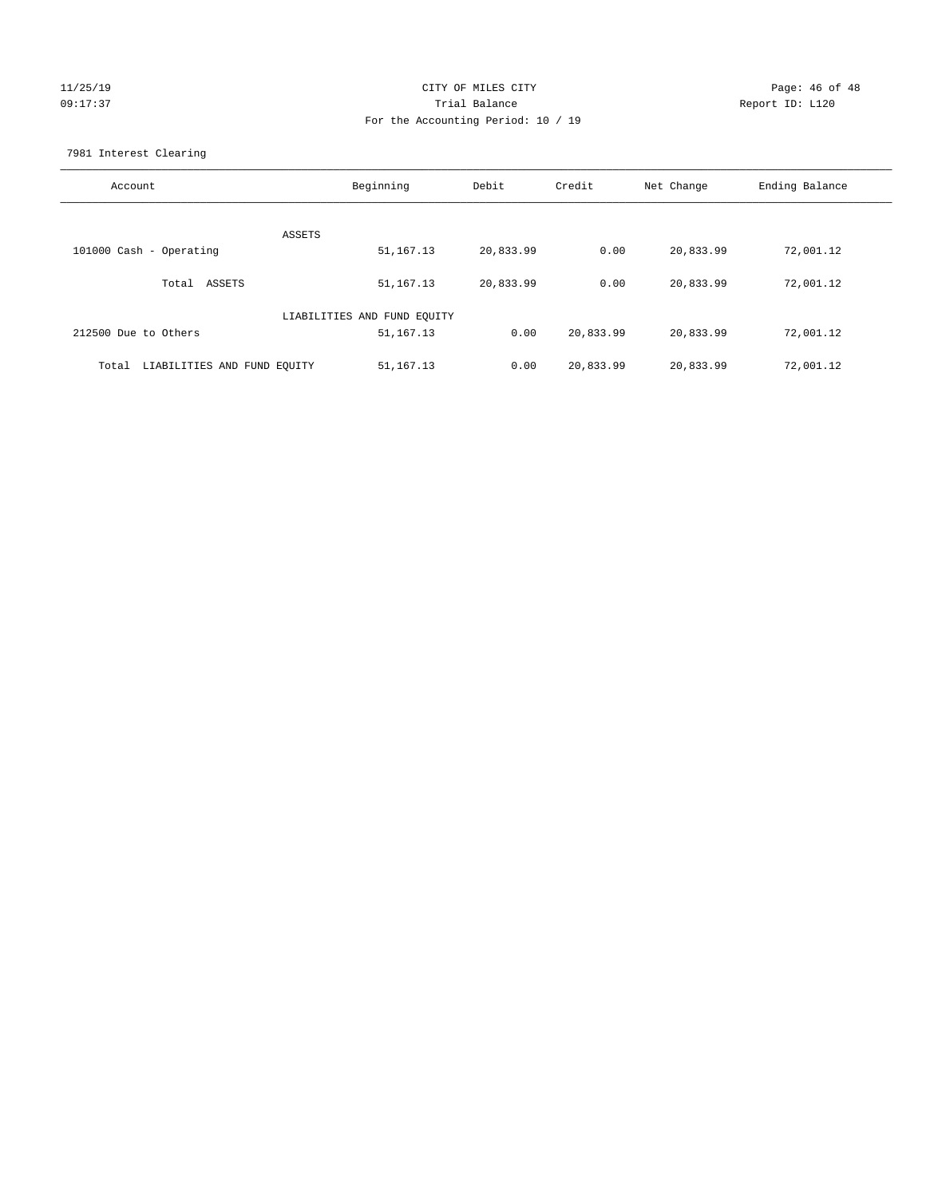# $CITY$  OF MILES  $CITY$  and the contract of 48  $CITY$ 09:17:37 Trial Balance Report ID: L120 For the Accounting Period: 10 / 19

7981 Interest Clearing

| Account                              | Beginning                   | Debit     | Credit    | Net Change | Ending Balance |
|--------------------------------------|-----------------------------|-----------|-----------|------------|----------------|
|                                      | ASSETS                      |           |           |            |                |
| 101000 Cash - Operating              | 51,167.13                   | 20,833.99 | 0.00      | 20,833.99  | 72,001.12      |
| Total ASSETS                         | 51,167.13                   | 20,833.99 | 0.00      | 20,833.99  | 72,001.12      |
|                                      | LIABILITIES AND FUND EQUITY |           |           |            |                |
| 212500 Due to Others                 | 51,167.13                   | 0.00      | 20,833.99 | 20,833.99  | 72,001.12      |
| LIABILITIES AND FUND EQUITY<br>Total | 51,167.13                   | 0.00      | 20,833.99 | 20,833.99  | 72,001.12      |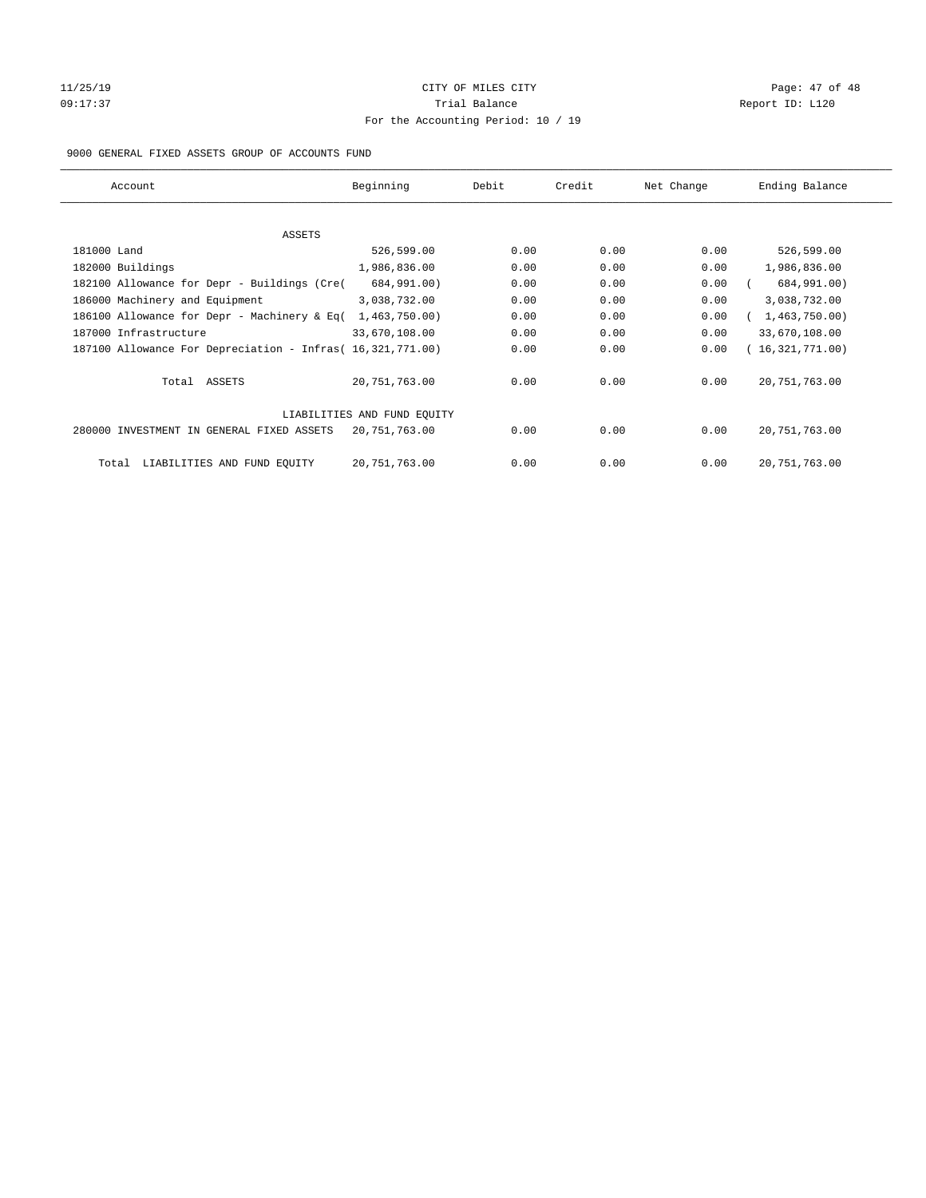# 11/25/19 Page: 47 of 48 09:17:37 Quantity Contract Contract Contract Contract Contract Contract Contract Contract Contract Contract Contract Contract Contract Contract Contract Contract Contra For the Accounting Period: 10 / 19

#### 9000 GENERAL FIXED ASSETS GROUP OF ACCOUNTS FUND

| Account                                                    | Beginning                   | Debit | Credit | Net Change | Ending Balance  |
|------------------------------------------------------------|-----------------------------|-------|--------|------------|-----------------|
| ASSETS                                                     |                             |       |        |            |                 |
| 181000 Land                                                | 526,599.00                  | 0.00  | 0.00   | 0.00       | 526,599.00      |
| 182000 Buildings                                           | 1,986,836.00                | 0.00  | 0.00   | 0.00       | 1,986,836.00    |
| 182100 Allowance for Depr - Buildings (Cre(                | 684,991.00)                 | 0.00  | 0.00   | 0.00       | 684,991.00)     |
| 186000 Machinery and Equipment                             | 3,038,732.00                | 0.00  | 0.00   | 0.00       | 3,038,732.00    |
| 186100 Allowance for Depr - Machinery & Eq(                | 1,463,750.00)               | 0.00  | 0.00   | 0.00       | 1,463,750.00)   |
| 187000 Infrastructure                                      | 33,670,108.00               | 0.00  | 0.00   | 0.00       | 33,670,108.00   |
| 187100 Allowance For Depreciation - Infras( 16,321,771.00) |                             | 0.00  | 0.00   | 0.00       | 16,321,771.00)  |
| Total ASSETS                                               | 20,751,763.00               | 0.00  | 0.00   | 0.00       | 20, 751, 763.00 |
|                                                            | LIABILITIES AND FUND EQUITY |       |        |            |                 |
| 280000 INVESTMENT IN GENERAL FIXED ASSETS                  | 20,751,763.00               | 0.00  | 0.00   | 0.00       | 20, 751, 763.00 |
| LIABILITIES AND FUND EQUITY<br>Total                       | 20, 751, 763.00             | 0.00  | 0.00   | 0.00       | 20, 751, 763.00 |